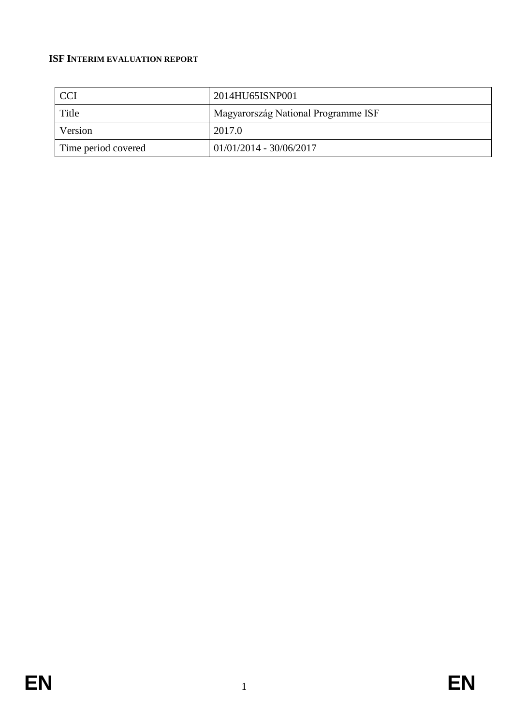# **ISF INTERIM EVALUATION REPORT**

| <b>CCI</b>          | 2014HU65ISNP001                     |
|---------------------|-------------------------------------|
| Title               | Magyarország National Programme ISF |
| Version             | 2017.0                              |
| Time period covered | $01/01/2014 - 30/06/2017$           |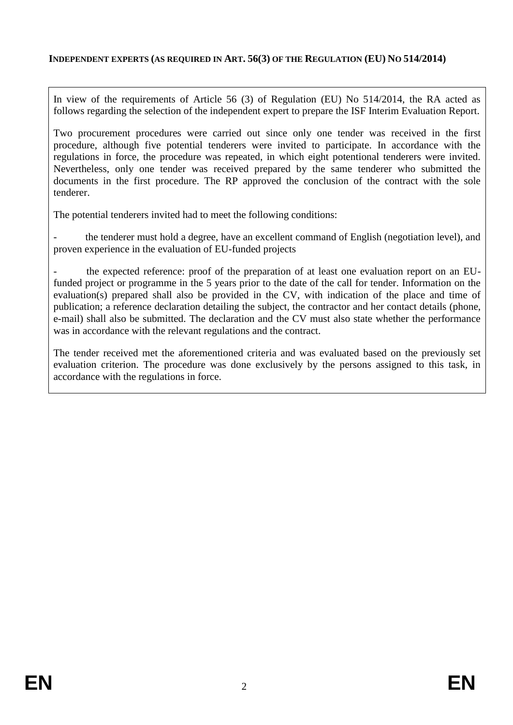### **INDEPENDENT EXPERTS (AS REQUIRED IN ART. 56(3) OF THE REGULATION (EU) NO 514/2014)**

In view of the requirements of Article 56 (3) of Regulation (EU) No 514/2014, the RA acted as follows regarding the selection of the independent expert to prepare the ISF Interim Evaluation Report.

Two procurement procedures were carried out since only one tender was received in the first procedure, although five potential tenderers were invited to participate. In accordance with the regulations in force, the procedure was repeated, in which eight potentional tenderers were invited. Nevertheless, only one tender was received prepared by the same tenderer who submitted the documents in the first procedure. The RP approved the conclusion of the contract with the sole tenderer.

The potential tenderers invited had to meet the following conditions:

the tenderer must hold a degree, have an excellent command of English (negotiation level), and proven experience in the evaluation of EU-funded projects

the expected reference: proof of the preparation of at least one evaluation report on an EUfunded project or programme in the 5 years prior to the date of the call for tender. Information on the evaluation(s) prepared shall also be provided in the CV, with indication of the place and time of publication; a reference declaration detailing the subject, the contractor and her contact details (phone, e-mail) shall also be submitted. The declaration and the CV must also state whether the performance was in accordance with the relevant regulations and the contract.

The tender received met the aforementioned criteria and was evaluated based on the previously set evaluation criterion. The procedure was done exclusively by the persons assigned to this task, in accordance with the regulations in force.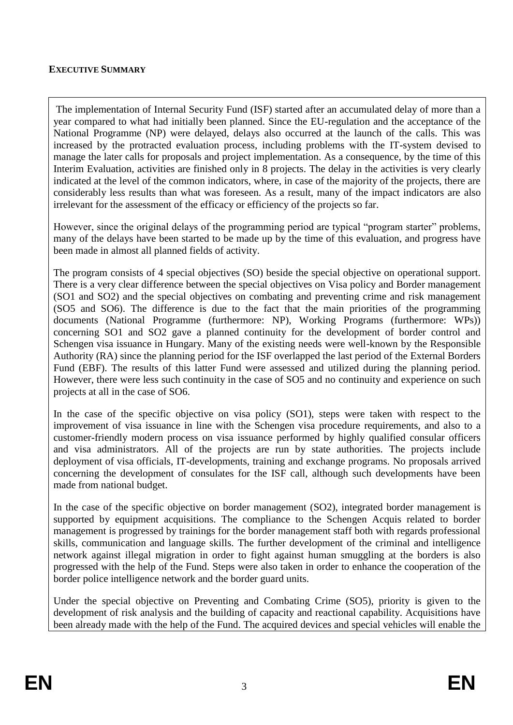### **EXECUTIVE SUMMARY**

The implementation of Internal Security Fund (ISF) started after an accumulated delay of more than a year compared to what had initially been planned. Since the EU-regulation and the acceptance of the National Programme (NP) were delayed, delays also occurred at the launch of the calls. This was increased by the protracted evaluation process, including problems with the IT-system devised to manage the later calls for proposals and project implementation. As a consequence, by the time of this Interim Evaluation, activities are finished only in 8 projects. The delay in the activities is very clearly indicated at the level of the common indicators, where, in case of the majority of the projects, there are considerably less results than what was foreseen. As a result, many of the impact indicators are also irrelevant for the assessment of the efficacy or efficiency of the projects so far.

However, since the original delays of the programming period are typical "program starter" problems, many of the delays have been started to be made up by the time of this evaluation, and progress have been made in almost all planned fields of activity.

The program consists of 4 special objectives (SO) beside the special objective on operational support. There is a very clear difference between the special objectives on Visa policy and Border management (SO1 and SO2) and the special objectives on combating and preventing crime and risk management (SO5 and SO6). The difference is due to the fact that the main priorities of the programming documents (National Programme (furthermore: NP), Working Programs (furthermore: WPs)) concerning SO1 and SO2 gave a planned continuity for the development of border control and Schengen visa issuance in Hungary. Many of the existing needs were well-known by the Responsible Authority (RA) since the planning period for the ISF overlapped the last period of the External Borders Fund (EBF). The results of this latter Fund were assessed and utilized during the planning period. However, there were less such continuity in the case of SO5 and no continuity and experience on such projects at all in the case of SO6.

In the case of the specific objective on visa policy (SO1), steps were taken with respect to the improvement of visa issuance in line with the Schengen visa procedure requirements, and also to a customer-friendly modern process on visa issuance performed by highly qualified consular officers and visa administrators. All of the projects are run by state authorities. The projects include deployment of visa officials, IT-developments, training and exchange programs. No proposals arrived concerning the development of consulates for the ISF call, although such developments have been made from national budget.

In the case of the specific objective on border management (SO2), integrated border management is supported by equipment acquisitions. The compliance to the Schengen Acquis related to border management is progressed by trainings for the border management staff both with regards professional skills, communication and language skills. The further development of the criminal and intelligence network against illegal migration in order to fight against human smuggling at the borders is also progressed with the help of the Fund. Steps were also taken in order to enhance the cooperation of the border police intelligence network and the border guard units.

Under the special objective on Preventing and Combating Crime (SO5), priority is given to the development of risk analysis and the building of capacity and reactional capability. Acquisitions have been already made with the help of the Fund. The acquired devices and special vehicles will enable the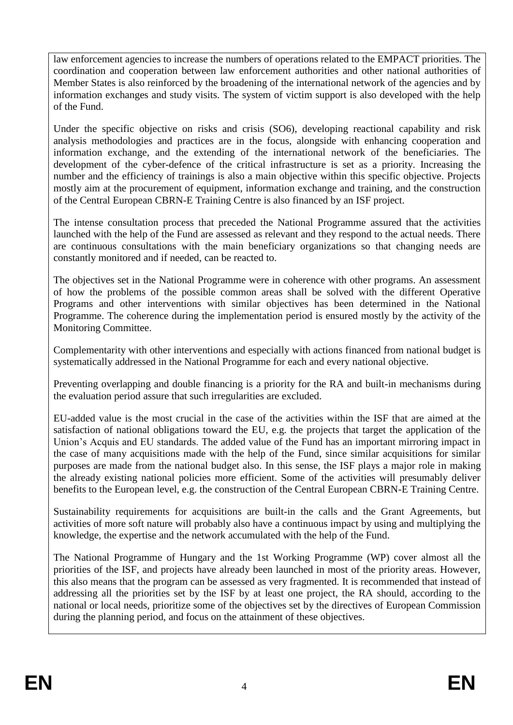law enforcement agencies to increase the numbers of operations related to the EMPACT priorities. The coordination and cooperation between law enforcement authorities and other national authorities of Member States is also reinforced by the broadening of the international network of the agencies and by information exchanges and study visits. The system of victim support is also developed with the help of the Fund.

Under the specific objective on risks and crisis (SO6), developing reactional capability and risk analysis methodologies and practices are in the focus, alongside with enhancing cooperation and information exchange, and the extending of the international network of the beneficiaries. The development of the cyber-defence of the critical infrastructure is set as a priority. Increasing the number and the efficiency of trainings is also a main objective within this specific objective. Projects mostly aim at the procurement of equipment, information exchange and training, and the construction of the Central European CBRN-E Training Centre is also financed by an ISF project.

The intense consultation process that preceded the National Programme assured that the activities launched with the help of the Fund are assessed as relevant and they respond to the actual needs. There are continuous consultations with the main beneficiary organizations so that changing needs are constantly monitored and if needed, can be reacted to.

The objectives set in the National Programme were in coherence with other programs. An assessment of how the problems of the possible common areas shall be solved with the different Operative Programs and other interventions with similar objectives has been determined in the National Programme. The coherence during the implementation period is ensured mostly by the activity of the Monitoring Committee.

Complementarity with other interventions and especially with actions financed from national budget is systematically addressed in the National Programme for each and every national objective.

Preventing overlapping and double financing is a priority for the RA and built-in mechanisms during the evaluation period assure that such irregularities are excluded.

EU-added value is the most crucial in the case of the activities within the ISF that are aimed at the satisfaction of national obligations toward the EU, e.g. the projects that target the application of the Union's Acquis and EU standards. The added value of the Fund has an important mirroring impact in the case of many acquisitions made with the help of the Fund, since similar acquisitions for similar purposes are made from the national budget also. In this sense, the ISF plays a major role in making the already existing national policies more efficient. Some of the activities will presumably deliver benefits to the European level, e.g. the construction of the Central European CBRN-E Training Centre.

Sustainability requirements for acquisitions are built-in the calls and the Grant Agreements, but activities of more soft nature will probably also have a continuous impact by using and multiplying the knowledge, the expertise and the network accumulated with the help of the Fund.

The National Programme of Hungary and the 1st Working Programme (WP) cover almost all the priorities of the ISF, and projects have already been launched in most of the priority areas. However, this also means that the program can be assessed as very fragmented. It is recommended that instead of addressing all the priorities set by the ISF by at least one project, the RA should, according to the national or local needs, prioritize some of the objectives set by the directives of European Commission during the planning period, and focus on the attainment of these objectives.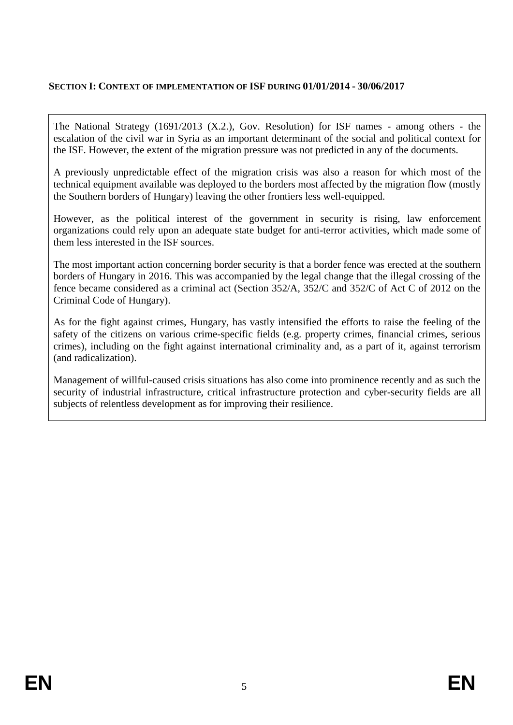## **SECTION I: CONTEXT OF IMPLEMENTATION OF ISF DURING 01/01/2014 - 30/06/2017**

The National Strategy (1691/2013 (X.2.), Gov. Resolution) for ISF names - among others - the escalation of the civil war in Syria as an important determinant of the social and political context for the ISF. However, the extent of the migration pressure was not predicted in any of the documents.

A previously unpredictable effect of the migration crisis was also a reason for which most of the technical equipment available was deployed to the borders most affected by the migration flow (mostly the Southern borders of Hungary) leaving the other frontiers less well-equipped.

However, as the political interest of the government in security is rising, law enforcement organizations could rely upon an adequate state budget for anti-terror activities, which made some of them less interested in the ISF sources.

The most important action concerning border security is that a border fence was erected at the southern borders of Hungary in 2016. This was accompanied by the legal change that the illegal crossing of the fence became considered as a criminal act (Section 352/A, 352/C and 352/C of Act C of 2012 on the Criminal Code of Hungary).

As for the fight against crimes, Hungary, has vastly intensified the efforts to raise the feeling of the safety of the citizens on various crime-specific fields (e.g. property crimes, financial crimes, serious crimes), including on the fight against international criminality and, as a part of it, against terrorism (and radicalization).

Management of willful-caused crisis situations has also come into prominence recently and as such the security of industrial infrastructure, critical infrastructure protection and cyber-security fields are all subjects of relentless development as for improving their resilience.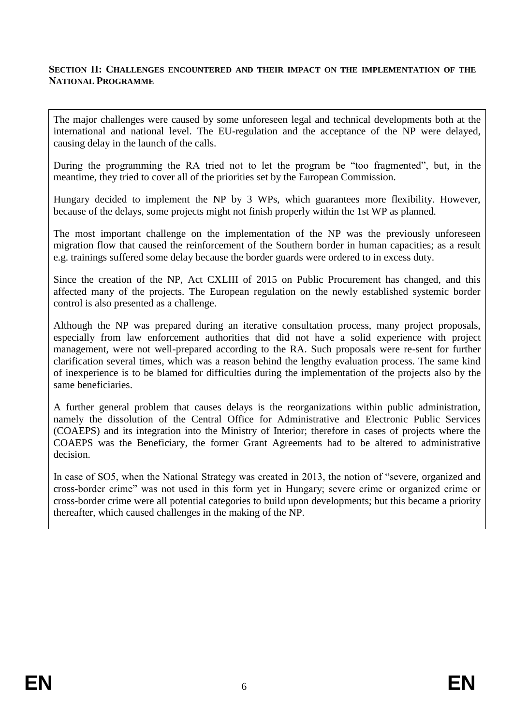#### **SECTION II: CHALLENGES ENCOUNTERED AND THEIR IMPACT ON THE IMPLEMENTATION OF THE NATIONAL PROGRAMME**

The major challenges were caused by some unforeseen legal and technical developments both at the international and national level. The EU-regulation and the acceptance of the NP were delayed, causing delay in the launch of the calls.

During the programming the RA tried not to let the program be "too fragmented", but, in the meantime, they tried to cover all of the priorities set by the European Commission.

Hungary decided to implement the NP by 3 WPs, which guarantees more flexibility. However, because of the delays, some projects might not finish properly within the 1st WP as planned.

The most important challenge on the implementation of the NP was the previously unforeseen migration flow that caused the reinforcement of the Southern border in human capacities; as a result e.g. trainings suffered some delay because the border guards were ordered to in excess duty.

Since the creation of the NP, Act CXLIII of 2015 on Public Procurement has changed, and this affected many of the projects. The European regulation on the newly established systemic border control is also presented as a challenge.

Although the NP was prepared during an iterative consultation process, many project proposals, especially from law enforcement authorities that did not have a solid experience with project management, were not well-prepared according to the RA. Such proposals were re-sent for further clarification several times, which was a reason behind the lengthy evaluation process. The same kind of inexperience is to be blamed for difficulties during the implementation of the projects also by the same beneficiaries.

A further general problem that causes delays is the reorganizations within public administration, namely the dissolution of the Central Office for Administrative and Electronic Public Services (COAEPS) and its integration into the Ministry of Interior; therefore in cases of projects where the COAEPS was the Beneficiary, the former Grant Agreements had to be altered to administrative decision.

In case of SO5, when the National Strategy was created in 2013, the notion of "severe, organized and cross-border crime" was not used in this form yet in Hungary; severe crime or organized crime or cross-border crime were all potential categories to build upon developments; but this became a priority thereafter, which caused challenges in the making of the NP.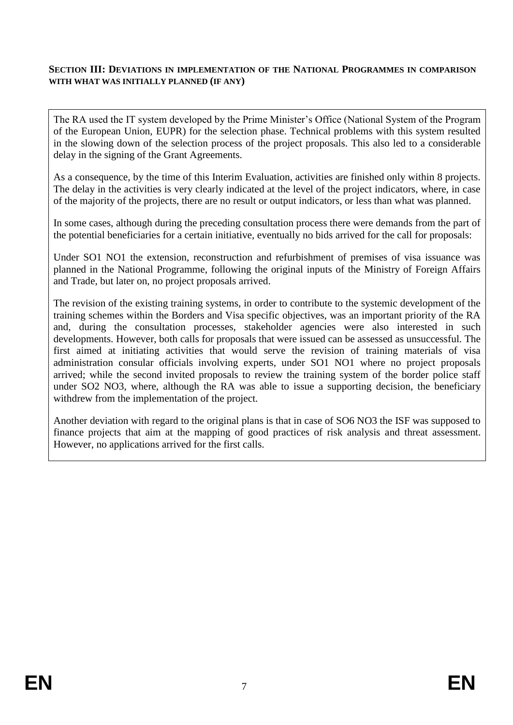#### **SECTION III: DEVIATIONS IN IMPLEMENTATION OF THE NATIONAL PROGRAMMES IN COMPARISON WITH WHAT WAS INITIALLY PLANNED (IF ANY)**

The RA used the IT system developed by the Prime Minister's Office (National System of the Program of the European Union, EUPR) for the selection phase. Technical problems with this system resulted in the slowing down of the selection process of the project proposals. This also led to a considerable delay in the signing of the Grant Agreements.

As a consequence, by the time of this Interim Evaluation, activities are finished only within 8 projects. The delay in the activities is very clearly indicated at the level of the project indicators, where, in case of the majority of the projects, there are no result or output indicators, or less than what was planned.

In some cases, although during the preceding consultation process there were demands from the part of the potential beneficiaries for a certain initiative, eventually no bids arrived for the call for proposals:

Under SO1 NO1 the extension, reconstruction and refurbishment of premises of visa issuance was planned in the National Programme, following the original inputs of the Ministry of Foreign Affairs and Trade, but later on, no project proposals arrived.

The revision of the existing training systems, in order to contribute to the systemic development of the training schemes within the Borders and Visa specific objectives, was an important priority of the RA and, during the consultation processes, stakeholder agencies were also interested in such developments. However, both calls for proposals that were issued can be assessed as unsuccessful. The first aimed at initiating activities that would serve the revision of training materials of visa administration consular officials involving experts, under SO1 NO1 where no project proposals arrived; while the second invited proposals to review the training system of the border police staff under SO2 NO3, where, although the RA was able to issue a supporting decision, the beneficiary withdrew from the implementation of the project.

Another deviation with regard to the original plans is that in case of SO6 NO3 the ISF was supposed to finance projects that aim at the mapping of good practices of risk analysis and threat assessment. However, no applications arrived for the first calls.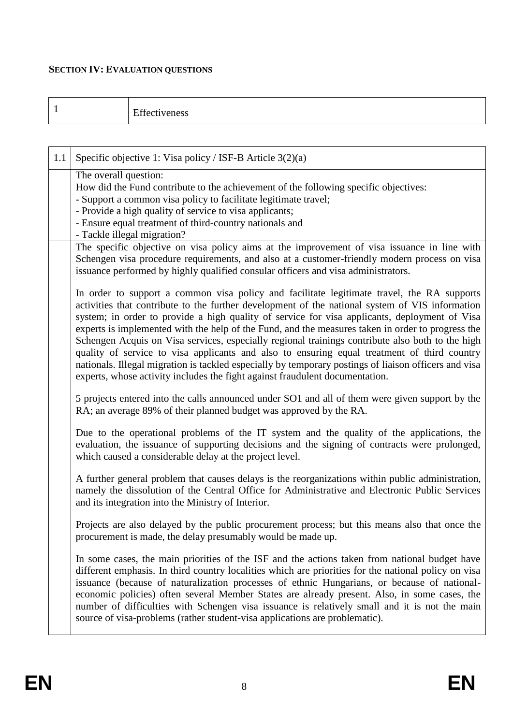# **SECTION IV: EVALUATION QUESTIONS**

|--|

| 1.1 | Specific objective 1: Visa policy / ISF-B Article 3(2)(a)                                                                                                                                                                                                                                                                                                                                                                                                                                                                                                                                                                                                                                                                                                                                       |
|-----|-------------------------------------------------------------------------------------------------------------------------------------------------------------------------------------------------------------------------------------------------------------------------------------------------------------------------------------------------------------------------------------------------------------------------------------------------------------------------------------------------------------------------------------------------------------------------------------------------------------------------------------------------------------------------------------------------------------------------------------------------------------------------------------------------|
|     | The overall question:<br>How did the Fund contribute to the achievement of the following specific objectives:<br>- Support a common visa policy to facilitate legitimate travel;<br>- Provide a high quality of service to visa applicants;<br>- Ensure equal treatment of third-country nationals and<br>- Tackle illegal migration?                                                                                                                                                                                                                                                                                                                                                                                                                                                           |
|     | The specific objective on visa policy aims at the improvement of visa issuance in line with<br>Schengen visa procedure requirements, and also at a customer-friendly modern process on visa<br>issuance performed by highly qualified consular officers and visa administrators.                                                                                                                                                                                                                                                                                                                                                                                                                                                                                                                |
|     | In order to support a common visa policy and facilitate legitimate travel, the RA supports<br>activities that contribute to the further development of the national system of VIS information<br>system; in order to provide a high quality of service for visa applicants, deployment of Visa<br>experts is implemented with the help of the Fund, and the measures taken in order to progress the<br>Schengen Acquis on Visa services, especially regional trainings contribute also both to the high<br>quality of service to visa applicants and also to ensuring equal treatment of third country<br>nationals. Illegal migration is tackled especially by temporary postings of liaison officers and visa<br>experts, whose activity includes the fight against fraudulent documentation. |
|     | 5 projects entered into the calls announced under SO1 and all of them were given support by the<br>RA; an average 89% of their planned budget was approved by the RA.                                                                                                                                                                                                                                                                                                                                                                                                                                                                                                                                                                                                                           |
|     | Due to the operational problems of the IT system and the quality of the applications, the<br>evaluation, the issuance of supporting decisions and the signing of contracts were prolonged,<br>which caused a considerable delay at the project level.                                                                                                                                                                                                                                                                                                                                                                                                                                                                                                                                           |
|     | A further general problem that causes delays is the reorganizations within public administration,<br>namely the dissolution of the Central Office for Administrative and Electronic Public Services<br>and its integration into the Ministry of Interior.                                                                                                                                                                                                                                                                                                                                                                                                                                                                                                                                       |
|     | Projects are also delayed by the public procurement process; but this means also that once the<br>procurement is made, the delay presumably would be made up.                                                                                                                                                                                                                                                                                                                                                                                                                                                                                                                                                                                                                                   |
|     | In some cases, the main priorities of the ISF and the actions taken from national budget have<br>different emphasis. In third country localities which are priorities for the national policy on visa<br>issuance (because of naturalization processes of ethnic Hungarians, or because of national-<br>economic policies) often several Member States are already present. Also, in some cases, the<br>number of difficulties with Schengen visa issuance is relatively small and it is not the main<br>source of visa-problems (rather student-visa applications are problematic).                                                                                                                                                                                                            |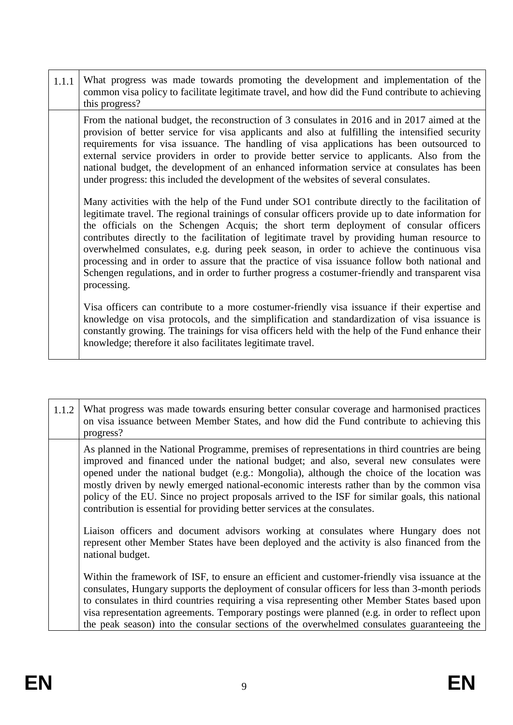| 1.1.1 | What progress was made towards promoting the development and implementation of the<br>common visa policy to facilitate legitimate travel, and how did the Fund contribute to achieving<br>this progress?                                                                                                                                                                                                                                                                                                                                                                                                                                                                                                   |
|-------|------------------------------------------------------------------------------------------------------------------------------------------------------------------------------------------------------------------------------------------------------------------------------------------------------------------------------------------------------------------------------------------------------------------------------------------------------------------------------------------------------------------------------------------------------------------------------------------------------------------------------------------------------------------------------------------------------------|
|       | From the national budget, the reconstruction of 3 consulates in 2016 and in 2017 aimed at the<br>provision of better service for visa applicants and also at fulfilling the intensified security<br>requirements for visa issuance. The handling of visa applications has been outsourced to<br>external service providers in order to provide better service to applicants. Also from the<br>national budget, the development of an enhanced information service at consulates has been<br>under progress: this included the development of the websites of several consulates.                                                                                                                           |
|       | Many activities with the help of the Fund under SO1 contribute directly to the facilitation of<br>legitimate travel. The regional trainings of consular officers provide up to date information for<br>the officials on the Schengen Acquis; the short term deployment of consular officers<br>contributes directly to the facilitation of legitimate travel by providing human resource to<br>overwhelmed consulates, e.g. during peek season, in order to achieve the continuous visa<br>processing and in order to assure that the practice of visa issuance follow both national and<br>Schengen regulations, and in order to further progress a costumer-friendly and transparent visa<br>processing. |
|       | Visa officers can contribute to a more costumer-friendly visa issuance if their expertise and<br>knowledge on visa protocols, and the simplification and standardization of visa issuance is<br>constantly growing. The trainings for visa officers held with the help of the Fund enhance their<br>knowledge; therefore it also facilitates legitimate travel.                                                                                                                                                                                                                                                                                                                                            |

| 1.1.2 | What progress was made towards ensuring better consular coverage and harmonised practices<br>on visa issuance between Member States, and how did the Fund contribute to achieving this<br>progress?                                                                                                                                                                                                                                                                                                                                                                   |
|-------|-----------------------------------------------------------------------------------------------------------------------------------------------------------------------------------------------------------------------------------------------------------------------------------------------------------------------------------------------------------------------------------------------------------------------------------------------------------------------------------------------------------------------------------------------------------------------|
|       | As planned in the National Programme, premises of representations in third countries are being<br>improved and financed under the national budget; and also, several new consulates were<br>opened under the national budget (e.g.: Mongolia), although the choice of the location was<br>mostly driven by newly emerged national-economic interests rather than by the common visa<br>policy of the EU. Since no project proposals arrived to the ISF for similar goals, this national<br>contribution is essential for providing better services at the consulates. |
|       | Liaison officers and document advisors working at consulates where Hungary does not<br>represent other Member States have been deployed and the activity is also financed from the<br>national budget.                                                                                                                                                                                                                                                                                                                                                                |
|       | Within the framework of ISF, to ensure an efficient and customer-friendly visa issuance at the<br>consulates, Hungary supports the deployment of consular officers for less than 3-month periods<br>to consulates in third countries requiring a visa representing other Member States based upon<br>visa representation agreements. Temporary postings were planned (e.g. in order to reflect upon<br>the peak season) into the consular sections of the overwhelmed consulates guaranteeing the                                                                     |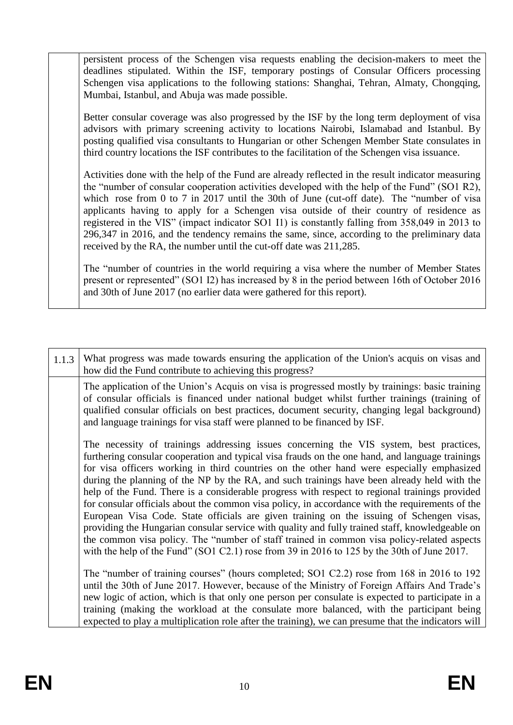persistent process of the Schengen visa requests enabling the decision-makers to meet the deadlines stipulated. Within the ISF, temporary postings of Consular Officers processing Schengen visa applications to the following stations: Shanghai, Tehran, Almaty, Chongqing, Mumbai, Istanbul, and Abuja was made possible.

Better consular coverage was also progressed by the ISF by the long term deployment of visa advisors with primary screening activity to locations Nairobi, Islamabad and Istanbul. By posting qualified visa consultants to Hungarian or other Schengen Member State consulates in third country locations the ISF contributes to the facilitation of the Schengen visa issuance.

Activities done with the help of the Fund are already reflected in the result indicator measuring the "number of consular cooperation activities developed with the help of the Fund" (SO1 R2), which rose from 0 to 7 in 2017 until the 30th of June (cut-off date). The "number of visa applicants having to apply for a Schengen visa outside of their country of residence as registered in the VIS" (impact indicator SO1 I1) is constantly falling from 358,049 in 2013 to 296,347 in 2016, and the tendency remains the same, since, according to the preliminary data received by the RA, the number until the cut-off date was 211,285.

The "number of countries in the world requiring a visa where the number of Member States present or represented" (SO1 I2) has increased by 8 in the period between 16th of October 2016 and 30th of June 2017 (no earlier data were gathered for this report).

| 1.1.3 | What progress was made towards ensuring the application of the Union's acquis on visas and<br>how did the Fund contribute to achieving this progress?                                                                                                                                                                                                                                                                                                                                                                                                                                                                                                                                                                                                                                                                                                                                                                                                                                   |
|-------|-----------------------------------------------------------------------------------------------------------------------------------------------------------------------------------------------------------------------------------------------------------------------------------------------------------------------------------------------------------------------------------------------------------------------------------------------------------------------------------------------------------------------------------------------------------------------------------------------------------------------------------------------------------------------------------------------------------------------------------------------------------------------------------------------------------------------------------------------------------------------------------------------------------------------------------------------------------------------------------------|
|       | The application of the Union's Acquis on visa is progressed mostly by trainings: basic training<br>of consular officials is financed under national budget whilst further trainings (training of<br>qualified consular officials on best practices, document security, changing legal background)<br>and language trainings for visa staff were planned to be financed by ISF.                                                                                                                                                                                                                                                                                                                                                                                                                                                                                                                                                                                                          |
|       | The necessity of trainings addressing issues concerning the VIS system, best practices,<br>furthering consular cooperation and typical visa frauds on the one hand, and language trainings<br>for visa officers working in third countries on the other hand were especially emphasized<br>during the planning of the NP by the RA, and such trainings have been already held with the<br>help of the Fund. There is a considerable progress with respect to regional trainings provided<br>for consular officials about the common visa policy, in accordance with the requirements of the<br>European Visa Code. State officials are given training on the issuing of Schengen visas,<br>providing the Hungarian consular service with quality and fully trained staff, knowledgeable on<br>the common visa policy. The "number of staff trained in common visa policy-related aspects<br>with the help of the Fund" (SO1 C2.1) rose from 39 in 2016 to 125 by the 30th of June 2017. |
|       | The "number of training courses" (hours completed; SO1 C2.2) rose from 168 in 2016 to 192<br>until the 30th of June 2017. However, because of the Ministry of Foreign Affairs And Trade's<br>new logic of action, which is that only one person per consulate is expected to participate in a<br>training (making the workload at the consulate more balanced, with the participant being<br>expected to play a multiplication role after the training), we can presume that the indicators will                                                                                                                                                                                                                                                                                                                                                                                                                                                                                        |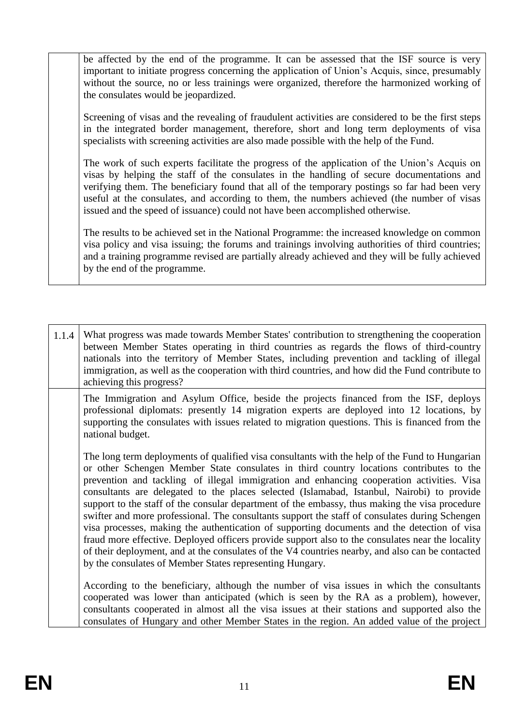be affected by the end of the programme. It can be assessed that the ISF source is very important to initiate progress concerning the application of Union's Acquis, since, presumably without the source, no or less trainings were organized, therefore the harmonized working of the consulates would be jeopardized.

Screening of visas and the revealing of fraudulent activities are considered to be the first steps in the integrated border management, therefore, short and long term deployments of visa specialists with screening activities are also made possible with the help of the Fund.

The work of such experts facilitate the progress of the application of the Union's Acquis on visas by helping the staff of the consulates in the handling of secure documentations and verifying them. The beneficiary found that all of the temporary postings so far had been very useful at the consulates, and according to them, the numbers achieved (the number of visas issued and the speed of issuance) could not have been accomplished otherwise.

The results to be achieved set in the National Programme: the increased knowledge on common visa policy and visa issuing; the forums and trainings involving authorities of third countries; and a training programme revised are partially already achieved and they will be fully achieved by the end of the programme.

1.1.4 What progress was made towards Member States' contribution to strengthening the cooperation between Member States operating in third countries as regards the flows of third-country nationals into the territory of Member States, including prevention and tackling of illegal immigration, as well as the cooperation with third countries, and how did the Fund contribute to achieving this progress? The Immigration and Asylum Office, beside the projects financed from the ISF, deploys professional diplomats: presently 14 migration experts are deployed into 12 locations, by supporting the consulates with issues related to migration questions. This is financed from the national budget. The long term deployments of qualified visa consultants with the help of the Fund to Hungarian or other Schengen Member State consulates in third country locations contributes to the prevention and tackling of illegal immigration and enhancing cooperation activities. Visa consultants are delegated to the places selected (Islamabad, Istanbul, Nairobi) to provide support to the staff of the consular department of the embassy, thus making the visa procedure swifter and more professional. The consultants support the staff of consulates during Schengen visa processes, making the authentication of supporting documents and the detection of visa fraud more effective. Deployed officers provide support also to the consulates near the locality of their deployment, and at the consulates of the V4 countries nearby, and also can be contacted by the consulates of Member States representing Hungary. According to the beneficiary, although the number of visa issues in which the consultants cooperated was lower than anticipated (which is seen by the RA as a problem), however, consultants cooperated in almost all the visa issues at their stations and supported also the consulates of Hungary and other Member States in the region. An added value of the project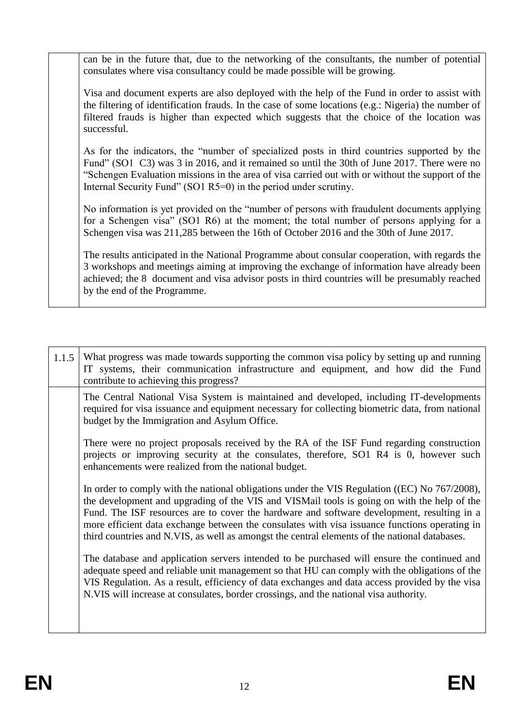can be in the future that, due to the networking of the consultants, the number of potential consulates where visa consultancy could be made possible will be growing.

Visa and document experts are also deployed with the help of the Fund in order to assist with the filtering of identification frauds. In the case of some locations (e.g.: Nigeria) the number of filtered frauds is higher than expected which suggests that the choice of the location was successful.

As for the indicators, the "number of specialized posts in third countries supported by the Fund" (SO1 C3) was 3 in 2016, and it remained so until the 30th of June 2017. There were no "Schengen Evaluation missions in the area of visa carried out with or without the support of the Internal Security Fund" (SO1 R5=0) in the period under scrutiny.

No information is yet provided on the "number of persons with fraudulent documents applying for a Schengen visa" (SO1 R6) at the moment; the total number of persons applying for a Schengen visa was 211,285 between the 16th of October 2016 and the 30th of June 2017.

The results anticipated in the National Programme about consular cooperation, with regards the 3 workshops and meetings aiming at improving the exchange of information have already been achieved; the 8 document and visa advisor posts in third countries will be presumably reached by the end of the Programme.

1.1.5 What progress was made towards supporting the common visa policy by setting up and running IT systems, their communication infrastructure and equipment, and how did the Fund contribute to achieving this progress? The Central National Visa System is maintained and developed, including IT-developments required for visa issuance and equipment necessary for collecting biometric data, from national budget by the Immigration and Asylum Office. There were no project proposals received by the RA of the ISF Fund regarding construction projects or improving security at the consulates, therefore, SO1 R4 is 0, however such enhancements were realized from the national budget. In order to comply with the national obligations under the VIS Regulation ((EC) No 767/2008), the development and upgrading of the VIS and VISMail tools is going on with the help of the Fund. The ISF resources are to cover the hardware and software development, resulting in a more efficient data exchange between the consulates with visa issuance functions operating in third countries and N.VIS, as well as amongst the central elements of the national databases. The database and application servers intended to be purchased will ensure the continued and adequate speed and reliable unit management so that HU can comply with the obligations of the VIS Regulation. As a result, efficiency of data exchanges and data access provided by the visa N.VIS will increase at consulates, border crossings, and the national visa authority.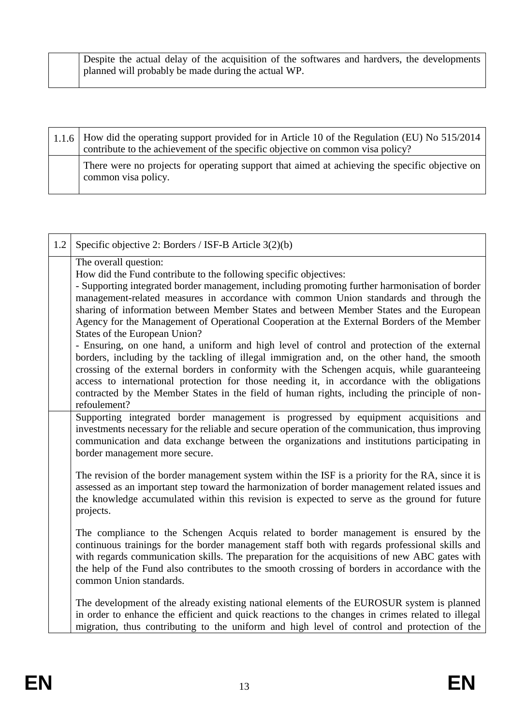|  | Despite the actual delay of the acquisition of the softwares and hardvers, the developments |
|--|---------------------------------------------------------------------------------------------|
|  | planned will probably be made during the actual WP.                                         |
|  |                                                                                             |

| $1.1.6$ How did the operating support provided for in Article 10 of the Regulation (EU) No 515/2014<br>contribute to the achievement of the specific objective on common visa policy? |
|---------------------------------------------------------------------------------------------------------------------------------------------------------------------------------------|
| There were no projects for operating support that aimed at achieving the specific objective on<br>common visa policy.                                                                 |

| 1.2 | Specific objective 2: Borders / ISF-B Article 3(2)(b)                                                                                                                                                                                                                                                                                                                                                                                                                                                                                                                                                                                                                                                                                                                                                                                                                                                                                                                                                                         |
|-----|-------------------------------------------------------------------------------------------------------------------------------------------------------------------------------------------------------------------------------------------------------------------------------------------------------------------------------------------------------------------------------------------------------------------------------------------------------------------------------------------------------------------------------------------------------------------------------------------------------------------------------------------------------------------------------------------------------------------------------------------------------------------------------------------------------------------------------------------------------------------------------------------------------------------------------------------------------------------------------------------------------------------------------|
|     | The overall question:<br>How did the Fund contribute to the following specific objectives:<br>- Supporting integrated border management, including promoting further harmonisation of border<br>management-related measures in accordance with common Union standards and through the<br>sharing of information between Member States and between Member States and the European<br>Agency for the Management of Operational Cooperation at the External Borders of the Member<br>States of the European Union?<br>- Ensuring, on one hand, a uniform and high level of control and protection of the external<br>borders, including by the tackling of illegal immigration and, on the other hand, the smooth<br>crossing of the external borders in conformity with the Schengen acquis, while guaranteeing<br>access to international protection for those needing it, in accordance with the obligations<br>contracted by the Member States in the field of human rights, including the principle of non-<br>refoulement? |
|     | Supporting integrated border management is progressed by equipment acquisitions and<br>investments necessary for the reliable and secure operation of the communication, thus improving<br>communication and data exchange between the organizations and institutions participating in<br>border management more secure.                                                                                                                                                                                                                                                                                                                                                                                                                                                                                                                                                                                                                                                                                                      |
|     | The revision of the border management system within the ISF is a priority for the RA, since it is<br>assessed as an important step toward the harmonization of border management related issues and<br>the knowledge accumulated within this revision is expected to serve as the ground for future<br>projects.                                                                                                                                                                                                                                                                                                                                                                                                                                                                                                                                                                                                                                                                                                              |
|     | The compliance to the Schengen Acquis related to border management is ensured by the<br>continuous trainings for the border management staff both with regards professional skills and<br>with regards communication skills. The preparation for the acquisitions of new ABC gates with<br>the help of the Fund also contributes to the smooth crossing of borders in accordance with the<br>common Union standards.                                                                                                                                                                                                                                                                                                                                                                                                                                                                                                                                                                                                          |
|     | The development of the already existing national elements of the EUROSUR system is planned<br>in order to enhance the efficient and quick reactions to the changes in crimes related to illegal<br>migration, thus contributing to the uniform and high level of control and protection of the                                                                                                                                                                                                                                                                                                                                                                                                                                                                                                                                                                                                                                                                                                                                |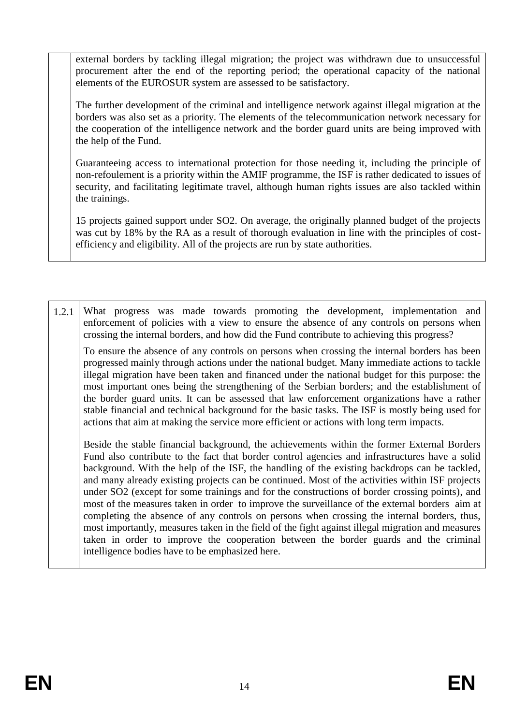external borders by tackling illegal migration; the project was withdrawn due to unsuccessful procurement after the end of the reporting period; the operational capacity of the national elements of the EUROSUR system are assessed to be satisfactory.

The further development of the criminal and intelligence network against illegal migration at the borders was also set as a priority. The elements of the telecommunication network necessary for the cooperation of the intelligence network and the border guard units are being improved with the help of the Fund.

Guaranteeing access to international protection for those needing it, including the principle of non-refoulement is a priority within the AMIF programme, the ISF is rather dedicated to issues of security, and facilitating legitimate travel, although human rights issues are also tackled within the trainings.

15 projects gained support under SO2. On average, the originally planned budget of the projects was cut by 18% by the RA as a result of thorough evaluation in line with the principles of costefficiency and eligibility. All of the projects are run by state authorities.

1.2.1 What progress was made towards promoting the development, implementation and enforcement of policies with a view to ensure the absence of any controls on persons when crossing the internal borders, and how did the Fund contribute to achieving this progress? To ensure the absence of any controls on persons when crossing the internal borders has been progressed mainly through actions under the national budget. Many immediate actions to tackle illegal migration have been taken and financed under the national budget for this purpose: the most important ones being the strengthening of the Serbian borders; and the establishment of the border guard units. It can be assessed that law enforcement organizations have a rather stable financial and technical background for the basic tasks. The ISF is mostly being used for actions that aim at making the service more efficient or actions with long term impacts. Beside the stable financial background, the achievements within the former External Borders Fund also contribute to the fact that border control agencies and infrastructures have a solid background. With the help of the ISF, the handling of the existing backdrops can be tackled, and many already existing projects can be continued. Most of the activities within ISF projects under SO2 (except for some trainings and for the constructions of border crossing points), and most of the measures taken in order to improve the surveillance of the external borders aim at completing the absence of any controls on persons when crossing the internal borders, thus, most importantly, measures taken in the field of the fight against illegal migration and measures taken in order to improve the cooperation between the border guards and the criminal intelligence bodies have to be emphasized here.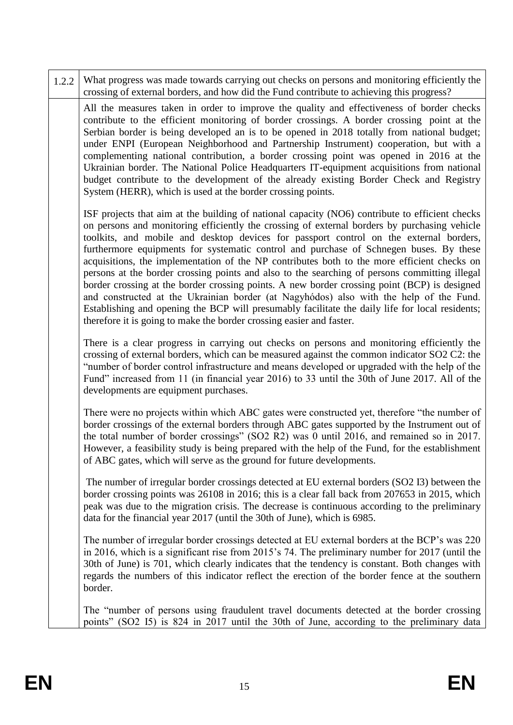| 1.2.2 | What progress was made towards carrying out checks on persons and monitoring efficiently the<br>crossing of external borders, and how did the Fund contribute to achieving this progress?                                                                                                                                                                                                                                                                                                                                                                                                                                                                                                                                                                                                                                                                                                                                                                |
|-------|----------------------------------------------------------------------------------------------------------------------------------------------------------------------------------------------------------------------------------------------------------------------------------------------------------------------------------------------------------------------------------------------------------------------------------------------------------------------------------------------------------------------------------------------------------------------------------------------------------------------------------------------------------------------------------------------------------------------------------------------------------------------------------------------------------------------------------------------------------------------------------------------------------------------------------------------------------|
|       | All the measures taken in order to improve the quality and effectiveness of border checks<br>contribute to the efficient monitoring of border crossings. A border crossing point at the<br>Serbian border is being developed an is to be opened in 2018 totally from national budget;<br>under ENPI (European Neighborhood and Partnership Instrument) cooperation, but with a<br>complementing national contribution, a border crossing point was opened in 2016 at the<br>Ukrainian border. The National Police Headquarters IT-equipment acquisitions from national<br>budget contribute to the development of the already existing Border Check and Registry<br>System (HERR), which is used at the border crossing points.                                                                                                                                                                                                                          |
|       | ISF projects that aim at the building of national capacity (NO6) contribute to efficient checks<br>on persons and monitoring efficiently the crossing of external borders by purchasing vehicle<br>toolkits, and mobile and desktop devices for passport control on the external borders,<br>furthermore equipments for systematic control and purchase of Schnegen buses. By these<br>acquisitions, the implementation of the NP contributes both to the more efficient checks on<br>persons at the border crossing points and also to the searching of persons committing illegal<br>border crossing at the border crossing points. A new border crossing point (BCP) is designed<br>and constructed at the Ukrainian border (at Nagyhódos) also with the help of the Fund.<br>Establishing and opening the BCP will presumably facilitate the daily life for local residents;<br>therefore it is going to make the border crossing easier and faster. |
|       | There is a clear progress in carrying out checks on persons and monitoring efficiently the<br>crossing of external borders, which can be measured against the common indicator SO2 C2: the<br>"number of border control infrastructure and means developed or upgraded with the help of the<br>Fund" increased from 11 (in financial year 2016) to 33 until the 30th of June 2017. All of the<br>developments are equipment purchases.                                                                                                                                                                                                                                                                                                                                                                                                                                                                                                                   |
|       | There were no projects within which ABC gates were constructed yet, therefore "the number of<br>border crossings of the external borders through ABC gates supported by the Instrument out of<br>the total number of border crossings" (SO2 R2) was 0 until 2016, and remained so in 2017.<br>However, a feasibility study is being prepared with the help of the Fund, for the establishment<br>of ABC gates, which will serve as the ground for future developments.                                                                                                                                                                                                                                                                                                                                                                                                                                                                                   |
|       | The number of irregular border crossings detected at EU external borders (SO2 I3) between the<br>border crossing points was 26108 in 2016; this is a clear fall back from 207653 in 2015, which<br>peak was due to the migration crisis. The decrease is continuous according to the preliminary<br>data for the financial year 2017 (until the 30th of June), which is 6985.                                                                                                                                                                                                                                                                                                                                                                                                                                                                                                                                                                            |
|       | The number of irregular border crossings detected at EU external borders at the BCP's was 220<br>in 2016, which is a significant rise from 2015's 74. The preliminary number for 2017 (until the<br>30th of June) is 701, which clearly indicates that the tendency is constant. Both changes with<br>regards the numbers of this indicator reflect the erection of the border fence at the southern<br>border.                                                                                                                                                                                                                                                                                                                                                                                                                                                                                                                                          |
|       | The "number of persons using fraudulent travel documents detected at the border crossing<br>points" (SO2 I5) is 824 in 2017 until the 30th of June, according to the preliminary data                                                                                                                                                                                                                                                                                                                                                                                                                                                                                                                                                                                                                                                                                                                                                                    |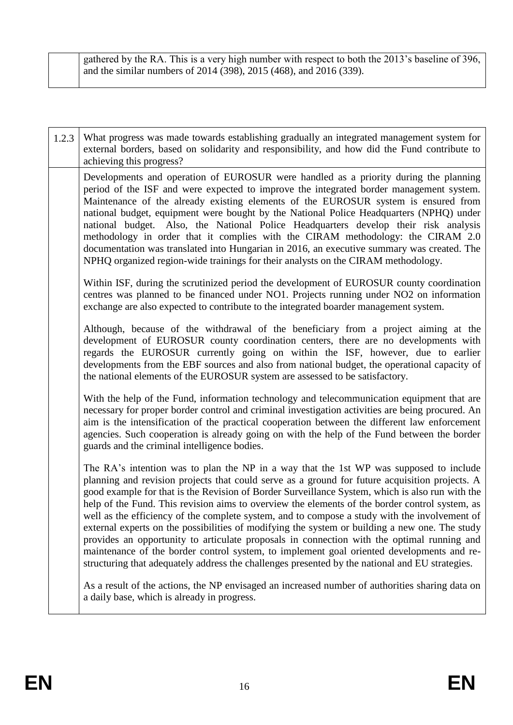gathered by the RA. This is a very high number with respect to both the 2013's baseline of 396, and the similar numbers of 2014 (398), 2015 (468), and 2016 (339).

| 1.2.3 | What progress was made towards establishing gradually an integrated management system for<br>external borders, based on solidarity and responsibility, and how did the Fund contribute to<br>achieving this progress?                                                                                                                                                                                                                                                                                                                                                                                                                                                                                                                                                                                                                                                                          |
|-------|------------------------------------------------------------------------------------------------------------------------------------------------------------------------------------------------------------------------------------------------------------------------------------------------------------------------------------------------------------------------------------------------------------------------------------------------------------------------------------------------------------------------------------------------------------------------------------------------------------------------------------------------------------------------------------------------------------------------------------------------------------------------------------------------------------------------------------------------------------------------------------------------|
|       | Developments and operation of EUROSUR were handled as a priority during the planning<br>period of the ISF and were expected to improve the integrated border management system.<br>Maintenance of the already existing elements of the EUROSUR system is ensured from<br>national budget, equipment were bought by the National Police Headquarters (NPHQ) under<br>national budget. Also, the National Police Headquarters develop their risk analysis<br>methodology in order that it complies with the CIRAM methodology: the CIRAM 2.0<br>documentation was translated into Hungarian in 2016, an executive summary was created. The<br>NPHQ organized region-wide trainings for their analysts on the CIRAM methodology.                                                                                                                                                                  |
|       | Within ISF, during the scrutinized period the development of EUROSUR county coordination<br>centres was planned to be financed under NO1. Projects running under NO2 on information<br>exchange are also expected to contribute to the integrated boarder management system.                                                                                                                                                                                                                                                                                                                                                                                                                                                                                                                                                                                                                   |
|       | Although, because of the withdrawal of the beneficiary from a project aiming at the<br>development of EUROSUR county coordination centers, there are no developments with<br>regards the EUROSUR currently going on within the ISF, however, due to earlier<br>developments from the EBF sources and also from national budget, the operational capacity of<br>the national elements of the EUROSUR system are assessed to be satisfactory.                                                                                                                                                                                                                                                                                                                                                                                                                                                    |
|       | With the help of the Fund, information technology and telecommunication equipment that are<br>necessary for proper border control and criminal investigation activities are being procured. An<br>aim is the intensification of the practical cooperation between the different law enforcement<br>agencies. Such cooperation is already going on with the help of the Fund between the border<br>guards and the criminal intelligence bodies.                                                                                                                                                                                                                                                                                                                                                                                                                                                 |
|       | The RA's intention was to plan the NP in a way that the 1st WP was supposed to include<br>planning and revision projects that could serve as a ground for future acquisition projects. A<br>good example for that is the Revision of Border Surveillance System, which is also run with the<br>help of the Fund. This revision aims to overview the elements of the border control system, as<br>well as the efficiency of the complete system, and to compose a study with the involvement of<br>external experts on the possibilities of modifying the system or building a new one. The study<br>provides an opportunity to articulate proposals in connection with the optimal running and<br>maintenance of the border control system, to implement goal oriented developments and re-<br>structuring that adequately address the challenges presented by the national and EU strategies. |
|       | As a result of the actions, the NP envisaged an increased number of authorities sharing data on<br>a daily base, which is already in progress.                                                                                                                                                                                                                                                                                                                                                                                                                                                                                                                                                                                                                                                                                                                                                 |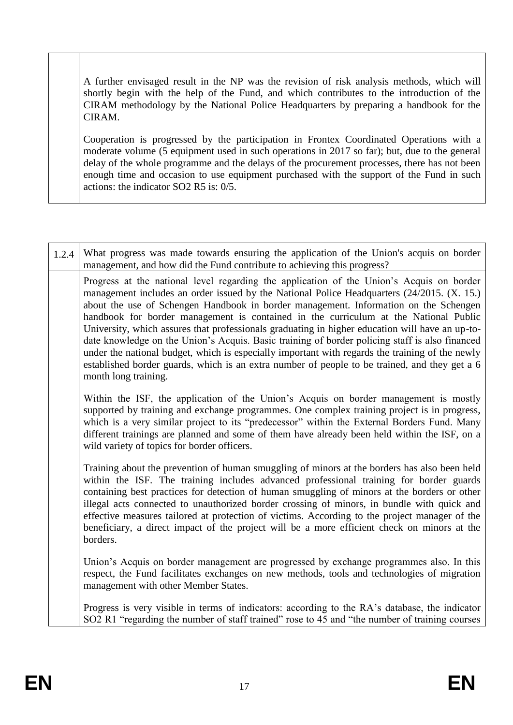A further envisaged result in the NP was the revision of risk analysis methods, which will shortly begin with the help of the Fund, and which contributes to the introduction of the CIRAM methodology by the National Police Headquarters by preparing a handbook for the CIRAM.

Cooperation is progressed by the participation in Frontex Coordinated Operations with a moderate volume (5 equipment used in such operations in 2017 so far); but, due to the general delay of the whole programme and the delays of the procurement processes, there has not been enough time and occasion to use equipment purchased with the support of the Fund in such actions: the indicator SO2 R5 is: 0/5.

| 1.2.4 | What progress was made towards ensuring the application of the Union's acquis on border<br>management, and how did the Fund contribute to achieving this progress?                                                                                                                                                                                                                                                                                                                                                                                                                                                                                                                                                                                                                                      |
|-------|---------------------------------------------------------------------------------------------------------------------------------------------------------------------------------------------------------------------------------------------------------------------------------------------------------------------------------------------------------------------------------------------------------------------------------------------------------------------------------------------------------------------------------------------------------------------------------------------------------------------------------------------------------------------------------------------------------------------------------------------------------------------------------------------------------|
|       | Progress at the national level regarding the application of the Union's Acquis on border<br>management includes an order issued by the National Police Headquarters (24/2015. (X. 15.)<br>about the use of Schengen Handbook in border management. Information on the Schengen<br>handbook for border management is contained in the curriculum at the National Public<br>University, which assures that professionals graduating in higher education will have an up-to-<br>date knowledge on the Union's Acquis. Basic training of border policing staff is also financed<br>under the national budget, which is especially important with regards the training of the newly<br>established border guards, which is an extra number of people to be trained, and they get a 6<br>month long training. |
|       | Within the ISF, the application of the Union's Acquis on border management is mostly<br>supported by training and exchange programmes. One complex training project is in progress,<br>which is a very similar project to its "predecessor" within the External Borders Fund. Many<br>different trainings are planned and some of them have already been held within the ISF, on a<br>wild variety of topics for border officers.                                                                                                                                                                                                                                                                                                                                                                       |
|       | Training about the prevention of human smuggling of minors at the borders has also been held<br>within the ISF. The training includes advanced professional training for border guards<br>containing best practices for detection of human smuggling of minors at the borders or other<br>illegal acts connected to unauthorized border crossing of minors, in bundle with quick and<br>effective measures tailored at protection of victims. According to the project manager of the<br>beneficiary, a direct impact of the project will be a more efficient check on minors at the<br>borders.                                                                                                                                                                                                        |
|       | Union's Acquis on border management are progressed by exchange programmes also. In this<br>respect, the Fund facilitates exchanges on new methods, tools and technologies of migration<br>management with other Member States.                                                                                                                                                                                                                                                                                                                                                                                                                                                                                                                                                                          |
|       | Progress is very visible in terms of indicators: according to the RA's database, the indicator<br>SO2 R1 "regarding the number of staff trained" rose to 45 and "the number of training courses                                                                                                                                                                                                                                                                                                                                                                                                                                                                                                                                                                                                         |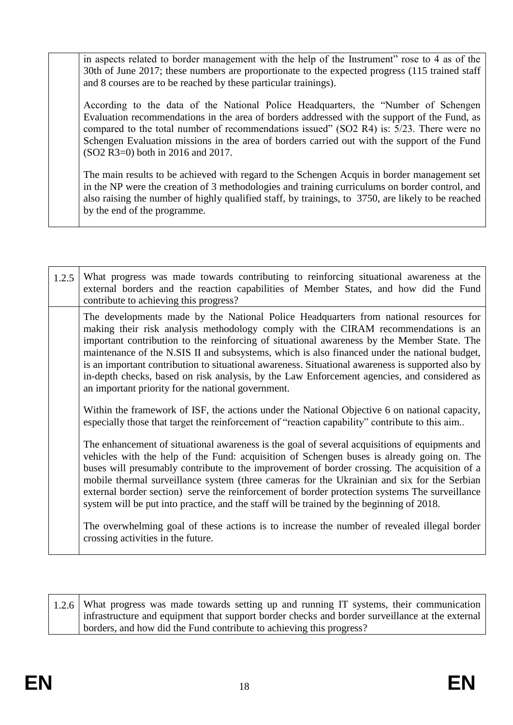in aspects related to border management with the help of the Instrument" rose to 4 as of the 30th of June 2017; these numbers are proportionate to the expected progress (115 trained staff and 8 courses are to be reached by these particular trainings).

According to the data of the National Police Headquarters, the "Number of Schengen Evaluation recommendations in the area of borders addressed with the support of the Fund, as compared to the total number of recommendations issued" (SO2 R4) is: 5/23. There were no Schengen Evaluation missions in the area of borders carried out with the support of the Fund (SO2 R3=0) both in 2016 and 2017.

The main results to be achieved with regard to the Schengen Acquis in border management set in the NP were the creation of 3 methodologies and training curriculums on border control, and also raising the number of highly qualified staff, by trainings, to 3750, are likely to be reached by the end of the programme.

| 1.2.5 | What progress was made towards contributing to reinforcing situational awareness at the<br>external borders and the reaction capabilities of Member States, and how did the Fund<br>contribute to achieving this progress?                                                                                                                                                                                                                                                                                                                                                                                                            |
|-------|---------------------------------------------------------------------------------------------------------------------------------------------------------------------------------------------------------------------------------------------------------------------------------------------------------------------------------------------------------------------------------------------------------------------------------------------------------------------------------------------------------------------------------------------------------------------------------------------------------------------------------------|
|       | The developments made by the National Police Headquarters from national resources for<br>making their risk analysis methodology comply with the CIRAM recommendations is an<br>important contribution to the reinforcing of situational awareness by the Member State. The<br>maintenance of the N.SIS II and subsystems, which is also financed under the national budget,<br>is an important contribution to situational awareness. Situational awareness is supported also by<br>in-depth checks, based on risk analysis, by the Law Enforcement agencies, and considered as<br>an important priority for the national government. |
|       | Within the framework of ISF, the actions under the National Objective 6 on national capacity,<br>especially those that target the reinforcement of "reaction capability" contribute to this aim                                                                                                                                                                                                                                                                                                                                                                                                                                       |
|       | The enhancement of situational awareness is the goal of several acquisitions of equipments and<br>vehicles with the help of the Fund: acquisition of Schengen buses is already going on. The<br>buses will presumably contribute to the improvement of border crossing. The acquisition of a<br>mobile thermal surveillance system (three cameras for the Ukrainian and six for the Serbian<br>external border section) serve the reinforcement of border protection systems The surveillance<br>system will be put into practice, and the staff will be trained by the beginning of 2018.                                            |
|       | The overwhelming goal of these actions is to increase the number of revealed illegal border<br>crossing activities in the future.                                                                                                                                                                                                                                                                                                                                                                                                                                                                                                     |

| $1.2.6$ What progress was made towards setting up and running IT systems, their communication   |
|-------------------------------------------------------------------------------------------------|
| infrastructure and equipment that support border checks and border surveillance at the external |
| borders, and how did the Fund contribute to achieving this progress?                            |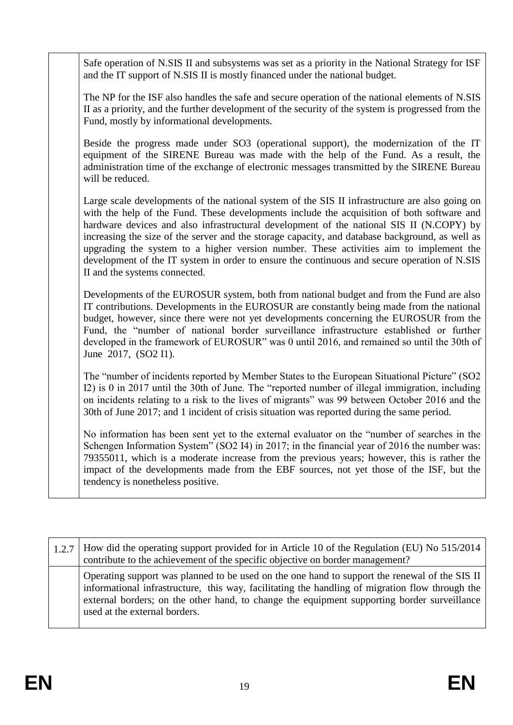Safe operation of N.SIS II and subsystems was set as a priority in the National Strategy for ISF and the IT support of N.SIS II is mostly financed under the national budget.

The NP for the ISF also handles the safe and secure operation of the national elements of N.SIS II as a priority, and the further development of the security of the system is progressed from the Fund, mostly by informational developments.

Beside the progress made under SO3 (operational support), the modernization of the IT equipment of the SIRENE Bureau was made with the help of the Fund. As a result, the administration time of the exchange of electronic messages transmitted by the SIRENE Bureau will be reduced.

Large scale developments of the national system of the SIS II infrastructure are also going on with the help of the Fund. These developments include the acquisition of both software and hardware devices and also infrastructural development of the national SIS II (N.COPY) by increasing the size of the server and the storage capacity, and database background, as well as upgrading the system to a higher version number. These activities aim to implement the development of the IT system in order to ensure the continuous and secure operation of N.SIS II and the systems connected.

Developments of the EUROSUR system, both from national budget and from the Fund are also IT contributions. Developments in the EUROSUR are constantly being made from the national budget, however, since there were not yet developments concerning the EUROSUR from the Fund, the "number of national border surveillance infrastructure established or further developed in the framework of EUROSUR" was 0 until 2016, and remained so until the 30th of June 2017, (SO2 I1).

The "number of incidents reported by Member States to the European Situational Picture" (SO2 I2) is 0 in 2017 until the 30th of June. The "reported number of illegal immigration, including on incidents relating to a risk to the lives of migrants" was 99 between October 2016 and the 30th of June 2017; and 1 incident of crisis situation was reported during the same period.

No information has been sent yet to the external evaluator on the "number of searches in the Schengen Information System" (SO2 I4) in 2017; in the financial year of 2016 the number was: 79355011, which is a moderate increase from the previous years; however, this is rather the impact of the developments made from the EBF sources, not yet those of the ISF, but the tendency is nonetheless positive.

1.2.7 How did the operating support provided for in Article 10 of the Regulation (EU) No 515/2014 contribute to the achievement of the specific objective on border management? Operating support was planned to be used on the one hand to support the renewal of the SIS II informational infrastructure, this way, facilitating the handling of migration flow through the external borders; on the other hand, to change the equipment supporting border surveillance used at the external borders.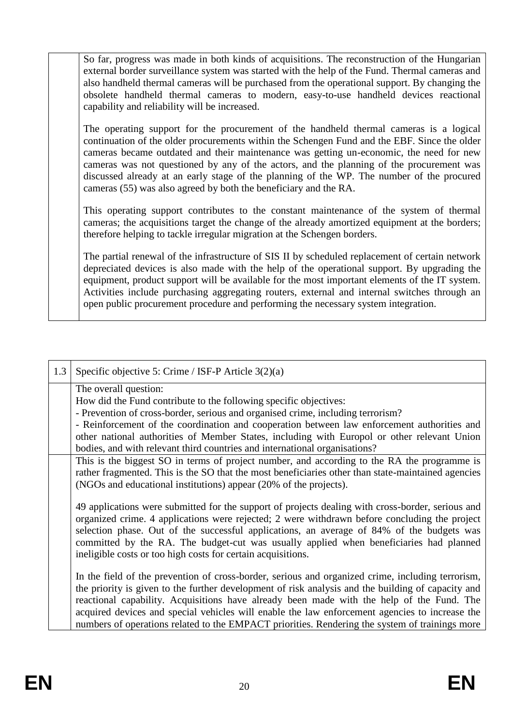So far, progress was made in both kinds of acquisitions. The reconstruction of the Hungarian external border surveillance system was started with the help of the Fund. Thermal cameras and also handheld thermal cameras will be purchased from the operational support. By changing the obsolete handheld thermal cameras to modern, easy-to-use handheld devices reactional capability and reliability will be increased.

The operating support for the procurement of the handheld thermal cameras is a logical continuation of the older procurements within the Schengen Fund and the EBF. Since the older cameras became outdated and their maintenance was getting un-economic, the need for new cameras was not questioned by any of the actors, and the planning of the procurement was discussed already at an early stage of the planning of the WP. The number of the procured cameras (55) was also agreed by both the beneficiary and the RA.

This operating support contributes to the constant maintenance of the system of thermal cameras; the acquisitions target the change of the already amortized equipment at the borders; therefore helping to tackle irregular migration at the Schengen borders.

The partial renewal of the infrastructure of SIS II by scheduled replacement of certain network depreciated devices is also made with the help of the operational support. By upgrading the equipment, product support will be available for the most important elements of the IT system. Activities include purchasing aggregating routers, external and internal switches through an open public procurement procedure and performing the necessary system integration.

| 1.3 | Specific objective 5: Crime / ISF-P Article $3(2)(a)$                                                                                                                                                                                                                                                                                                                                                                                                                                                    |
|-----|----------------------------------------------------------------------------------------------------------------------------------------------------------------------------------------------------------------------------------------------------------------------------------------------------------------------------------------------------------------------------------------------------------------------------------------------------------------------------------------------------------|
|     | The overall question:<br>How did the Fund contribute to the following specific objectives:<br>- Prevention of cross-border, serious and organised crime, including terrorism?<br>- Reinforcement of the coordination and cooperation between law enforcement authorities and<br>other national authorities of Member States, including with Europol or other relevant Union                                                                                                                              |
|     | bodies, and with relevant third countries and international organisations?<br>This is the biggest SO in terms of project number, and according to the RA the programme is<br>rather fragmented. This is the SO that the most beneficiaries other than state-maintained agencies<br>(NGOs and educational institutions) appear (20% of the projects).                                                                                                                                                     |
|     | 49 applications were submitted for the support of projects dealing with cross-border, serious and<br>organized crime. 4 applications were rejected; 2 were withdrawn before concluding the project<br>selection phase. Out of the successful applications, an average of 84% of the budgets was<br>committed by the RA. The budget-cut was usually applied when beneficiaries had planned<br>ineligible costs or too high costs for certain acquisitions.                                                |
|     | In the field of the prevention of cross-border, serious and organized crime, including terrorism,<br>the priority is given to the further development of risk analysis and the building of capacity and<br>reactional capability. Acquisitions have already been made with the help of the Fund. The<br>acquired devices and special vehicles will enable the law enforcement agencies to increase the<br>numbers of operations related to the EMPACT priorities. Rendering the system of trainings more |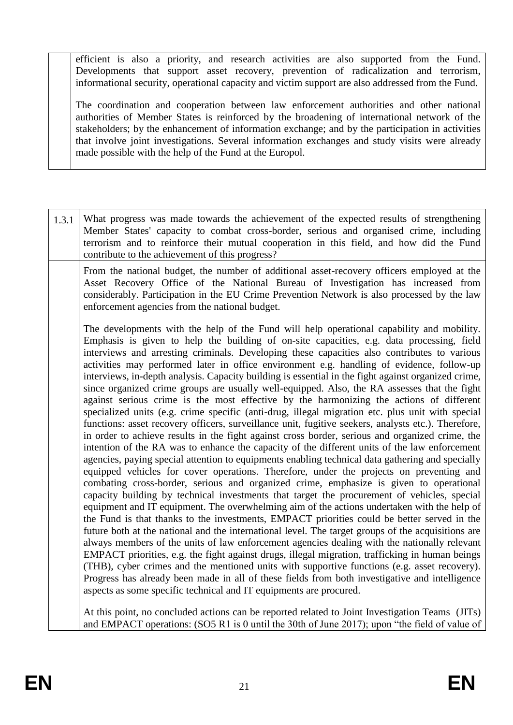efficient is also a priority, and research activities are also supported from the Fund. Developments that support asset recovery, prevention of radicalization and terrorism, informational security, operational capacity and victim support are also addressed from the Fund.

The coordination and cooperation between law enforcement authorities and other national authorities of Member States is reinforced by the broadening of international network of the stakeholders; by the enhancement of information exchange; and by the participation in activities that involve joint investigations. Several information exchanges and study visits were already made possible with the help of the Fund at the Europol.

1.3.1 What progress was made towards the achievement of the expected results of strengthening Member States' capacity to combat cross-border, serious and organised crime, including terrorism and to reinforce their mutual cooperation in this field, and how did the Fund contribute to the achievement of this progress? From the national budget, the number of additional asset-recovery officers employed at the Asset Recovery Office of the National Bureau of Investigation has increased from considerably. Participation in the EU Crime Prevention Network is also processed by the law enforcement agencies from the national budget. The developments with the help of the Fund will help operational capability and mobility. Emphasis is given to help the building of on-site capacities, e.g. data processing, field interviews and arresting criminals. Developing these capacities also contributes to various activities may performed later in office environment e.g. handling of evidence, follow-up interviews, in-depth analysis. Capacity building is essential in the fight against organized crime, since organized crime groups are usually well-equipped. Also, the RA assesses that the fight against serious crime is the most effective by the harmonizing the actions of different specialized units (e.g. crime specific (anti-drug, illegal migration etc. plus unit with special functions: asset recovery officers, surveillance unit, fugitive seekers, analysts etc.). Therefore, in order to achieve results in the fight against cross border, serious and organized crime, the intention of the RA was to enhance the capacity of the different units of the law enforcement agencies, paying special attention to equipments enabling technical data gathering and specially equipped vehicles for cover operations. Therefore, under the projects on preventing and combating cross-border, serious and organized crime, emphasize is given to operational capacity building by technical investments that target the procurement of vehicles, special equipment and IT equipment. The overwhelming aim of the actions undertaken with the help of the Fund is that thanks to the investments, EMPACT priorities could be better served in the future both at the national and the international level. The target groups of the acquisitions are always members of the units of law enforcement agencies dealing with the nationally relevant EMPACT priorities, e.g. the fight against drugs, illegal migration, trafficking in human beings (THB), cyber crimes and the mentioned units with supportive functions (e.g. asset recovery). Progress has already been made in all of these fields from both investigative and intelligence aspects as some specific technical and IT equipments are procured. At this point, no concluded actions can be reported related to Joint Investigation Teams (JITs) and EMPACT operations: (SO5 R1 is 0 until the 30th of June 2017); upon "the field of value of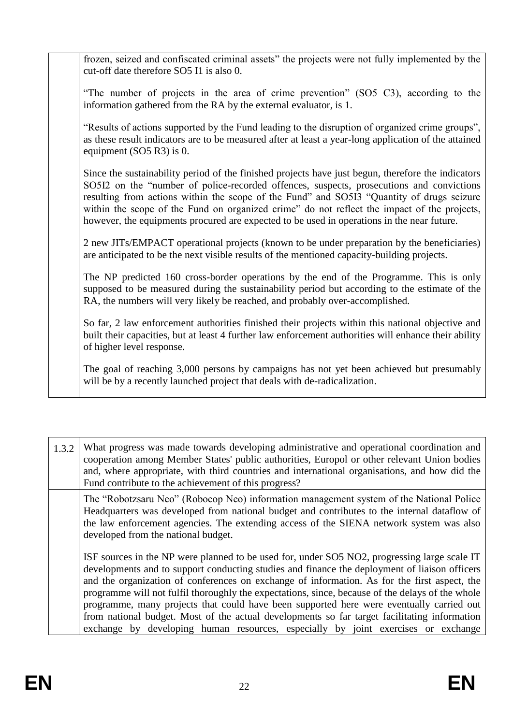frozen, seized and confiscated criminal assets" the projects were not fully implemented by the cut-off date therefore SO5 I1 is also 0.

"The number of projects in the area of crime prevention" (SO5 C3), according to the information gathered from the RA by the external evaluator, is 1.

"Results of actions supported by the Fund leading to the disruption of organized crime groups", as these result indicators are to be measured after at least a year-long application of the attained equipment (SO5 R3) is 0.

Since the sustainability period of the finished projects have just begun, therefore the indicators SO5I2 on the "number of police-recorded offences, suspects, prosecutions and convictions resulting from actions within the scope of the Fund" and SO5I3 "Quantity of drugs seizure within the scope of the Fund on organized crime" do not reflect the impact of the projects, however, the equipments procured are expected to be used in operations in the near future.

2 new JITs/EMPACT operational projects (known to be under preparation by the beneficiaries) are anticipated to be the next visible results of the mentioned capacity-building projects.

The NP predicted 160 cross-border operations by the end of the Programme. This is only supposed to be measured during the sustainability period but according to the estimate of the RA, the numbers will very likely be reached, and probably over-accomplished.

So far, 2 law enforcement authorities finished their projects within this national objective and built their capacities, but at least 4 further law enforcement authorities will enhance their ability of higher level response.

The goal of reaching 3,000 persons by campaigns has not yet been achieved but presumably will be by a recently launched project that deals with de-radicalization.

1.3.2 What progress was made towards developing administrative and operational coordination and cooperation among Member States' public authorities, Europol or other relevant Union bodies and, where appropriate, with third countries and international organisations, and how did the Fund contribute to the achievement of this progress? The "Robotzsaru Neo" (Robocop Neo) information management system of the National Police Headquarters was developed from national budget and contributes to the internal dataflow of the law enforcement agencies. The extending access of the SIENA network system was also developed from the national budget. ISF sources in the NP were planned to be used for, under SO5 NO2, progressing large scale IT developments and to support conducting studies and finance the deployment of liaison officers and the organization of conferences on exchange of information. As for the first aspect, the programme will not fulfil thoroughly the expectations, since, because of the delays of the whole programme, many projects that could have been supported here were eventually carried out from national budget. Most of the actual developments so far target facilitating information exchange by developing human resources, especially by joint exercises or exchange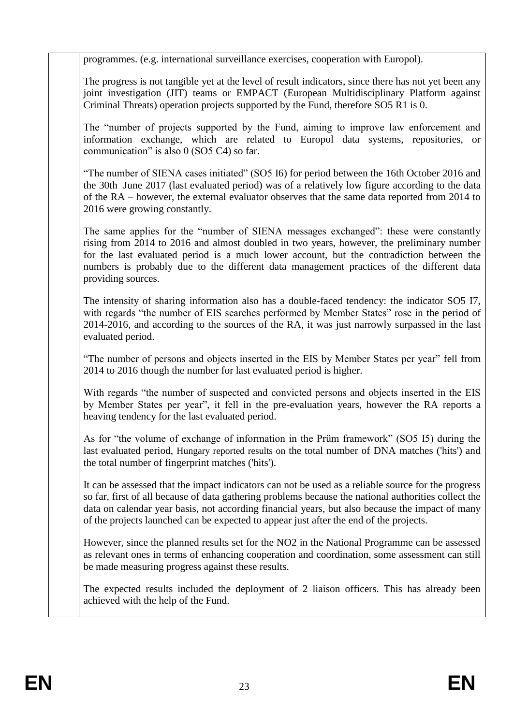programmes. (e.g. international surveillance exercises, cooperation with Europol).

The progress is not tangible yet at the level of result indicators, since there has not yet been any joint investigation (JIT) teams or EMPACT (European Multidisciplinary Platform against Criminal Threats) operation projects supported by the Fund, therefore SO5 R1 is 0.

The "number of projects supported by the Fund, aiming to improve law enforcement and information exchange, which are related to Europol data systems, repositories, or communication" is also 0 (SO5 C4) so far.

"The number of SIENA cases initiated" (SO5 I6) for period between the 16th October 2016 and the 30th June 2017 (last evaluated period) was of a relatively low figure according to the data of the RA – however, the external evaluator observes that the same data reported from 2014 to 2016 were growing constantly.

The same applies for the "number of SIENA messages exchanged": these were constantly rising from 2014 to 2016 and almost doubled in two years, however, the preliminary number for the last evaluated period is a much lower account, but the contradiction between the numbers is probably due to the different data management practices of the different data providing sources.

The intensity of sharing information also has a double-faced tendency: the indicator SO5 I7, with regards "the number of EIS searches performed by Member States" rose in the period of 2014-2016, and according to the sources of the RA, it was just narrowly surpassed in the last evaluated period.

"The number of persons and objects inserted in the EIS by Member States per year" fell from 2014 to 2016 though the number for last evaluated period is higher.

With regards "the number of suspected and convicted persons and objects inserted in the EIS by Member States per year", it fell in the pre-evaluation years, however the RA reports a heaving tendency for the last evaluated period.

As for "the volume of exchange of information in the Prüm framework" (SO5 I5) during the last evaluated period, Hungary reported results on the total number of DNA matches ('hits') and the total number of fingerprint matches ('hits').

It can be assessed that the impact indicators can not be used as a reliable source for the progress so far, first of all because of data gathering problems because the national authorities collect the data on calendar year basis, not according financial years, but also because the impact of many of the projects launched can be expected to appear just after the end of the projects.

However, since the planned results set for the NO2 in the National Programme can be assessed as relevant ones in terms of enhancing cooperation and coordination, some assessment can still be made measuring progress against these results.

The expected results included the deployment of 2 liaison officers. This has already been achieved with the help of the Fund.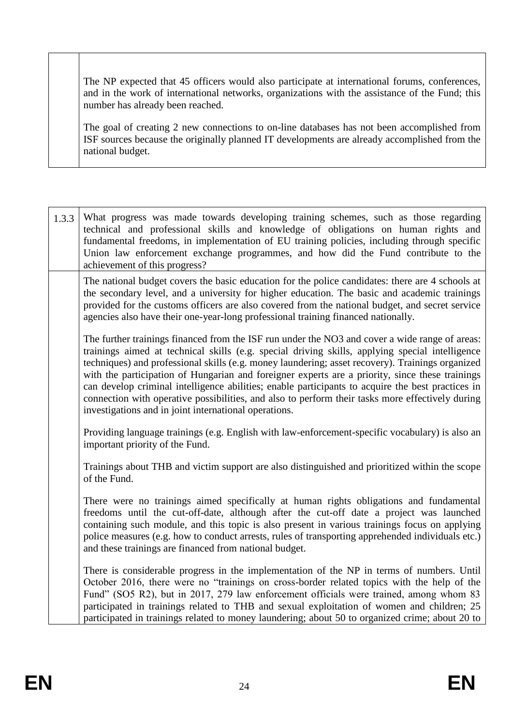The NP expected that 45 officers would also participate at international forums, conferences, and in the work of international networks, organizations with the assistance of the Fund; this number has already been reached.

The goal of creating 2 new connections to on-line databases has not been accomplished from ISF sources because the originally planned IT developments are already accomplished from the national budget.

| 1.3.3 | What progress was made towards developing training schemes, such as those regarding<br>technical and professional skills and knowledge of obligations on human rights and<br>fundamental freedoms, in implementation of EU training policies, including through specific<br>Union law enforcement exchange programmes, and how did the Fund contribute to the<br>achievement of this progress?                                                                                                                                                                                                                                                                             |
|-------|----------------------------------------------------------------------------------------------------------------------------------------------------------------------------------------------------------------------------------------------------------------------------------------------------------------------------------------------------------------------------------------------------------------------------------------------------------------------------------------------------------------------------------------------------------------------------------------------------------------------------------------------------------------------------|
|       | The national budget covers the basic education for the police candidates: there are 4 schools at<br>the secondary level, and a university for higher education. The basic and academic trainings<br>provided for the customs officers are also covered from the national budget, and secret service<br>agencies also have their one-year-long professional training financed nationally.                                                                                                                                                                                                                                                                                   |
|       | The further trainings financed from the ISF run under the NO3 and cover a wide range of areas:<br>trainings aimed at technical skills (e.g. special driving skills, applying special intelligence<br>techniques) and professional skills (e.g. money laundering; asset recovery). Trainings organized<br>with the participation of Hungarian and foreigner experts are a priority, since these trainings<br>can develop criminal intelligence abilities; enable participants to acquire the best practices in<br>connection with operative possibilities, and also to perform their tasks more effectively during<br>investigations and in joint international operations. |
|       | Providing language trainings (e.g. English with law-enforcement-specific vocabulary) is also an<br>important priority of the Fund.                                                                                                                                                                                                                                                                                                                                                                                                                                                                                                                                         |
|       | Trainings about THB and victim support are also distinguished and prioritized within the scope<br>of the Fund.                                                                                                                                                                                                                                                                                                                                                                                                                                                                                                                                                             |
|       | There were no trainings aimed specifically at human rights obligations and fundamental<br>freedoms until the cut-off-date, although after the cut-off date a project was launched<br>containing such module, and this topic is also present in various trainings focus on applying<br>police measures (e.g. how to conduct arrests, rules of transporting apprehended individuals etc.)<br>and these trainings are financed from national budget.                                                                                                                                                                                                                          |
|       | There is considerable progress in the implementation of the NP in terms of numbers. Until<br>October 2016, there were no "trainings on cross-border related topics with the help of the<br>Fund" (SO5 R2), but in 2017, 279 law enforcement officials were trained, among whom 83<br>participated in trainings related to THB and sexual exploitation of women and children; 25<br>participated in trainings related to money laundering; about 50 to organized crime; about 20 to                                                                                                                                                                                         |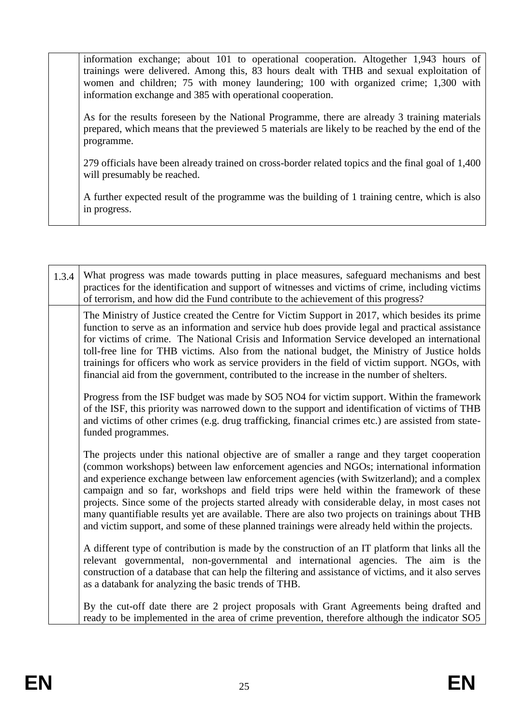| information exchange; about 101 to operational cooperation. Altogether 1,943 hours of<br>trainings were delivered. Among this, 83 hours dealt with THB and sexual exploitation of<br>women and children; 75 with money laundering; 100 with organized crime; 1,300 with<br>information exchange and 385 with operational cooperation. |
|---------------------------------------------------------------------------------------------------------------------------------------------------------------------------------------------------------------------------------------------------------------------------------------------------------------------------------------|
| As for the results foreseen by the National Programme, there are already 3 training materials<br>prepared, which means that the previewed 5 materials are likely to be reached by the end of the<br>programme.                                                                                                                        |
| 279 officials have been already trained on cross-border related topics and the final goal of 1,400<br>will presumably be reached.                                                                                                                                                                                                     |
| A further expected result of the programme was the building of 1 training centre, which is also<br>in progress.                                                                                                                                                                                                                       |
|                                                                                                                                                                                                                                                                                                                                       |

| 1.3.4 | What progress was made towards putting in place measures, safeguard mechanisms and best<br>practices for the identification and support of witnesses and victims of crime, including victims<br>of terrorism, and how did the Fund contribute to the achievement of this progress?                                                                                                                                                                                                                                                                                                                                                                                                       |
|-------|------------------------------------------------------------------------------------------------------------------------------------------------------------------------------------------------------------------------------------------------------------------------------------------------------------------------------------------------------------------------------------------------------------------------------------------------------------------------------------------------------------------------------------------------------------------------------------------------------------------------------------------------------------------------------------------|
|       | The Ministry of Justice created the Centre for Victim Support in 2017, which besides its prime<br>function to serve as an information and service hub does provide legal and practical assistance<br>for victims of crime. The National Crisis and Information Service developed an international<br>toll-free line for THB victims. Also from the national budget, the Ministry of Justice holds<br>trainings for officers who work as service providers in the field of victim support. NGOs, with<br>financial aid from the government, contributed to the increase in the number of shelters.                                                                                        |
|       | Progress from the ISF budget was made by SO5 NO4 for victim support. Within the framework<br>of the ISF, this priority was narrowed down to the support and identification of victims of THB<br>and victims of other crimes (e.g. drug trafficking, financial crimes etc.) are assisted from state-<br>funded programmes.                                                                                                                                                                                                                                                                                                                                                                |
|       | The projects under this national objective are of smaller a range and they target cooperation<br>(common workshops) between law enforcement agencies and NGOs; international information<br>and experience exchange between law enforcement agencies (with Switzerland); and a complex<br>campaign and so far, workshops and field trips were held within the framework of these<br>projects. Since some of the projects started already with considerable delay, in most cases not<br>many quantifiable results yet are available. There are also two projects on trainings about THB<br>and victim support, and some of these planned trainings were already held within the projects. |
|       | A different type of contribution is made by the construction of an IT platform that links all the<br>relevant governmental, non-governmental and international agencies. The aim is the<br>construction of a database that can help the filtering and assistance of victims, and it also serves<br>as a databank for analyzing the basic trends of THB.                                                                                                                                                                                                                                                                                                                                  |
|       | By the cut-off date there are 2 project proposals with Grant Agreements being drafted and<br>ready to be implemented in the area of crime prevention, therefore although the indicator SO5                                                                                                                                                                                                                                                                                                                                                                                                                                                                                               |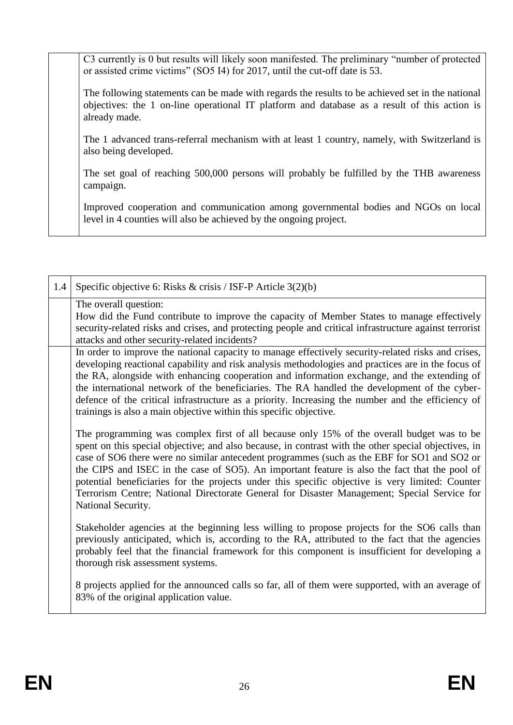C3 currently is 0 but results will likely soon manifested. The preliminary "number of protected or assisted crime victims" (SO5 I4) for 2017, until the cut-off date is 53.

The following statements can be made with regards the results to be achieved set in the national objectives: the 1 on-line operational IT platform and database as a result of this action is already made.

The 1 advanced trans-referral mechanism with at least 1 country, namely, with Switzerland is also being developed.

The set goal of reaching 500,000 persons will probably be fulfilled by the THB awareness campaign.

Improved cooperation and communication among governmental bodies and NGOs on local level in 4 counties will also be achieved by the ongoing project.

| 1.4 | Specific objective 6: Risks & crisis / ISF-P Article 3(2)(b)                                                                                                                                                                                                                                                                                                                                                                                                                                                                                                                                                              |
|-----|---------------------------------------------------------------------------------------------------------------------------------------------------------------------------------------------------------------------------------------------------------------------------------------------------------------------------------------------------------------------------------------------------------------------------------------------------------------------------------------------------------------------------------------------------------------------------------------------------------------------------|
|     | The overall question:<br>How did the Fund contribute to improve the capacity of Member States to manage effectively<br>security-related risks and crises, and protecting people and critical infrastructure against terrorist<br>attacks and other security-related incidents?                                                                                                                                                                                                                                                                                                                                            |
|     | In order to improve the national capacity to manage effectively security-related risks and crises,<br>developing reactional capability and risk analysis methodologies and practices are in the focus of<br>the RA, alongside with enhancing cooperation and information exchange, and the extending of<br>the international network of the beneficiaries. The RA handled the development of the cyber-<br>defence of the critical infrastructure as a priority. Increasing the number and the efficiency of<br>trainings is also a main objective within this specific objective.                                        |
|     | The programming was complex first of all because only 15% of the overall budget was to be<br>spent on this special objective; and also because, in contrast with the other special objectives, in<br>case of SO6 there were no similar antecedent programmes (such as the EBF for SO1 and SO2 or<br>the CIPS and ISEC in the case of SO5). An important feature is also the fact that the pool of<br>potential beneficiaries for the projects under this specific objective is very limited: Counter<br>Terrorism Centre; National Directorate General for Disaster Management; Special Service for<br>National Security. |
|     | Stakeholder agencies at the beginning less willing to propose projects for the SO6 calls than<br>previously anticipated, which is, according to the RA, attributed to the fact that the agencies<br>probably feel that the financial framework for this component is insufficient for developing a<br>thorough risk assessment systems.                                                                                                                                                                                                                                                                                   |
|     | 8 projects applied for the announced calls so far, all of them were supported, with an average of<br>83% of the original application value.                                                                                                                                                                                                                                                                                                                                                                                                                                                                               |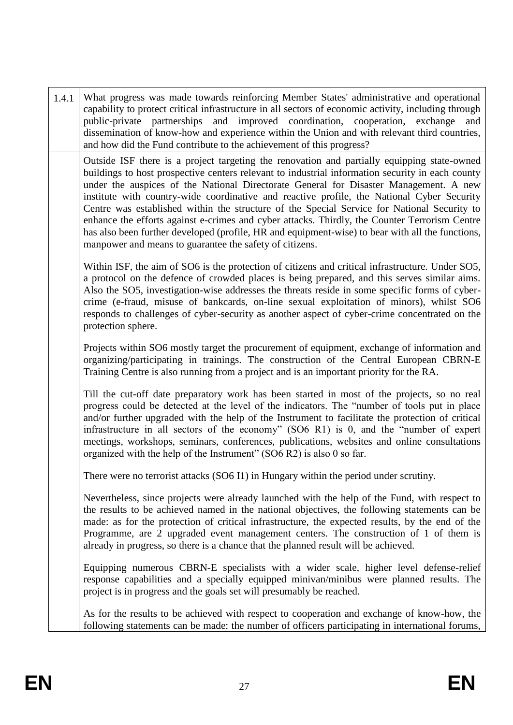|  | 1.4.1 | What progress was made towards reinforcing Member States' administrative and operational<br>capability to protect critical infrastructure in all sectors of economic activity, including through<br>public-private partnerships and improved coordination, cooperation, exchange and<br>dissemination of know-how and experience within the Union and with relevant third countries,<br>and how did the Fund contribute to the achievement of this progress?                                                                                                                                                                                                                                                                                          |
|--|-------|-------------------------------------------------------------------------------------------------------------------------------------------------------------------------------------------------------------------------------------------------------------------------------------------------------------------------------------------------------------------------------------------------------------------------------------------------------------------------------------------------------------------------------------------------------------------------------------------------------------------------------------------------------------------------------------------------------------------------------------------------------|
|  |       | Outside ISF there is a project targeting the renovation and partially equipping state-owned<br>buildings to host prospective centers relevant to industrial information security in each county<br>under the auspices of the National Directorate General for Disaster Management. A new<br>institute with country-wide coordinative and reactive profile, the National Cyber Security<br>Centre was established within the structure of the Special Service for National Security to<br>enhance the efforts against e-crimes and cyber attacks. Thirdly, the Counter Terrorism Centre<br>has also been further developed (profile, HR and equipment-wise) to bear with all the functions,<br>manpower and means to guarantee the safety of citizens. |
|  |       | Within ISF, the aim of SO6 is the protection of citizens and critical infrastructure. Under SO5,<br>a protocol on the defence of crowded places is being prepared, and this serves similar aims.<br>Also the SO5, investigation-wise addresses the threats reside in some specific forms of cyber-<br>crime (e-fraud, misuse of bankcards, on-line sexual exploitation of minors), whilst SO6<br>responds to challenges of cyber-security as another aspect of cyber-crime concentrated on the<br>protection sphere.                                                                                                                                                                                                                                  |
|  |       | Projects within SO6 mostly target the procurement of equipment, exchange of information and<br>organizing/participating in trainings. The construction of the Central European CBRN-E<br>Training Centre is also running from a project and is an important priority for the RA.                                                                                                                                                                                                                                                                                                                                                                                                                                                                      |
|  |       | Till the cut-off date preparatory work has been started in most of the projects, so no real<br>progress could be detected at the level of the indicators. The "number of tools put in place<br>and/or further upgraded with the help of the Instrument to facilitate the protection of critical<br>infrastructure in all sectors of the economy" (SO6 R1) is 0, and the "number of expert<br>meetings, workshops, seminars, conferences, publications, websites and online consultations<br>organized with the help of the Instrument" (SO6 R2) is also 0 so far.                                                                                                                                                                                     |
|  |       | There were no terrorist attacks (SO6 I1) in Hungary within the period under scrutiny.                                                                                                                                                                                                                                                                                                                                                                                                                                                                                                                                                                                                                                                                 |
|  |       | Nevertheless, since projects were already launched with the help of the Fund, with respect to<br>the results to be achieved named in the national objectives, the following statements can be<br>made: as for the protection of critical infrastructure, the expected results, by the end of the<br>Programme, are 2 upgraded event management centers. The construction of 1 of them is<br>already in progress, so there is a chance that the planned result will be achieved.                                                                                                                                                                                                                                                                       |
|  |       | Equipping numerous CBRN-E specialists with a wider scale, higher level defense-relief<br>response capabilities and a specially equipped minivan/minibus were planned results. The<br>project is in progress and the goals set will presumably be reached.                                                                                                                                                                                                                                                                                                                                                                                                                                                                                             |
|  |       | As for the results to be achieved with respect to cooperation and exchange of know-how, the<br>following statements can be made: the number of officers participating in international forums,                                                                                                                                                                                                                                                                                                                                                                                                                                                                                                                                                        |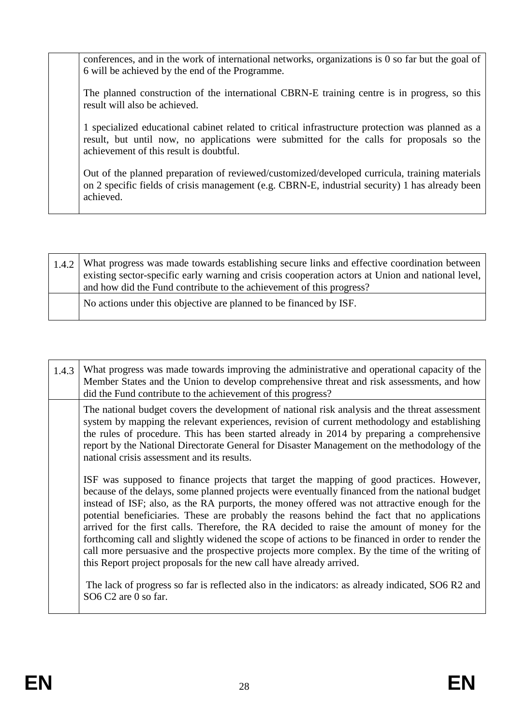conferences, and in the work of international networks, organizations is 0 so far but the goal of 6 will be achieved by the end of the Programme.

The planned construction of the international CBRN-E training centre is in progress, so this result will also be achieved.

1 specialized educational cabinet related to critical infrastructure protection was planned as a result, but until now, no applications were submitted for the calls for proposals so the achievement of this result is doubtful.

Out of the planned preparation of reviewed/customized/developed curricula, training materials on 2 specific fields of crisis management (e.g. CBRN-E, industrial security) 1 has already been achieved.

| 1.4.2 What progress was made towards establishing secure links and effective coordination between<br>existing sector-specific early warning and crisis cooperation actors at Union and national level,  <br>and how did the Fund contribute to the achievement of this progress? |
|----------------------------------------------------------------------------------------------------------------------------------------------------------------------------------------------------------------------------------------------------------------------------------|
| No actions under this objective are planned to be financed by ISF.                                                                                                                                                                                                               |

| 1.4.3 | What progress was made towards improving the administrative and operational capacity of the<br>Member States and the Union to develop comprehensive threat and risk assessments, and how<br>did the Fund contribute to the achievement of this progress?                                                                                                                                                                                                                                                                                                                                                                                                                                                                                                                                                                                                                                                                     |
|-------|------------------------------------------------------------------------------------------------------------------------------------------------------------------------------------------------------------------------------------------------------------------------------------------------------------------------------------------------------------------------------------------------------------------------------------------------------------------------------------------------------------------------------------------------------------------------------------------------------------------------------------------------------------------------------------------------------------------------------------------------------------------------------------------------------------------------------------------------------------------------------------------------------------------------------|
|       | The national budget covers the development of national risk analysis and the threat assessment<br>system by mapping the relevant experiences, revision of current methodology and establishing<br>the rules of procedure. This has been started already in 2014 by preparing a comprehensive<br>report by the National Directorate General for Disaster Management on the methodology of the<br>national crisis assessment and its results.                                                                                                                                                                                                                                                                                                                                                                                                                                                                                  |
|       | ISF was supposed to finance projects that target the mapping of good practices. However,<br>because of the delays, some planned projects were eventually financed from the national budget<br>instead of ISF; also, as the RA purports, the money offered was not attractive enough for the<br>potential beneficiaries. These are probably the reasons behind the fact that no applications<br>arrived for the first calls. Therefore, the RA decided to raise the amount of money for the<br>forthcoming call and slightly widened the scope of actions to be financed in order to render the<br>call more persuasive and the prospective projects more complex. By the time of the writing of<br>this Report project proposals for the new call have already arrived.<br>The lack of progress so far is reflected also in the indicators: as already indicated, SO6 R2 and<br>SO <sub>6</sub> C <sub>2</sub> are 0 so far. |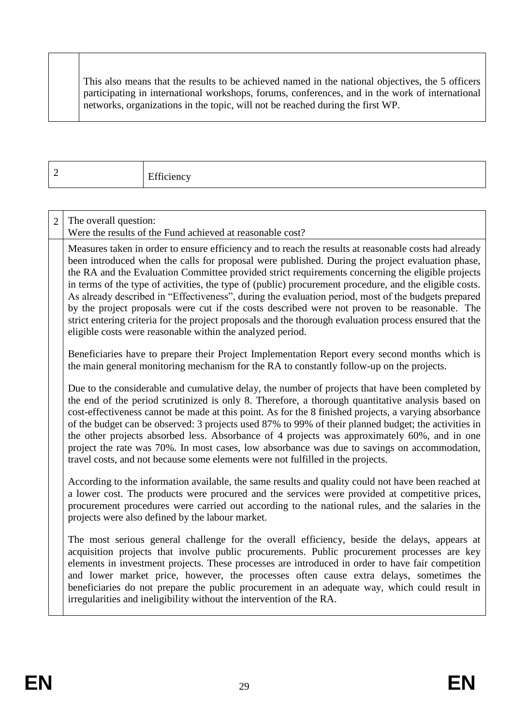This also means that the results to be achieved named in the national objectives, the 5 officers participating in international workshops, forums, conferences, and in the work of international networks, organizations in the topic, will not be reached during the first WP.

2 Efficiency

| $\overline{2}$ | The overall question:<br>Were the results of the Fund achieved at reasonable cost?                                                                                                                                                                                                                                                                                                                                                                                                                                                                                                                                                                                                                                                                                                                          |
|----------------|-------------------------------------------------------------------------------------------------------------------------------------------------------------------------------------------------------------------------------------------------------------------------------------------------------------------------------------------------------------------------------------------------------------------------------------------------------------------------------------------------------------------------------------------------------------------------------------------------------------------------------------------------------------------------------------------------------------------------------------------------------------------------------------------------------------|
|                | Measures taken in order to ensure efficiency and to reach the results at reasonable costs had already<br>been introduced when the calls for proposal were published. During the project evaluation phase,<br>the RA and the Evaluation Committee provided strict requirements concerning the eligible projects<br>in terms of the type of activities, the type of (public) procurement procedure, and the eligible costs.<br>As already described in "Effectiveness", during the evaluation period, most of the budgets prepared<br>by the project proposals were cut if the costs described were not proven to be reasonable. The<br>strict entering criteria for the project proposals and the thorough evaluation process ensured that the<br>eligible costs were reasonable within the analyzed period. |
|                | Beneficiaries have to prepare their Project Implementation Report every second months which is<br>the main general monitoring mechanism for the RA to constantly follow-up on the projects.                                                                                                                                                                                                                                                                                                                                                                                                                                                                                                                                                                                                                 |
|                | Due to the considerable and cumulative delay, the number of projects that have been completed by<br>the end of the period scrutinized is only 8. Therefore, a thorough quantitative analysis based on<br>cost-effectiveness cannot be made at this point. As for the 8 finished projects, a varying absorbance<br>of the budget can be observed: 3 projects used 87% to 99% of their planned budget; the activities in<br>the other projects absorbed less. Absorbance of 4 projects was approximately 60%, and in one<br>project the rate was 70%. In most cases, low absorbance was due to savings on accommodation,<br>travel costs, and not because some elements were not fulfilled in the projects.                                                                                                   |
|                | According to the information available, the same results and quality could not have been reached at<br>a lower cost. The products were procured and the services were provided at competitive prices,<br>procurement procedures were carried out according to the national rules, and the salaries in the<br>projects were also defined by the labour market.                                                                                                                                                                                                                                                                                                                                                                                                                                               |
|                | The most serious general challenge for the overall efficiency, beside the delays, appears at<br>acquisition projects that involve public procurements. Public procurement processes are key<br>elements in investment projects. These processes are introduced in order to have fair competition<br>and lower market price, however, the processes often cause extra delays, sometimes the<br>beneficiaries do not prepare the public procurement in an adequate way, which could result in<br>irregularities and ineligibility without the intervention of the RA.                                                                                                                                                                                                                                         |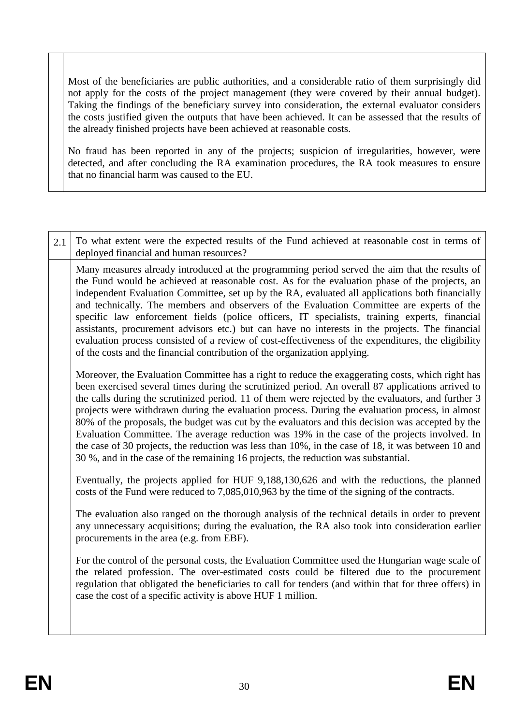Most of the beneficiaries are public authorities, and a considerable ratio of them surprisingly did not apply for the costs of the project management (they were covered by their annual budget). Taking the findings of the beneficiary survey into consideration, the external evaluator considers the costs justified given the outputs that have been achieved. It can be assessed that the results of the already finished projects have been achieved at reasonable costs.

No fraud has been reported in any of the projects; suspicion of irregularities, however, were detected, and after concluding the RA examination procedures, the RA took measures to ensure that no financial harm was caused to the EU.

| 2.1 | To what extent were the expected results of the Fund achieved at reasonable cost in terms of<br>deployed financial and human resources?                                                                                                                                                                                                                                                                                                                                                                                                                                                                                                                                                                                                                                                                        |
|-----|----------------------------------------------------------------------------------------------------------------------------------------------------------------------------------------------------------------------------------------------------------------------------------------------------------------------------------------------------------------------------------------------------------------------------------------------------------------------------------------------------------------------------------------------------------------------------------------------------------------------------------------------------------------------------------------------------------------------------------------------------------------------------------------------------------------|
|     | Many measures already introduced at the programming period served the aim that the results of<br>the Fund would be achieved at reasonable cost. As for the evaluation phase of the projects, an<br>independent Evaluation Committee, set up by the RA, evaluated all applications both financially<br>and technically. The members and observers of the Evaluation Committee are experts of the<br>specific law enforcement fields (police officers, IT specialists, training experts, financial<br>assistants, procurement advisors etc.) but can have no interests in the projects. The financial<br>evaluation process consisted of a review of cost-effectiveness of the expenditures, the eligibility<br>of the costs and the financial contribution of the organization applying.                        |
|     | Moreover, the Evaluation Committee has a right to reduce the exaggerating costs, which right has<br>been exercised several times during the scrutinized period. An overall 87 applications arrived to<br>the calls during the scrutinized period. 11 of them were rejected by the evaluators, and further 3<br>projects were withdrawn during the evaluation process. During the evaluation process, in almost<br>80% of the proposals, the budget was cut by the evaluators and this decision was accepted by the<br>Evaluation Committee. The average reduction was 19% in the case of the projects involved. In<br>the case of 30 projects, the reduction was less than 10%, in the case of 18, it was between 10 and<br>30 %, and in the case of the remaining 16 projects, the reduction was substantial. |
|     | Eventually, the projects applied for HUF 9,188,130,626 and with the reductions, the planned<br>costs of the Fund were reduced to 7,085,010,963 by the time of the signing of the contracts.                                                                                                                                                                                                                                                                                                                                                                                                                                                                                                                                                                                                                    |
|     | The evaluation also ranged on the thorough analysis of the technical details in order to prevent<br>any unnecessary acquisitions; during the evaluation, the RA also took into consideration earlier<br>procurements in the area (e.g. from EBF).                                                                                                                                                                                                                                                                                                                                                                                                                                                                                                                                                              |
|     | For the control of the personal costs, the Evaluation Committee used the Hungarian wage scale of<br>the related profession. The over-estimated costs could be filtered due to the procurement<br>regulation that obligated the beneficiaries to call for tenders (and within that for three offers) in<br>case the cost of a specific activity is above HUF 1 million.                                                                                                                                                                                                                                                                                                                                                                                                                                         |
|     |                                                                                                                                                                                                                                                                                                                                                                                                                                                                                                                                                                                                                                                                                                                                                                                                                |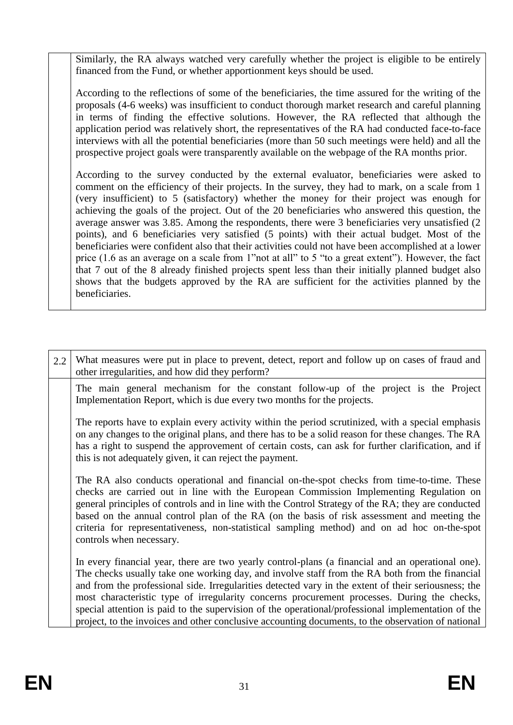Similarly, the RA always watched very carefully whether the project is eligible to be entirely financed from the Fund, or whether apportionment keys should be used.

According to the reflections of some of the beneficiaries, the time assured for the writing of the proposals (4-6 weeks) was insufficient to conduct thorough market research and careful planning in terms of finding the effective solutions. However, the RA reflected that although the application period was relatively short, the representatives of the RA had conducted face-to-face interviews with all the potential beneficiaries (more than 50 such meetings were held) and all the prospective project goals were transparently available on the webpage of the RA months prior.

According to the survey conducted by the external evaluator, beneficiaries were asked to comment on the efficiency of their projects. In the survey, they had to mark, on a scale from 1 (very insufficient) to 5 (satisfactory) whether the money for their project was enough for achieving the goals of the project. Out of the 20 beneficiaries who answered this question, the average answer was 3.85. Among the respondents, there were 3 beneficiaries very unsatisfied (2 points), and 6 beneficiaries very satisfied (5 points) with their actual budget. Most of the beneficiaries were confident also that their activities could not have been accomplished at a lower price (1.6 as an average on a scale from 1"not at all" to 5 "to a great extent"). However, the fact that 7 out of the 8 already finished projects spent less than their initially planned budget also shows that the budgets approved by the RA are sufficient for the activities planned by the beneficiaries.

| 2.2 | What measures were put in place to prevent, detect, report and follow up on cases of fraud and<br>other irregularities, and how did they perform?                                                                                                                                                                                                                                                                                                                                                                                                                                                                      |
|-----|------------------------------------------------------------------------------------------------------------------------------------------------------------------------------------------------------------------------------------------------------------------------------------------------------------------------------------------------------------------------------------------------------------------------------------------------------------------------------------------------------------------------------------------------------------------------------------------------------------------------|
|     | The main general mechanism for the constant follow-up of the project is the Project<br>Implementation Report, which is due every two months for the projects.                                                                                                                                                                                                                                                                                                                                                                                                                                                          |
|     | The reports have to explain every activity within the period scrutinized, with a special emphasis<br>on any changes to the original plans, and there has to be a solid reason for these changes. The RA<br>has a right to suspend the approvement of certain costs, can ask for further clarification, and if<br>this is not adequately given, it can reject the payment.                                                                                                                                                                                                                                              |
|     | The RA also conducts operational and financial on-the-spot checks from time-to-time. These<br>checks are carried out in line with the European Commission Implementing Regulation on<br>general principles of controls and in line with the Control Strategy of the RA; they are conducted<br>based on the annual control plan of the RA (on the basis of risk assessment and meeting the<br>criteria for representativeness, non-statistical sampling method) and on ad hoc on-the-spot<br>controls when necessary.                                                                                                   |
|     | In every financial year, there are two yearly control-plans (a financial and an operational one).<br>The checks usually take one working day, and involve staff from the RA both from the financial<br>and from the professional side. Irregularities detected vary in the extent of their seriousness; the<br>most characteristic type of irregularity concerns procurement processes. During the checks,<br>special attention is paid to the supervision of the operational/professional implementation of the<br>project, to the invoices and other conclusive accounting documents, to the observation of national |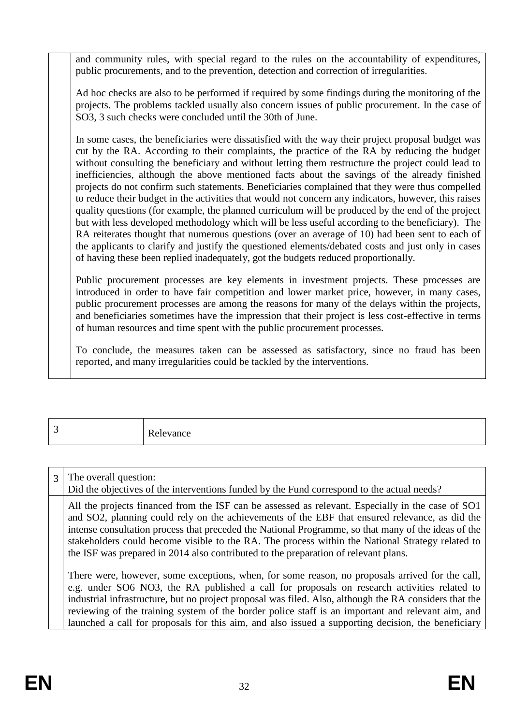and community rules, with special regard to the rules on the accountability of expenditures, public procurements, and to the prevention, detection and correction of irregularities.

Ad hoc checks are also to be performed if required by some findings during the monitoring of the projects. The problems tackled usually also concern issues of public procurement. In the case of SO3, 3 such checks were concluded until the 30th of June.

In some cases, the beneficiaries were dissatisfied with the way their project proposal budget was cut by the RA. According to their complaints, the practice of the RA by reducing the budget without consulting the beneficiary and without letting them restructure the project could lead to inefficiencies, although the above mentioned facts about the savings of the already finished projects do not confirm such statements. Beneficiaries complained that they were thus compelled to reduce their budget in the activities that would not concern any indicators, however, this raises quality questions (for example, the planned curriculum will be produced by the end of the project but with less developed methodology which will be less useful according to the beneficiary). The RA reiterates thought that numerous questions (over an average of 10) had been sent to each of the applicants to clarify and justify the questioned elements/debated costs and just only in cases of having these been replied inadequately, got the budgets reduced proportionally.

Public procurement processes are key elements in investment projects. These processes are introduced in order to have fair competition and lower market price, however, in many cases, public procurement processes are among the reasons for many of the delays within the projects, and beneficiaries sometimes have the impression that their project is less cost-effective in terms of human resources and time spent with the public procurement processes.

To conclude, the measures taken can be assessed as satisfactory, since no fraud has been reported, and many irregularities could be tackled by the interventions.

3 Relevance

3 The overall question: Did the objectives of the interventions funded by the Fund correspond to the actual needs? All the projects financed from the ISF can be assessed as relevant. Especially in the case of SO1 and SO2, planning could rely on the achievements of the EBF that ensured relevance, as did the intense consultation process that preceded the National Programme, so that many of the ideas of the stakeholders could become visible to the RA. The process within the National Strategy related to the ISF was prepared in 2014 also contributed to the preparation of relevant plans. There were, however, some exceptions, when, for some reason, no proposals arrived for the call, e.g. under SO6 NO3, the RA published a call for proposals on research activities related to industrial infrastructure, but no project proposal was filed. Also, although the RA considers that the reviewing of the training system of the border police staff is an important and relevant aim, and launched a call for proposals for this aim, and also issued a supporting decision, the beneficiary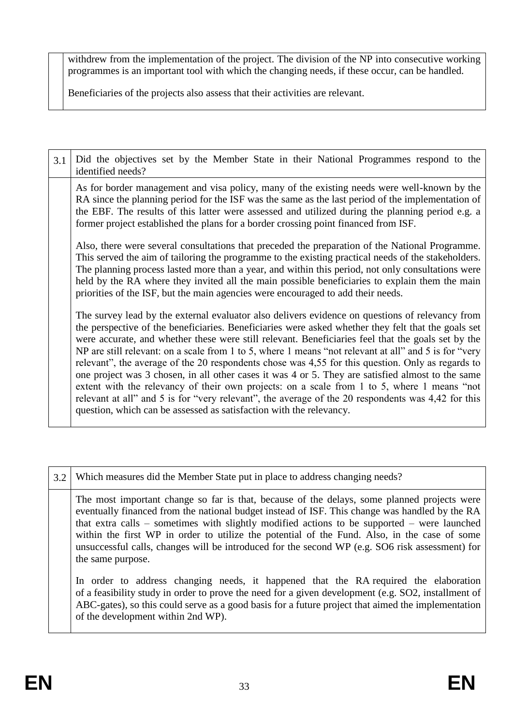withdrew from the implementation of the project. The division of the NP into consecutive working programmes is an important tool with which the changing needs, if these occur, can be handled.

Beneficiaries of the projects also assess that their activities are relevant.

| 3.1 | Did the objectives set by the Member State in their National Programmes respond to the<br>identified needs?                                                                                                                                                                                                                                                                                                                                                                                                                                                                                                                                                                                                                                                                                                                                                                                                 |
|-----|-------------------------------------------------------------------------------------------------------------------------------------------------------------------------------------------------------------------------------------------------------------------------------------------------------------------------------------------------------------------------------------------------------------------------------------------------------------------------------------------------------------------------------------------------------------------------------------------------------------------------------------------------------------------------------------------------------------------------------------------------------------------------------------------------------------------------------------------------------------------------------------------------------------|
|     | As for border management and visa policy, many of the existing needs were well-known by the<br>RA since the planning period for the ISF was the same as the last period of the implementation of<br>the EBF. The results of this latter were assessed and utilized during the planning period e.g. a<br>former project established the plans for a border crossing point financed from ISF.                                                                                                                                                                                                                                                                                                                                                                                                                                                                                                                 |
|     | Also, there were several consultations that preceded the preparation of the National Programme.<br>This served the aim of tailoring the programme to the existing practical needs of the stakeholders.<br>The planning process lasted more than a year, and within this period, not only consultations were<br>held by the RA where they invited all the main possible beneficiaries to explain them the main<br>priorities of the ISF, but the main agencies were encouraged to add their needs.                                                                                                                                                                                                                                                                                                                                                                                                           |
|     | The survey lead by the external evaluator also delivers evidence on questions of relevancy from<br>the perspective of the beneficiaries. Beneficiaries were asked whether they felt that the goals set<br>were accurate, and whether these were still relevant. Beneficiaries feel that the goals set by the<br>NP are still relevant: on a scale from 1 to 5, where 1 means "not relevant at all" and 5 is for "very<br>relevant", the average of the 20 respondents chose was 4,55 for this question. Only as regards to<br>one project was 3 chosen, in all other cases it was 4 or 5. They are satisfied almost to the same<br>extent with the relevancy of their own projects: on a scale from 1 to 5, where 1 means "not<br>relevant at all" and 5 is for "very relevant", the average of the 20 respondents was 4,42 for this<br>question, which can be assessed as satisfaction with the relevancy. |

| 3.2 | Which measures did the Member State put in place to address changing needs?                                                                                                                                                                                                                                                                                                                                                                                                                                              |
|-----|--------------------------------------------------------------------------------------------------------------------------------------------------------------------------------------------------------------------------------------------------------------------------------------------------------------------------------------------------------------------------------------------------------------------------------------------------------------------------------------------------------------------------|
|     | The most important change so far is that, because of the delays, some planned projects were<br>eventually financed from the national budget instead of ISF. This change was handled by the RA<br>that extra calls $-$ sometimes with slightly modified actions to be supported $-$ were launched<br>within the first WP in order to utilize the potential of the Fund. Also, in the case of some<br>unsuccessful calls, changes will be introduced for the second WP (e.g. SO6 risk assessment) for<br>the same purpose. |
|     | In order to address changing needs, it happened that the RA required the elaboration<br>of a feasibility study in order to prove the need for a given development (e.g. SO2, installment of<br>ABC-gates), so this could serve as a good basis for a future project that aimed the implementation<br>of the development within 2nd WP).                                                                                                                                                                                  |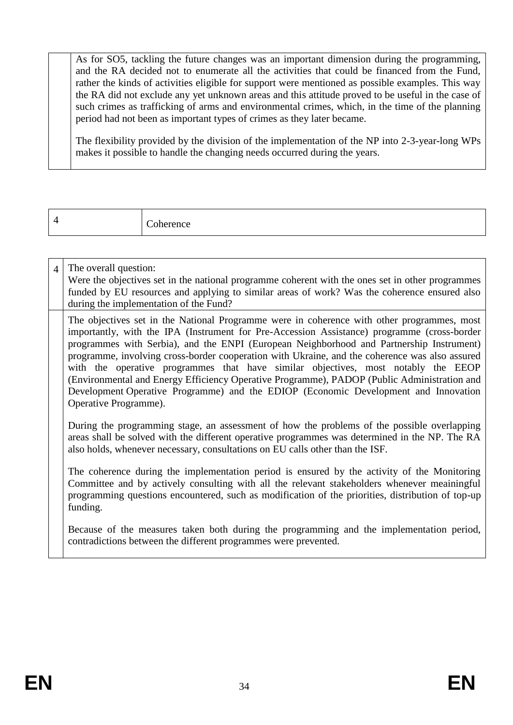As for SO5, tackling the future changes was an important dimension during the programming, and the RA decided not to enumerate all the activities that could be financed from the Fund, rather the kinds of activities eligible for support were mentioned as possible examples. This way the RA did not exclude any yet unknown areas and this attitude proved to be useful in the case of such crimes as trafficking of arms and environmental crimes, which, in the time of the planning period had not been as important types of crimes as they later became.

The flexibility provided by the division of the implementation of the NP into 2-3-year-long WPs makes it possible to handle the changing needs occurred during the years.

| $\sim$ |
|--------|
|--------|

| $\overline{4}$ | The overall question:<br>Were the objectives set in the national programme coherent with the ones set in other programmes<br>funded by EU resources and applying to similar areas of work? Was the coherence ensured also<br>during the implementation of the Fund?                                                                                                                                                                                                                                                                                                                                                                                                                         |
|----------------|---------------------------------------------------------------------------------------------------------------------------------------------------------------------------------------------------------------------------------------------------------------------------------------------------------------------------------------------------------------------------------------------------------------------------------------------------------------------------------------------------------------------------------------------------------------------------------------------------------------------------------------------------------------------------------------------|
|                | The objectives set in the National Programme were in coherence with other programmes, most<br>importantly, with the IPA (Instrument for Pre-Accession Assistance) programme (cross-border<br>programmes with Serbia), and the ENPI (European Neighborhood and Partnership Instrument)<br>programme, involving cross-border cooperation with Ukraine, and the coherence was also assured<br>with the operative programmes that have similar objectives, most notably the EEOP<br>(Environmental and Energy Efficiency Operative Programme), PADOP (Public Administration and<br>Development Operative Programme) and the EDIOP (Economic Development and Innovation<br>Operative Programme). |
|                | During the programming stage, an assessment of how the problems of the possible overlapping<br>areas shall be solved with the different operative programmes was determined in the NP. The RA<br>also holds, whenever necessary, consultations on EU calls other than the ISF.                                                                                                                                                                                                                                                                                                                                                                                                              |
|                | The coherence during the implementation period is ensured by the activity of the Monitoring<br>Committee and by actively consulting with all the relevant stakeholders whenever meainingful<br>programming questions encountered, such as modification of the priorities, distribution of top-up<br>funding.                                                                                                                                                                                                                                                                                                                                                                                |

Because of the measures taken both during the programming and the implementation period, contradictions between the different programmes were prevented.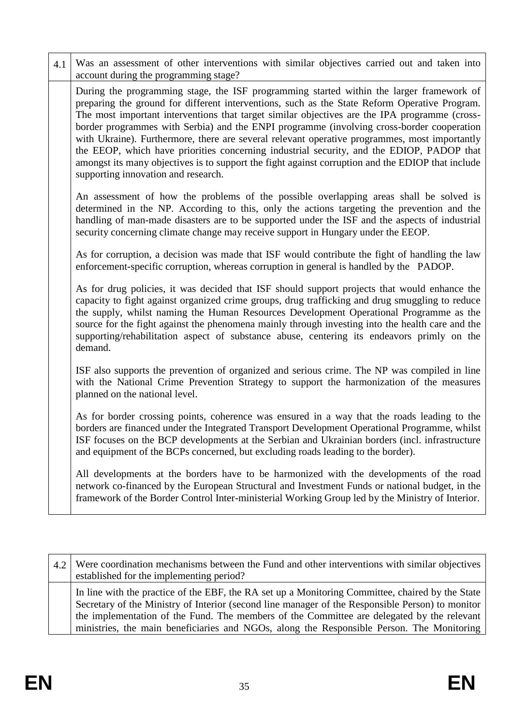| 4.1 | Was an assessment of other interventions with similar objectives carried out and taken into                                                                                                                                                                                                                                                                                                                                                                                                                                                                                                                                                                                                                                                                                |
|-----|----------------------------------------------------------------------------------------------------------------------------------------------------------------------------------------------------------------------------------------------------------------------------------------------------------------------------------------------------------------------------------------------------------------------------------------------------------------------------------------------------------------------------------------------------------------------------------------------------------------------------------------------------------------------------------------------------------------------------------------------------------------------------|
|     | account during the programming stage?<br>During the programming stage, the ISF programming started within the larger framework of<br>preparing the ground for different interventions, such as the State Reform Operative Program.<br>The most important interventions that target similar objectives are the IPA programme (cross-<br>border programmes with Serbia) and the ENPI programme (involving cross-border cooperation<br>with Ukraine). Furthermore, there are several relevant operative programmes, most importantly<br>the EEOP, which have priorities concerning industrial security, and the EDIOP, PADOP that<br>amongst its many objectives is to support the fight against corruption and the EDIOP that include<br>supporting innovation and research. |
|     | An assessment of how the problems of the possible overlapping areas shall be solved is<br>determined in the NP. According to this, only the actions targeting the prevention and the<br>handling of man-made disasters are to be supported under the ISF and the aspects of industrial<br>security concerning climate change may receive support in Hungary under the EEOP.                                                                                                                                                                                                                                                                                                                                                                                                |
|     | As for corruption, a decision was made that ISF would contribute the fight of handling the law<br>enforcement-specific corruption, whereas corruption in general is handled by the PADOP.                                                                                                                                                                                                                                                                                                                                                                                                                                                                                                                                                                                  |
|     | As for drug policies, it was decided that ISF should support projects that would enhance the<br>capacity to fight against organized crime groups, drug trafficking and drug smuggling to reduce<br>the supply, whilst naming the Human Resources Development Operational Programme as the<br>source for the fight against the phenomena mainly through investing into the health care and the<br>supporting/rehabilitation aspect of substance abuse, centering its endeavors primly on the<br>demand.                                                                                                                                                                                                                                                                     |
|     | ISF also supports the prevention of organized and serious crime. The NP was compiled in line<br>with the National Crime Prevention Strategy to support the harmonization of the measures<br>planned on the national level.                                                                                                                                                                                                                                                                                                                                                                                                                                                                                                                                                 |
|     | As for border crossing points, coherence was ensured in a way that the roads leading to the<br>borders are financed under the Integrated Transport Development Operational Programme, whilst<br>ISF focuses on the BCP developments at the Serbian and Ukrainian borders (incl. infrastructure<br>and equipment of the BCPs concerned, but excluding roads leading to the border).                                                                                                                                                                                                                                                                                                                                                                                         |
|     | All developments at the borders have to be harmonized with the developments of the road<br>network co-financed by the European Structural and Investment Funds or national budget, in the<br>framework of the Border Control Inter-ministerial Working Group led by the Ministry of Interior.                                                                                                                                                                                                                                                                                                                                                                                                                                                                              |

| $4.2$ Were coordination mechanisms between the Fund and other interventions with similar objectives<br>established for the implementing period?                                                                                                                                                                                                                                                 |
|-------------------------------------------------------------------------------------------------------------------------------------------------------------------------------------------------------------------------------------------------------------------------------------------------------------------------------------------------------------------------------------------------|
| In line with the practice of the EBF, the RA set up a Monitoring Committee, chaired by the State<br>Secretary of the Ministry of Interior (second line manager of the Responsible Person) to monitor<br>the implementation of the Fund. The members of the Committee are delegated by the relevant<br>ministries, the main beneficiaries and NGOs, along the Responsible Person. The Monitoring |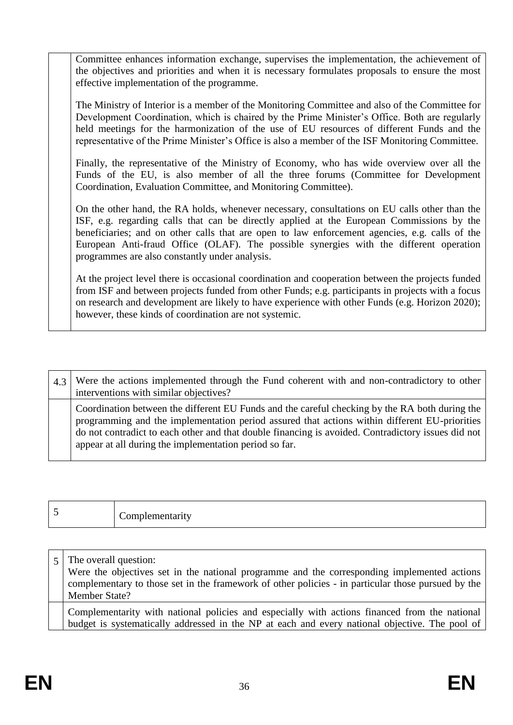Committee enhances information exchange, supervises the implementation, the achievement of the objectives and priorities and when it is necessary formulates proposals to ensure the most effective implementation of the programme.

The Ministry of Interior is a member of the Monitoring Committee and also of the Committee for Development Coordination, which is chaired by the Prime Minister's Office. Both are regularly held meetings for the harmonization of the use of EU resources of different Funds and the representative of the Prime Minister's Office is also a member of the ISF Monitoring Committee.

Finally, the representative of the Ministry of Economy, who has wide overview over all the Funds of the EU, is also member of all the three forums (Committee for Development Coordination, Evaluation Committee, and Monitoring Committee).

On the other hand, the RA holds, whenever necessary, consultations on EU calls other than the ISF, e.g. regarding calls that can be directly applied at the European Commissions by the beneficiaries; and on other calls that are open to law enforcement agencies, e.g. calls of the European Anti-fraud Office (OLAF). The possible synergies with the different operation programmes are also constantly under analysis.

At the project level there is occasional coordination and cooperation between the projects funded from ISF and between projects funded from other Funds; e.g. participants in projects with a focus on research and development are likely to have experience with other Funds (e.g. Horizon 2020); however, these kinds of coordination are not systemic.

4.3 Were the actions implemented through the Fund coherent with and non-contradictory to other interventions with similar objectives? Coordination between the different EU Funds and the careful checking by the RA both during the programming and the implementation period assured that actions within different EU-priorities do not contradict to each other and that double financing is avoided. Contradictory issues did not appear at all during the implementation period so far.

|  | ∽<br>Complementarity |
|--|----------------------|
|--|----------------------|

| The overall question:<br>Were the objectives set in the national programme and the corresponding implemented actions<br>complementary to those set in the framework of other policies - in particular those pursued by the<br>Member State? |
|---------------------------------------------------------------------------------------------------------------------------------------------------------------------------------------------------------------------------------------------|
| Complementarity with national policies and especially with actions financed from the national<br>budget is systematically addressed in the NP at each and every national objective. The pool of                                             |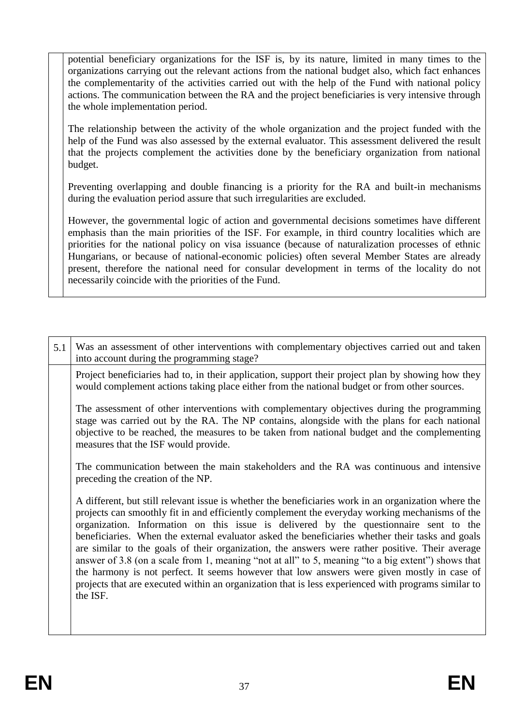potential beneficiary organizations for the ISF is, by its nature, limited in many times to the organizations carrying out the relevant actions from the national budget also, which fact enhances the complementarity of the activities carried out with the help of the Fund with national policy actions. The communication between the RA and the project beneficiaries is very intensive through the whole implementation period.

The relationship between the activity of the whole organization and the project funded with the help of the Fund was also assessed by the external evaluator. This assessment delivered the result that the projects complement the activities done by the beneficiary organization from national budget.

Preventing overlapping and double financing is a priority for the RA and built-in mechanisms during the evaluation period assure that such irregularities are excluded.

However, the governmental logic of action and governmental decisions sometimes have different emphasis than the main priorities of the ISF. For example, in third country localities which are priorities for the national policy on visa issuance (because of naturalization processes of ethnic Hungarians, or because of national-economic policies) often several Member States are already present, therefore the national need for consular development in terms of the locality do not necessarily coincide with the priorities of the Fund.

| 5.1 | Was an assessment of other interventions with complementary objectives carried out and taken<br>into account during the programming stage?                                                                                                                                                                                                                                                                                                                                                                                                                                                                                                                                                                                                                                                                                    |
|-----|-------------------------------------------------------------------------------------------------------------------------------------------------------------------------------------------------------------------------------------------------------------------------------------------------------------------------------------------------------------------------------------------------------------------------------------------------------------------------------------------------------------------------------------------------------------------------------------------------------------------------------------------------------------------------------------------------------------------------------------------------------------------------------------------------------------------------------|
|     | Project beneficiaries had to, in their application, support their project plan by showing how they<br>would complement actions taking place either from the national budget or from other sources.                                                                                                                                                                                                                                                                                                                                                                                                                                                                                                                                                                                                                            |
|     | The assessment of other interventions with complementary objectives during the programming<br>stage was carried out by the RA. The NP contains, alongside with the plans for each national<br>objective to be reached, the measures to be taken from national budget and the complementing<br>measures that the ISF would provide.                                                                                                                                                                                                                                                                                                                                                                                                                                                                                            |
|     | The communication between the main stakeholders and the RA was continuous and intensive<br>preceding the creation of the NP.                                                                                                                                                                                                                                                                                                                                                                                                                                                                                                                                                                                                                                                                                                  |
|     | A different, but still relevant issue is whether the beneficiaries work in an organization where the<br>projects can smoothly fit in and efficiently complement the everyday working mechanisms of the<br>organization. Information on this issue is delivered by the questionnaire sent to the<br>beneficiaries. When the external evaluator asked the beneficiaries whether their tasks and goals<br>are similar to the goals of their organization, the answers were rather positive. Their average<br>answer of 3.8 (on a scale from 1, meaning "not at all" to 5, meaning "to a big extent") shows that<br>the harmony is not perfect. It seems however that low answers were given mostly in case of<br>projects that are executed within an organization that is less experienced with programs similar to<br>the ISF. |
|     |                                                                                                                                                                                                                                                                                                                                                                                                                                                                                                                                                                                                                                                                                                                                                                                                                               |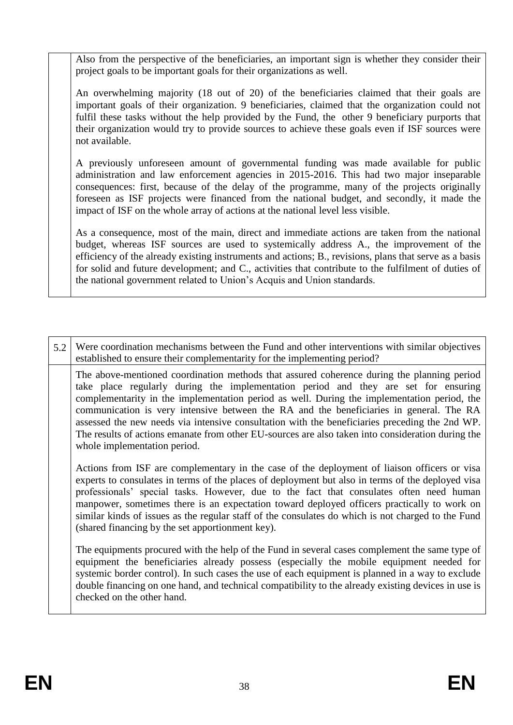Also from the perspective of the beneficiaries, an important sign is whether they consider their project goals to be important goals for their organizations as well.

An overwhelming majority (18 out of 20) of the beneficiaries claimed that their goals are important goals of their organization. 9 beneficiaries, claimed that the organization could not fulfil these tasks without the help provided by the Fund, the other 9 beneficiary purports that their organization would try to provide sources to achieve these goals even if ISF sources were not available.

A previously unforeseen amount of governmental funding was made available for public administration and law enforcement agencies in 2015-2016. This had two major inseparable consequences: first, because of the delay of the programme, many of the projects originally foreseen as ISF projects were financed from the national budget, and secondly, it made the impact of ISF on the whole array of actions at the national level less visible.

As a consequence, most of the main, direct and immediate actions are taken from the national budget, whereas ISF sources are used to systemically address A., the improvement of the efficiency of the already existing instruments and actions; B., revisions, plans that serve as a basis for solid and future development; and C., activities that contribute to the fulfilment of duties of the national government related to Union's Acquis and Union standards.

| 5.2 | Were coordination mechanisms between the Fund and other interventions with similar objectives<br>established to ensure their complementarity for the implementing period?                                                                                                                                                                                                                                                                                                                                                                                                                                          |
|-----|--------------------------------------------------------------------------------------------------------------------------------------------------------------------------------------------------------------------------------------------------------------------------------------------------------------------------------------------------------------------------------------------------------------------------------------------------------------------------------------------------------------------------------------------------------------------------------------------------------------------|
|     | The above-mentioned coordination methods that assured coherence during the planning period<br>take place regularly during the implementation period and they are set for ensuring<br>complementarity in the implementation period as well. During the implementation period, the<br>communication is very intensive between the RA and the beneficiaries in general. The RA<br>assessed the new needs via intensive consultation with the beneficiaries preceding the 2nd WP.<br>The results of actions emanate from other EU-sources are also taken into consideration during the<br>whole implementation period. |
|     | Actions from ISF are complementary in the case of the deployment of liaison officers or visa<br>experts to consulates in terms of the places of deployment but also in terms of the deployed visa<br>professionals' special tasks. However, due to the fact that consulates often need human<br>manpower, sometimes there is an expectation toward deployed officers practically to work on<br>similar kinds of issues as the regular staff of the consulates do which is not charged to the Fund<br>(shared financing by the set apportionment key).                                                              |
|     | The equipments procured with the help of the Fund in several cases complement the same type of<br>equipment the beneficiaries already possess (especially the mobile equipment needed for<br>systemic border control). In such cases the use of each equipment is planned in a way to exclude<br>double financing on one hand, and technical compatibility to the already existing devices in use is<br>checked on the other hand.                                                                                                                                                                                 |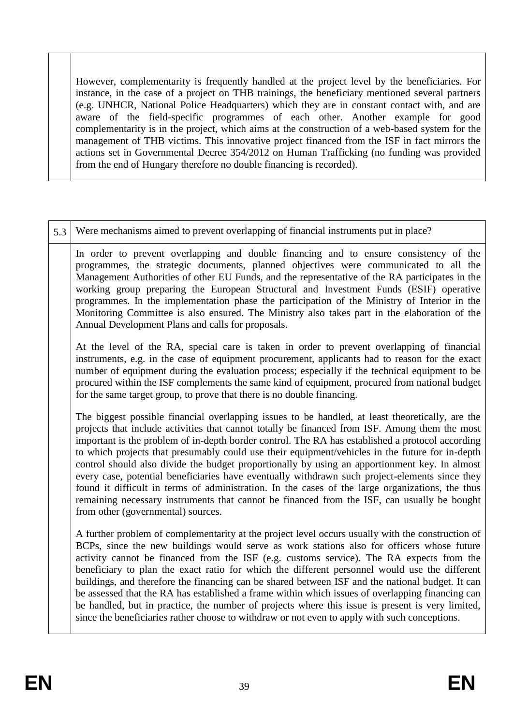However, complementarity is frequently handled at the project level by the beneficiaries. For instance, in the case of a project on THB trainings, the beneficiary mentioned several partners (e.g. UNHCR, National Police Headquarters) which they are in constant contact with, and are aware of the field-specific programmes of each other. Another example for good complementarity is in the project, which aims at the construction of a web-based system for the management of THB victims. This innovative project financed from the ISF in fact mirrors the actions set in Governmental Decree 354/2012 on Human Trafficking (no funding was provided from the end of Hungary therefore no double financing is recorded).

| 5.3 | Were mechanisms aimed to prevent overlapping of financial instruments put in place?                                                                                                                                                                                                                                                                                                                                                                                                                                                                                                                                                                                                                                                                                                                                                                   |
|-----|-------------------------------------------------------------------------------------------------------------------------------------------------------------------------------------------------------------------------------------------------------------------------------------------------------------------------------------------------------------------------------------------------------------------------------------------------------------------------------------------------------------------------------------------------------------------------------------------------------------------------------------------------------------------------------------------------------------------------------------------------------------------------------------------------------------------------------------------------------|
|     | In order to prevent overlapping and double financing and to ensure consistency of the<br>programmes, the strategic documents, planned objectives were communicated to all the<br>Management Authorities of other EU Funds, and the representative of the RA participates in the<br>working group preparing the European Structural and Investment Funds (ESIF) operative<br>programmes. In the implementation phase the participation of the Ministry of Interior in the<br>Monitoring Committee is also ensured. The Ministry also takes part in the elaboration of the<br>Annual Development Plans and calls for proposals.                                                                                                                                                                                                                         |
|     | At the level of the RA, special care is taken in order to prevent overlapping of financial<br>instruments, e.g. in the case of equipment procurement, applicants had to reason for the exact<br>number of equipment during the evaluation process; especially if the technical equipment to be<br>procured within the ISF complements the same kind of equipment, procured from national budget<br>for the same target group, to prove that there is no double financing.                                                                                                                                                                                                                                                                                                                                                                             |
|     | The biggest possible financial overlapping issues to be handled, at least theoretically, are the<br>projects that include activities that cannot totally be financed from ISF. Among them the most<br>important is the problem of in-depth border control. The RA has established a protocol according<br>to which projects that presumably could use their equipment/vehicles in the future for in-depth<br>control should also divide the budget proportionally by using an apportionment key. In almost<br>every case, potential beneficiaries have eventually withdrawn such project-elements since they<br>found it difficult in terms of administration. In the cases of the large organizations, the thus<br>remaining necessary instruments that cannot be financed from the ISF, can usually be bought<br>from other (governmental) sources. |
|     | A further problem of complementarity at the project level occurs usually with the construction of<br>BCPs, since the new buildings would serve as work stations also for officers whose future<br>activity cannot be financed from the ISF (e.g. customs service). The RA expects from the<br>beneficiary to plan the exact ratio for which the different personnel would use the different<br>buildings, and therefore the financing can be shared between ISF and the national budget. It can<br>be assessed that the RA has established a frame within which issues of overlapping financing can<br>be handled, but in practice, the number of projects where this issue is present is very limited,<br>since the beneficiaries rather choose to withdraw or not even to apply with such conceptions.                                              |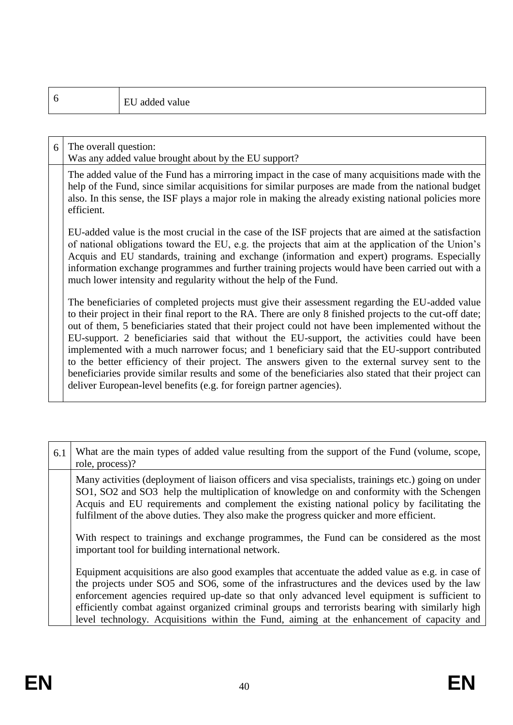| 6 |                       | EU added value                                                                                                                                                                                                                                                                                                                                                                                                                                                                                                                                                                                                                                                                                                                                                                                            |
|---|-----------------------|-----------------------------------------------------------------------------------------------------------------------------------------------------------------------------------------------------------------------------------------------------------------------------------------------------------------------------------------------------------------------------------------------------------------------------------------------------------------------------------------------------------------------------------------------------------------------------------------------------------------------------------------------------------------------------------------------------------------------------------------------------------------------------------------------------------|
|   |                       |                                                                                                                                                                                                                                                                                                                                                                                                                                                                                                                                                                                                                                                                                                                                                                                                           |
| 6 | The overall question: | Was any added value brought about by the EU support?                                                                                                                                                                                                                                                                                                                                                                                                                                                                                                                                                                                                                                                                                                                                                      |
|   | efficient.            | The added value of the Fund has a mirroring impact in the case of many acquisitions made with the<br>help of the Fund, since similar acquisitions for similar purposes are made from the national budget<br>also. In this sense, the ISF plays a major role in making the already existing national policies more                                                                                                                                                                                                                                                                                                                                                                                                                                                                                         |
|   |                       | EU-added value is the most crucial in the case of the ISF projects that are aimed at the satisfaction<br>of national obligations toward the EU, e.g. the projects that aim at the application of the Union's<br>Acquis and EU standards, training and exchange (information and expert) programs. Especially<br>information exchange programmes and further training projects would have been carried out with a<br>much lower intensity and regularity without the help of the Fund.                                                                                                                                                                                                                                                                                                                     |
|   |                       | The beneficiaries of completed projects must give their assessment regarding the EU-added value<br>to their project in their final report to the RA. There are only 8 finished projects to the cut-off date;<br>out of them, 5 beneficiaries stated that their project could not have been implemented without the<br>EU-support. 2 beneficiaries said that without the EU-support, the activities could have been<br>implemented with a much narrower focus; and 1 beneficiary said that the EU-support contributed<br>to the better efficiency of their project. The answers given to the external survey sent to the<br>beneficiaries provide similar results and some of the beneficiaries also stated that their project can<br>deliver European-level benefits (e.g. for foreign partner agencies). |

| 6.1 | What are the main types of added value resulting from the support of the Fund (volume, scope,<br>role, process)?                                                                                                                                                                                                                                                                                                                                                                                |
|-----|-------------------------------------------------------------------------------------------------------------------------------------------------------------------------------------------------------------------------------------------------------------------------------------------------------------------------------------------------------------------------------------------------------------------------------------------------------------------------------------------------|
|     | Many activities (deployment of liaison officers and visa specialists, trainings etc.) going on under<br>SO1, SO2 and SO3 help the multiplication of knowledge on and conformity with the Schengen<br>Acquis and EU requirements and complement the existing national policy by facilitating the<br>fulfilment of the above duties. They also make the progress quicker and more efficient.                                                                                                      |
|     | With respect to trainings and exchange programmes, the Fund can be considered as the most<br>important tool for building international network.                                                                                                                                                                                                                                                                                                                                                 |
|     | Equipment acquisitions are also good examples that accentuate the added value as e.g. in case of<br>the projects under SO5 and SO6, some of the infrastructures and the devices used by the law<br>enforcement agencies required up-date so that only advanced level equipment is sufficient to<br>efficiently combat against organized criminal groups and terrorists bearing with similarly high<br>level technology. Acquisitions within the Fund, aiming at the enhancement of capacity and |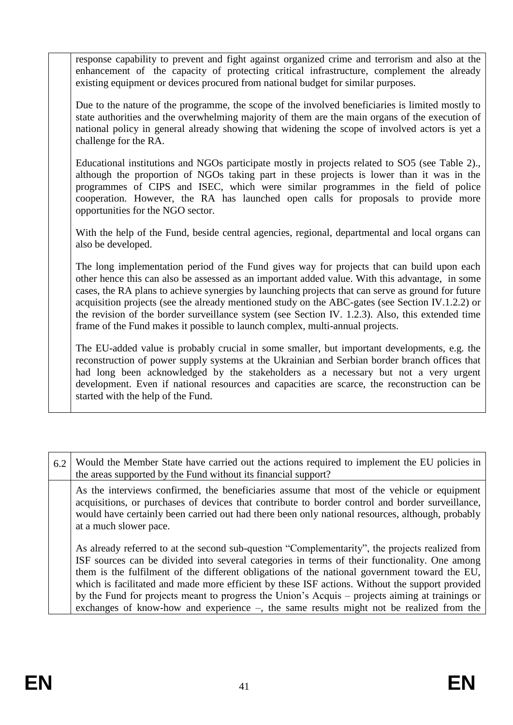response capability to prevent and fight against organized crime and terrorism and also at the enhancement of the capacity of protecting critical infrastructure, complement the already existing equipment or devices procured from national budget for similar purposes.

Due to the nature of the programme, the scope of the involved beneficiaries is limited mostly to state authorities and the overwhelming majority of them are the main organs of the execution of national policy in general already showing that widening the scope of involved actors is yet a challenge for the RA.

Educational institutions and NGOs participate mostly in projects related to SO5 (see Table 2)., although the proportion of NGOs taking part in these projects is lower than it was in the programmes of CIPS and ISEC, which were similar programmes in the field of police cooperation. However, the RA has launched open calls for proposals to provide more opportunities for the NGO sector.

With the help of the Fund, beside central agencies, regional, departmental and local organs can also be developed.

The long implementation period of the Fund gives way for projects that can build upon each other hence this can also be assessed as an important added value. With this advantage, in some cases, the RA plans to achieve synergies by launching projects that can serve as ground for future acquisition projects (see the already mentioned study on the ABC-gates (see Section IV.1.2.2) or the revision of the border surveillance system (see Section IV. 1.2.3). Also, this extended time frame of the Fund makes it possible to launch complex, multi-annual projects.

The EU-added value is probably crucial in some smaller, but important developments, e.g. the reconstruction of power supply systems at the Ukrainian and Serbian border branch offices that had long been acknowledged by the stakeholders as a necessary but not a very urgent development. Even if national resources and capacities are scarce, the reconstruction can be started with the help of the Fund.

| 6.2 | Would the Member State have carried out the actions required to implement the EU policies in<br>the areas supported by the Fund without its financial support?                                                                                                                                                                                                                                                                                                                                                                                                                                        |
|-----|-------------------------------------------------------------------------------------------------------------------------------------------------------------------------------------------------------------------------------------------------------------------------------------------------------------------------------------------------------------------------------------------------------------------------------------------------------------------------------------------------------------------------------------------------------------------------------------------------------|
|     | As the interviews confirmed, the beneficiaries assume that most of the vehicle or equipment<br>acquisitions, or purchases of devices that contribute to border control and border surveillance,<br>would have certainly been carried out had there been only national resources, although, probably<br>at a much slower pace.                                                                                                                                                                                                                                                                         |
|     | As already referred to at the second sub-question "Complementarity", the projects realized from<br>ISF sources can be divided into several categories in terms of their functionality. One among<br>them is the fulfilment of the different obligations of the national government toward the EU,<br>which is facilitated and made more efficient by these ISF actions. Without the support provided<br>by the Fund for projects meant to progress the Union's Acquis – projects aiming at trainings or<br>exchanges of know-how and experience $-$ , the same results might not be realized from the |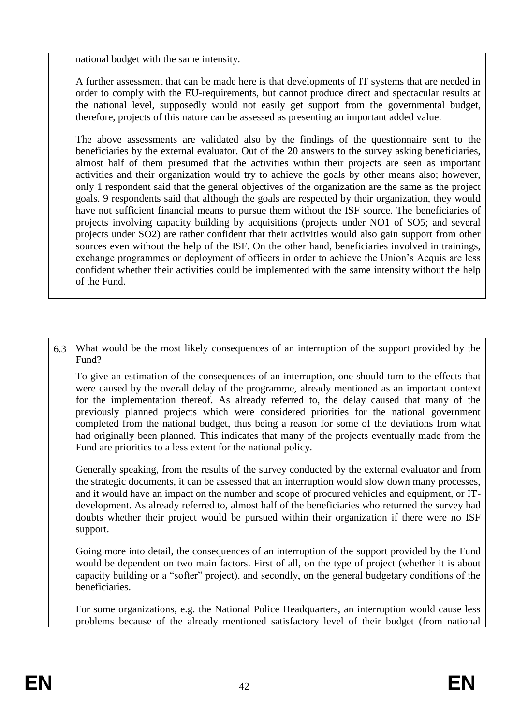national budget with the same intensity.

A further assessment that can be made here is that developments of IT systems that are needed in order to comply with the EU-requirements, but cannot produce direct and spectacular results at the national level, supposedly would not easily get support from the governmental budget, therefore, projects of this nature can be assessed as presenting an important added value.

The above assessments are validated also by the findings of the questionnaire sent to the beneficiaries by the external evaluator. Out of the 20 answers to the survey asking beneficiaries, almost half of them presumed that the activities within their projects are seen as important activities and their organization would try to achieve the goals by other means also; however, only 1 respondent said that the general objectives of the organization are the same as the project goals. 9 respondents said that although the goals are respected by their organization, they would have not sufficient financial means to pursue them without the ISF source. The beneficiaries of projects involving capacity building by acquisitions (projects under NO1 of SO5; and several projects under SO2) are rather confident that their activities would also gain support from other sources even without the help of the ISF. On the other hand, beneficiaries involved in trainings, exchange programmes or deployment of officers in order to achieve the Union's Acquis are less confident whether their activities could be implemented with the same intensity without the help of the Fund.

| 6.3 | What would be the most likely consequences of an interruption of the support provided by the<br>Fund?                                                                                                                                                                                                                                                                                                                                                                                                                                                                                                                                                         |
|-----|---------------------------------------------------------------------------------------------------------------------------------------------------------------------------------------------------------------------------------------------------------------------------------------------------------------------------------------------------------------------------------------------------------------------------------------------------------------------------------------------------------------------------------------------------------------------------------------------------------------------------------------------------------------|
|     | To give an estimation of the consequences of an interruption, one should turn to the effects that<br>were caused by the overall delay of the programme, already mentioned as an important context<br>for the implementation thereof. As already referred to, the delay caused that many of the<br>previously planned projects which were considered priorities for the national government<br>completed from the national budget, thus being a reason for some of the deviations from what<br>had originally been planned. This indicates that many of the projects eventually made from the<br>Fund are priorities to a less extent for the national policy. |
|     | Generally speaking, from the results of the survey conducted by the external evaluator and from<br>the strategic documents, it can be assessed that an interruption would slow down many processes,<br>and it would have an impact on the number and scope of procured vehicles and equipment, or IT-<br>development. As already referred to, almost half of the beneficiaries who returned the survey had<br>doubts whether their project would be pursued within their organization if there were no ISF<br>support.                                                                                                                                        |
|     | Going more into detail, the consequences of an interruption of the support provided by the Fund<br>would be dependent on two main factors. First of all, on the type of project (whether it is about<br>capacity building or a "softer" project), and secondly, on the general budgetary conditions of the<br>beneficiaries.                                                                                                                                                                                                                                                                                                                                  |
|     | For some organizations, e.g. the National Police Headquarters, an interruption would cause less<br>problems because of the already mentioned satisfactory level of their budget (from national                                                                                                                                                                                                                                                                                                                                                                                                                                                                |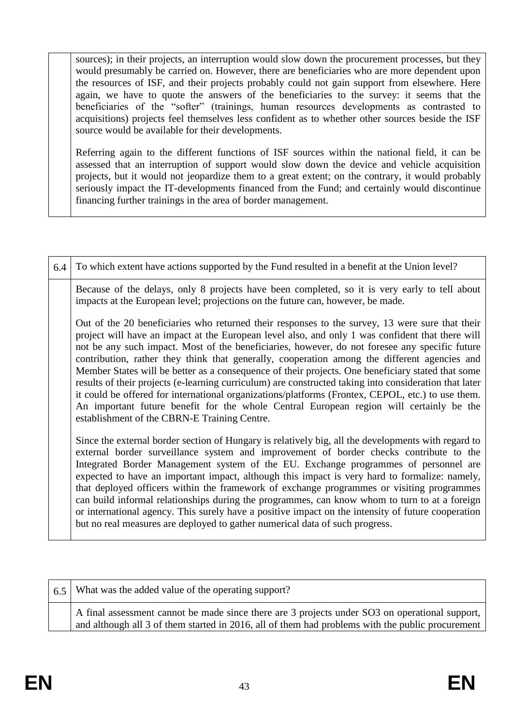sources); in their projects, an interruption would slow down the procurement processes, but they would presumably be carried on. However, there are beneficiaries who are more dependent upon the resources of ISF, and their projects probably could not gain support from elsewhere. Here again, we have to quote the answers of the beneficiaries to the survey: it seems that the beneficiaries of the "softer" (trainings, human resources developments as contrasted to acquisitions) projects feel themselves less confident as to whether other sources beside the ISF source would be available for their developments.

Referring again to the different functions of ISF sources within the national field, it can be assessed that an interruption of support would slow down the device and vehicle acquisition projects, but it would not jeopardize them to a great extent; on the contrary, it would probably seriously impact the IT-developments financed from the Fund; and certainly would discontinue financing further trainings in the area of border management.

| 6.4 | To which extent have actions supported by the Fund resulted in a benefit at the Union level?                                                                                                                                                                                                                                                                                                                                                                                                                                                                                                                                                                                                                                                                                                                                                                         |
|-----|----------------------------------------------------------------------------------------------------------------------------------------------------------------------------------------------------------------------------------------------------------------------------------------------------------------------------------------------------------------------------------------------------------------------------------------------------------------------------------------------------------------------------------------------------------------------------------------------------------------------------------------------------------------------------------------------------------------------------------------------------------------------------------------------------------------------------------------------------------------------|
|     | Because of the delays, only 8 projects have been completed, so it is very early to tell about<br>impacts at the European level; projections on the future can, however, be made.                                                                                                                                                                                                                                                                                                                                                                                                                                                                                                                                                                                                                                                                                     |
|     | Out of the 20 beneficiaries who returned their responses to the survey, 13 were sure that their<br>project will have an impact at the European level also, and only 1 was confident that there will<br>not be any such impact. Most of the beneficiaries, however, do not foresee any specific future<br>contribution, rather they think that generally, cooperation among the different agencies and<br>Member States will be better as a consequence of their projects. One beneficiary stated that some<br>results of their projects (e-learning curriculum) are constructed taking into consideration that later<br>it could be offered for international organizations/platforms (Frontex, CEPOL, etc.) to use them.<br>An important future benefit for the whole Central European region will certainly be the<br>establishment of the CBRN-E Training Centre. |
|     | Since the external border section of Hungary is relatively big, all the developments with regard to<br>external border surveillance system and improvement of border checks contribute to the<br>Integrated Border Management system of the EU. Exchange programmes of personnel are<br>expected to have an important impact, although this impact is very hard to formalize: namely,<br>that deployed officers within the framework of exchange programmes or visiting programmes<br>can build informal relationships during the programmes, can know whom to turn to at a foreign<br>or international agency. This surely have a positive impact on the intensity of future cooperation<br>but no real measures are deployed to gather numerical data of such progress.                                                                                            |

| 6.5 | What was the added value of the operating support?                                                                                                                                                 |
|-----|----------------------------------------------------------------------------------------------------------------------------------------------------------------------------------------------------|
|     | A final assessment cannot be made since there are 3 projects under SO3 on operational support,<br>and although all 3 of them started in 2016, all of them had problems with the public procurement |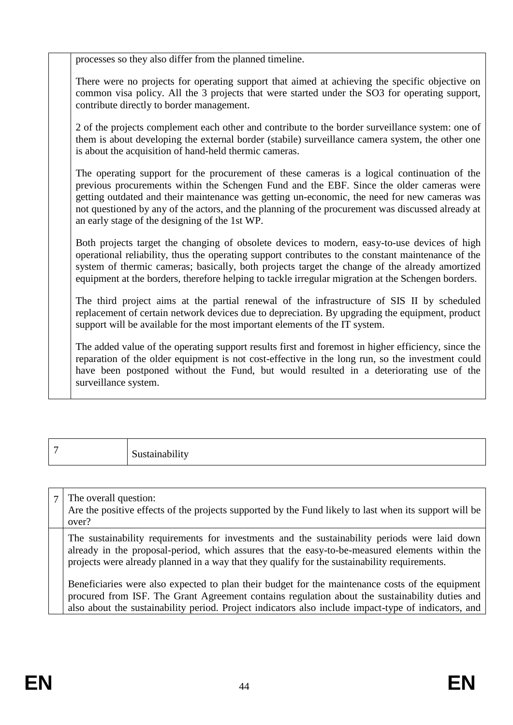processes so they also differ from the planned timeline.

There were no projects for operating support that aimed at achieving the specific objective on common visa policy. All the 3 projects that were started under the SO3 for operating support, contribute directly to border management.

2 of the projects complement each other and contribute to the border surveillance system: one of them is about developing the external border (stabile) surveillance camera system, the other one is about the acquisition of hand-held thermic cameras.

The operating support for the procurement of these cameras is a logical continuation of the previous procurements within the Schengen Fund and the EBF. Since the older cameras were getting outdated and their maintenance was getting un-economic, the need for new cameras was not questioned by any of the actors, and the planning of the procurement was discussed already at an early stage of the designing of the 1st WP.

Both projects target the changing of obsolete devices to modern, easy-to-use devices of high operational reliability, thus the operating support contributes to the constant maintenance of the system of thermic cameras; basically, both projects target the change of the already amortized equipment at the borders, therefore helping to tackle irregular migration at the Schengen borders.

The third project aims at the partial renewal of the infrastructure of SIS II by scheduled replacement of certain network devices due to depreciation. By upgrading the equipment, product support will be available for the most important elements of the IT system.

The added value of the operating support results first and foremost in higher efficiency, since the reparation of the older equipment is not cost-effective in the long run, so the investment could have been postponed without the Fund, but would resulted in a deteriorating use of the surveillance system.

| - | Sustainability |
|---|----------------|
|   |                |

7 The overall question:

Are the positive effects of the projects supported by the Fund likely to last when its support will be over?

The sustainability requirements for investments and the sustainability periods were laid down already in the proposal-period, which assures that the easy-to-be-measured elements within the projects were already planned in a way that they qualify for the sustainability requirements.

Beneficiaries were also expected to plan their budget for the maintenance costs of the equipment procured from ISF. The Grant Agreement contains regulation about the sustainability duties and also about the sustainability period. Project indicators also include impact-type of indicators, and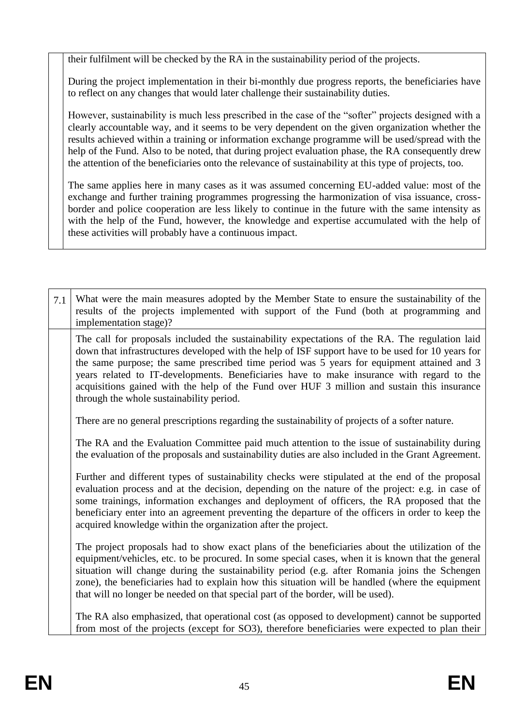their fulfilment will be checked by the RA in the sustainability period of the projects.

During the project implementation in their bi-monthly due progress reports, the beneficiaries have to reflect on any changes that would later challenge their sustainability duties.

However, sustainability is much less prescribed in the case of the "softer" projects designed with a clearly accountable way, and it seems to be very dependent on the given organization whether the results achieved within a training or information exchange programme will be used/spread with the help of the Fund. Also to be noted, that during project evaluation phase, the RA consequently drew the attention of the beneficiaries onto the relevance of sustainability at this type of projects, too.

The same applies here in many cases as it was assumed concerning EU-added value: most of the exchange and further training programmes progressing the harmonization of visa issuance, crossborder and police cooperation are less likely to continue in the future with the same intensity as with the help of the Fund, however, the knowledge and expertise accumulated with the help of these activities will probably have a continuous impact.

| 7.1 | What were the main measures adopted by the Member State to ensure the sustainability of the<br>results of the projects implemented with support of the Fund (both at programming and<br>implementation stage)?                                                                                                                                                                                                                                                                                                                            |
|-----|-------------------------------------------------------------------------------------------------------------------------------------------------------------------------------------------------------------------------------------------------------------------------------------------------------------------------------------------------------------------------------------------------------------------------------------------------------------------------------------------------------------------------------------------|
|     | The call for proposals included the sustainability expectations of the RA. The regulation laid<br>down that infrastructures developed with the help of ISF support have to be used for 10 years for<br>the same purpose; the same prescribed time period was 5 years for equipment attained and 3<br>years related to IT-developments. Beneficiaries have to make insurance with regard to the<br>acquisitions gained with the help of the Fund over HUF 3 million and sustain this insurance<br>through the whole sustainability period. |
|     | There are no general prescriptions regarding the sustainability of projects of a softer nature.                                                                                                                                                                                                                                                                                                                                                                                                                                           |
|     | The RA and the Evaluation Committee paid much attention to the issue of sustainability during<br>the evaluation of the proposals and sustainability duties are also included in the Grant Agreement.                                                                                                                                                                                                                                                                                                                                      |
|     | Further and different types of sustainability checks were stipulated at the end of the proposal<br>evaluation process and at the decision, depending on the nature of the project: e.g. in case of<br>some trainings, information exchanges and deployment of officers, the RA proposed that the<br>beneficiary enter into an agreement preventing the departure of the officers in order to keep the<br>acquired knowledge within the organization after the project.                                                                    |
|     | The project proposals had to show exact plans of the beneficiaries about the utilization of the<br>equipment/vehicles, etc. to be procured. In some special cases, when it is known that the general<br>situation will change during the sustainability period (e.g. after Romania joins the Schengen<br>zone), the beneficiaries had to explain how this situation will be handled (where the equipment<br>that will no longer be needed on that special part of the border, will be used).                                              |
|     | The RA also emphasized, that operational cost (as opposed to development) cannot be supported<br>from most of the projects (except for SO3), therefore beneficiaries were expected to plan their                                                                                                                                                                                                                                                                                                                                          |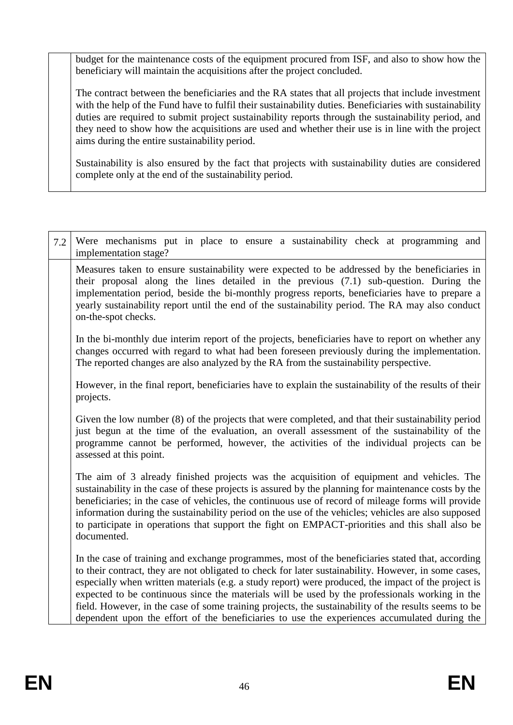budget for the maintenance costs of the equipment procured from ISF, and also to show how the beneficiary will maintain the acquisitions after the project concluded.

The contract between the beneficiaries and the RA states that all projects that include investment with the help of the Fund have to fulfil their sustainability duties. Beneficiaries with sustainability duties are required to submit project sustainability reports through the sustainability period, and they need to show how the acquisitions are used and whether their use is in line with the project aims during the entire sustainability period.

Sustainability is also ensured by the fact that projects with sustainability duties are considered complete only at the end of the sustainability period.

| 7.2 | Were mechanisms put in place to ensure a sustainability check at programming and<br>implementation stage?                                                                                                                                                                                                                                                                                                                                                                                                                                                                                                                  |
|-----|----------------------------------------------------------------------------------------------------------------------------------------------------------------------------------------------------------------------------------------------------------------------------------------------------------------------------------------------------------------------------------------------------------------------------------------------------------------------------------------------------------------------------------------------------------------------------------------------------------------------------|
|     | Measures taken to ensure sustainability were expected to be addressed by the beneficiaries in<br>their proposal along the lines detailed in the previous (7.1) sub-question. During the<br>implementation period, beside the bi-monthly progress reports, beneficiaries have to prepare a<br>yearly sustainability report until the end of the sustainability period. The RA may also conduct<br>on-the-spot checks.                                                                                                                                                                                                       |
|     | In the bi-monthly due interim report of the projects, beneficiaries have to report on whether any<br>changes occurred with regard to what had been foreseen previously during the implementation.<br>The reported changes are also analyzed by the RA from the sustainability perspective.                                                                                                                                                                                                                                                                                                                                 |
|     | However, in the final report, beneficiaries have to explain the sustainability of the results of their<br>projects.                                                                                                                                                                                                                                                                                                                                                                                                                                                                                                        |
|     | Given the low number $(8)$ of the projects that were completed, and that their sustainability period<br>just begun at the time of the evaluation, an overall assessment of the sustainability of the<br>programme cannot be performed, however, the activities of the individual projects can be<br>assessed at this point.                                                                                                                                                                                                                                                                                                |
|     | The aim of 3 already finished projects was the acquisition of equipment and vehicles. The<br>sustainability in the case of these projects is assured by the planning for maintenance costs by the<br>beneficiaries; in the case of vehicles, the continuous use of record of mileage forms will provide<br>information during the sustainability period on the use of the vehicles; vehicles are also supposed<br>to participate in operations that support the fight on EMPACT-priorities and this shall also be<br>documented.                                                                                           |
|     | In the case of training and exchange programmes, most of the beneficiaries stated that, according<br>to their contract, they are not obligated to check for later sustainability. However, in some cases,<br>especially when written materials (e.g. a study report) were produced, the impact of the project is<br>expected to be continuous since the materials will be used by the professionals working in the<br>field. However, in the case of some training projects, the sustainability of the results seems to be<br>dependent upon the effort of the beneficiaries to use the experiences accumulated during the |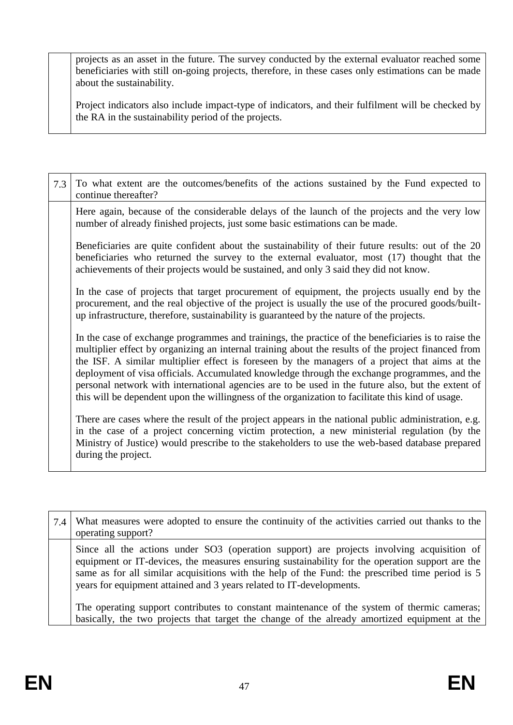projects as an asset in the future. The survey conducted by the external evaluator reached some beneficiaries with still on-going projects, therefore, in these cases only estimations can be made about the sustainability.

Project indicators also include impact-type of indicators, and their fulfilment will be checked by the RA in the sustainability period of the projects.

| 7.3 | To what extent are the outcomes/benefits of the actions sustained by the Fund expected to<br>continue thereafter?                                                                                                                                                                                                                                                                                                                                                                                                                                                                                                      |
|-----|------------------------------------------------------------------------------------------------------------------------------------------------------------------------------------------------------------------------------------------------------------------------------------------------------------------------------------------------------------------------------------------------------------------------------------------------------------------------------------------------------------------------------------------------------------------------------------------------------------------------|
|     | Here again, because of the considerable delays of the launch of the projects and the very low<br>number of already finished projects, just some basic estimations can be made.                                                                                                                                                                                                                                                                                                                                                                                                                                         |
|     | Beneficiaries are quite confident about the sustainability of their future results: out of the 20<br>beneficiaries who returned the survey to the external evaluator, most (17) thought that the<br>achievements of their projects would be sustained, and only 3 said they did not know.                                                                                                                                                                                                                                                                                                                              |
|     | In the case of projects that target procurement of equipment, the projects usually end by the<br>procurement, and the real objective of the project is usually the use of the procured goods/built-<br>up infrastructure, therefore, sustainability is guaranteed by the nature of the projects.                                                                                                                                                                                                                                                                                                                       |
|     | In the case of exchange programmes and trainings, the practice of the beneficiaries is to raise the<br>multiplier effect by organizing an internal training about the results of the project financed from<br>the ISF. A similar multiplier effect is foreseen by the managers of a project that aims at the<br>deployment of visa officials. Accumulated knowledge through the exchange programmes, and the<br>personal network with international agencies are to be used in the future also, but the extent of<br>this will be dependent upon the willingness of the organization to facilitate this kind of usage. |
|     | There are cases where the result of the project appears in the national public administration, e.g.<br>in the case of a project concerning victim protection, a new ministerial regulation (by the<br>Ministry of Justice) would prescribe to the stakeholders to use the web-based database prepared<br>during the project.                                                                                                                                                                                                                                                                                           |

| 7.4 | What measures were adopted to ensure the continuity of the activities carried out thanks to the<br>operating support?                                                                                                                                                                                                                                                   |
|-----|-------------------------------------------------------------------------------------------------------------------------------------------------------------------------------------------------------------------------------------------------------------------------------------------------------------------------------------------------------------------------|
|     | Since all the actions under SO3 (operation support) are projects involving acquisition of<br>equipment or IT-devices, the measures ensuring sustainability for the operation support are the<br>same as for all similar acquisitions with the help of the Fund: the prescribed time period is 5<br>years for equipment attained and 3 years related to IT-developments. |
|     | The operating support contributes to constant maintenance of the system of thermic cameras;<br>basically, the two projects that target the change of the already amortized equipment at the                                                                                                                                                                             |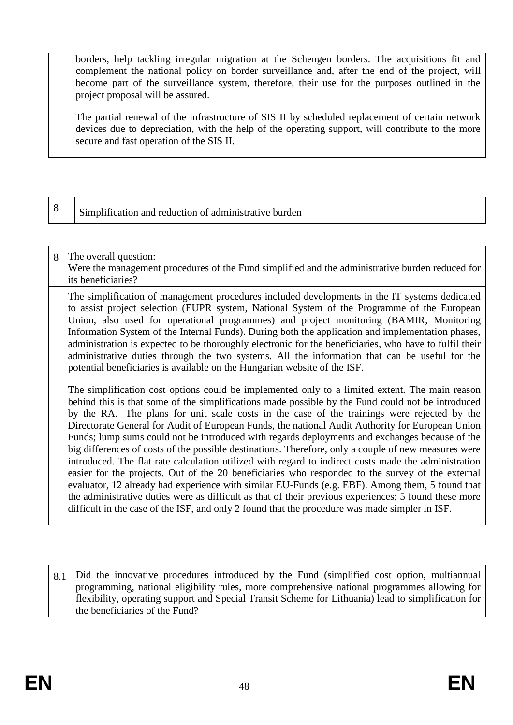borders, help tackling irregular migration at the Schengen borders. The acquisitions fit and complement the national policy on border surveillance and, after the end of the project, will become part of the surveillance system, therefore, their use for the purposes outlined in the project proposal will be assured.

The partial renewal of the infrastructure of SIS II by scheduled replacement of certain network devices due to depreciation, with the help of the operating support, will contribute to the more secure and fast operation of the SIS II.

# 8 Simplification and reduction of administrative burden

#### 8 The overall question: Were the management procedures of the Fund simplified and the administrative burden reduced for its beneficiaries? The simplification of management procedures included developments in the IT systems dedicated to assist project selection (EUPR system, National System of the Programme of the European Union, also used for operational programmes) and project monitoring (BAMIR, Monitoring Information System of the Internal Funds). During both the application and implementation phases, administration is expected to be thoroughly electronic for the beneficiaries, who have to fulfil their administrative duties through the two systems. All the information that can be useful for the

potential beneficiaries is available on the Hungarian website of the ISF.

The simplification cost options could be implemented only to a limited extent. The main reason behind this is that some of the simplifications made possible by the Fund could not be introduced by the RA. The plans for unit scale costs in the case of the trainings were rejected by the Directorate General for Audit of European Funds, the national Audit Authority for European Union Funds; lump sums could not be introduced with regards deployments and exchanges because of the big differences of costs of the possible destinations. Therefore, only a couple of new measures were introduced. The flat rate calculation utilized with regard to indirect costs made the administration easier for the projects. Out of the 20 beneficiaries who responded to the survey of the external evaluator, 12 already had experience with similar EU-Funds (e.g. EBF). Among them, 5 found that the administrative duties were as difficult as that of their previous experiences; 5 found these more difficult in the case of the ISF, and only 2 found that the procedure was made simpler in ISF.

8.1 Did the innovative procedures introduced by the Fund (simplified cost option, multiannual programming, national eligibility rules, more comprehensive national programmes allowing for flexibility, operating support and Special Transit Scheme for Lithuania) lead to simplification for the beneficiaries of the Fund?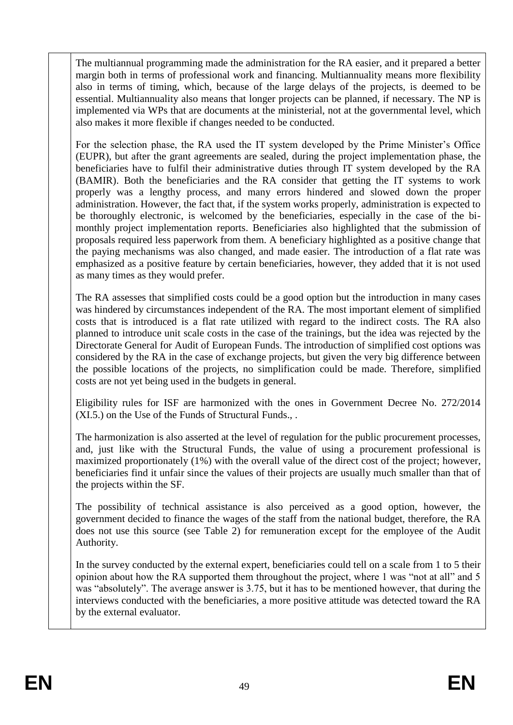The multiannual programming made the administration for the RA easier, and it prepared a better margin both in terms of professional work and financing. Multiannuality means more flexibility also in terms of timing, which, because of the large delays of the projects, is deemed to be essential. Multiannuality also means that longer projects can be planned, if necessary. The NP is implemented via WPs that are documents at the ministerial, not at the governmental level, which also makes it more flexible if changes needed to be conducted.

For the selection phase, the RA used the IT system developed by the Prime Minister's Office (EUPR), but after the grant agreements are sealed, during the project implementation phase, the beneficiaries have to fulfil their administrative duties through IT system developed by the RA (BAMIR). Both the beneficiaries and the RA consider that getting the IT systems to work properly was a lengthy process, and many errors hindered and slowed down the proper administration. However, the fact that, if the system works properly, administration is expected to be thoroughly electronic, is welcomed by the beneficiaries, especially in the case of the bimonthly project implementation reports. Beneficiaries also highlighted that the submission of proposals required less paperwork from them. A beneficiary highlighted as a positive change that the paying mechanisms was also changed, and made easier. The introduction of a flat rate was emphasized as a positive feature by certain beneficiaries, however, they added that it is not used as many times as they would prefer.

The RA assesses that simplified costs could be a good option but the introduction in many cases was hindered by circumstances independent of the RA. The most important element of simplified costs that is introduced is a flat rate utilized with regard to the indirect costs. The RA also planned to introduce unit scale costs in the case of the trainings, but the idea was rejected by the Directorate General for Audit of European Funds. The introduction of simplified cost options was considered by the RA in the case of exchange projects, but given the very big difference between the possible locations of the projects, no simplification could be made. Therefore, simplified costs are not yet being used in the budgets in general.

Eligibility rules for ISF are harmonized with the ones in Government Decree No. 272/2014 (XI.5.) on the Use of the Funds of Structural Funds., .

The harmonization is also asserted at the level of regulation for the public procurement processes, and, just like with the Structural Funds, the value of using a procurement professional is maximized proportionately (1%) with the overall value of the direct cost of the project; however, beneficiaries find it unfair since the values of their projects are usually much smaller than that of the projects within the SF.

The possibility of technical assistance is also perceived as a good option, however, the government decided to finance the wages of the staff from the national budget, therefore, the RA does not use this source (see Table 2) for remuneration except for the employee of the Audit Authority.

In the survey conducted by the external expert, beneficiaries could tell on a scale from 1 to 5 their opinion about how the RA supported them throughout the project, where 1 was "not at all" and 5 was "absolutely". The average answer is 3.75, but it has to be mentioned however, that during the interviews conducted with the beneficiaries, a more positive attitude was detected toward the RA by the external evaluator.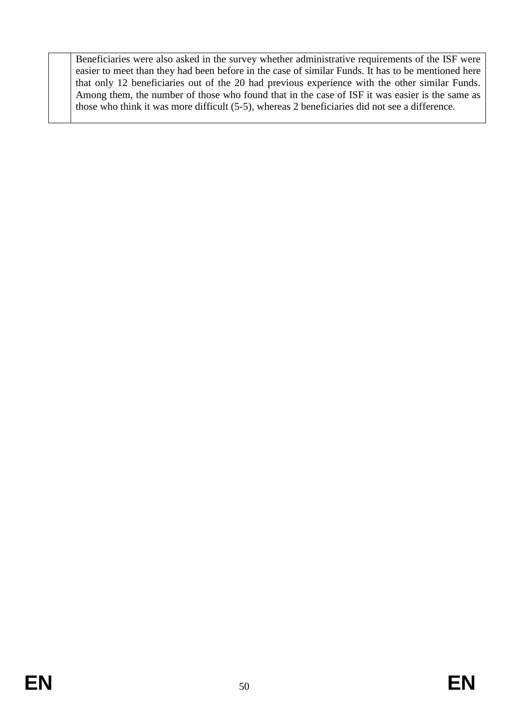Beneficiaries were also asked in the survey whether administrative requirements of the ISF were easier to meet than they had been before in the case of similar Funds. It has to be mentioned here that only 12 beneficiaries out of the 20 had previous experience with the other similar Funds. Among them, the number of those who found that in the case of ISF it was easier is the same as those who think it was more difficult (5-5), whereas 2 beneficiaries did not see a difference.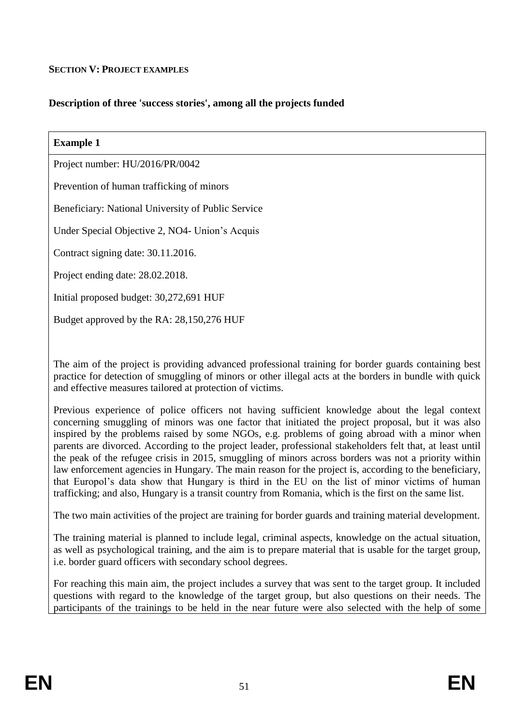### **SECTION V: PROJECT EXAMPLES**

## **Description of three 'success stories', among all the projects funded**

| <b>Example 1</b>                                   |
|----------------------------------------------------|
| Project number: HU/2016/PR/0042                    |
| Prevention of human trafficking of minors          |
| Beneficiary: National University of Public Service |
| Under Special Objective 2, NO4- Union's Acquis     |
| Contract signing date: 30.11.2016.                 |
| Project ending date: 28.02.2018.                   |
| Initial proposed budget: 30,272,691 HUF            |
| Budget approved by the RA: 28,150,276 HUF          |

The aim of the project is providing advanced professional training for border guards containing best practice for detection of smuggling of minors or other illegal acts at the borders in bundle with quick and effective measures tailored at protection of victims.

Previous experience of police officers not having sufficient knowledge about the legal context concerning smuggling of minors was one factor that initiated the project proposal, but it was also inspired by the problems raised by some NGOs, e.g. problems of going abroad with a minor when parents are divorced. According to the project leader, professional stakeholders felt that, at least until the peak of the refugee crisis in 2015, smuggling of minors across borders was not a priority within law enforcement agencies in Hungary. The main reason for the project is, according to the beneficiary, that Europol's data show that Hungary is third in the EU on the list of minor victims of human trafficking; and also, Hungary is a transit country from Romania, which is the first on the same list.

The two main activities of the project are training for border guards and training material development.

The training material is planned to include legal, criminal aspects, knowledge on the actual situation, as well as psychological training, and the aim is to prepare material that is usable for the target group, i.e. border guard officers with secondary school degrees.

For reaching this main aim, the project includes a survey that was sent to the target group. It included questions with regard to the knowledge of the target group, but also questions on their needs. The participants of the trainings to be held in the near future were also selected with the help of some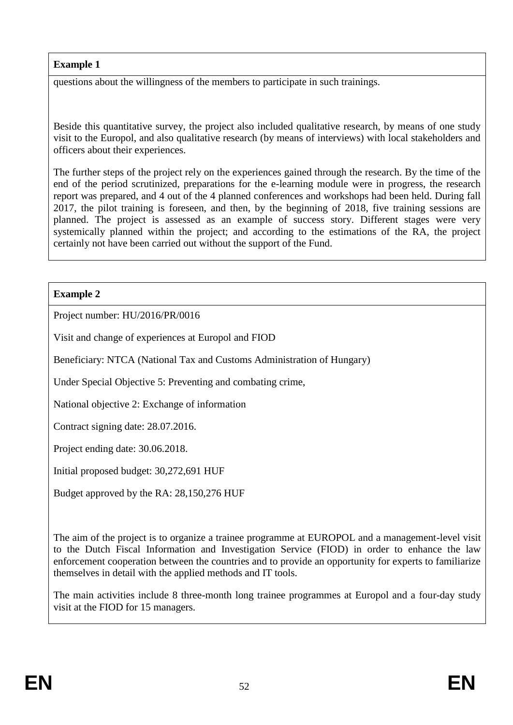questions about the willingness of the members to participate in such trainings.

Beside this quantitative survey, the project also included qualitative research, by means of one study visit to the Europol, and also qualitative research (by means of interviews) with local stakeholders and officers about their experiences.

The further steps of the project rely on the experiences gained through the research. By the time of the end of the period scrutinized, preparations for the e-learning module were in progress, the research report was prepared, and 4 out of the 4 planned conferences and workshops had been held. During fall 2017, the pilot training is foreseen, and then, by the beginning of 2018, five training sessions are planned. The project is assessed as an example of success story. Different stages were very systemically planned within the project; and according to the estimations of the RA, the project certainly not have been carried out without the support of the Fund.

## **Example 2**

Project number: HU/2016/PR/0016

Visit and change of experiences at Europol and FIOD

Beneficiary: NTCA (National Tax and Customs Administration of Hungary)

Under Special Objective 5: Preventing and combating crime,

National objective 2: Exchange of information

Contract signing date: 28.07.2016.

Project ending date: 30.06.2018.

Initial proposed budget: 30,272,691 HUF

Budget approved by the RA: 28,150,276 HUF

The aim of the project is to organize a trainee programme at EUROPOL and a management-level visit to the Dutch Fiscal Information and Investigation Service (FIOD) in order to enhance the law enforcement cooperation between the countries and to provide an opportunity for experts to familiarize themselves in detail with the applied methods and IT tools.

The main activities include 8 three-month long trainee programmes at Europol and a four-day study visit at the FIOD for 15 managers.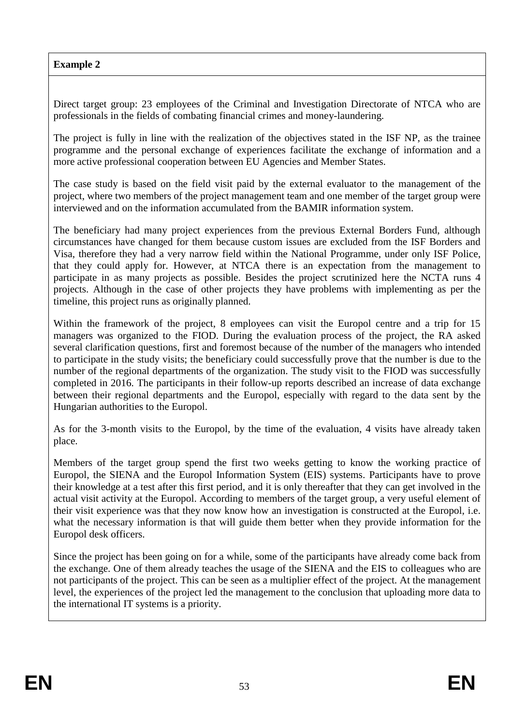Direct target group: 23 employees of the Criminal and Investigation Directorate of NTCA who are professionals in the fields of combating financial crimes and money-laundering.

The project is fully in line with the realization of the objectives stated in the ISF NP, as the trainee programme and the personal exchange of experiences facilitate the exchange of information and a more active professional cooperation between EU Agencies and Member States.

The case study is based on the field visit paid by the external evaluator to the management of the project, where two members of the project management team and one member of the target group were interviewed and on the information accumulated from the BAMIR information system.

The beneficiary had many project experiences from the previous External Borders Fund, although circumstances have changed for them because custom issues are excluded from the ISF Borders and Visa, therefore they had a very narrow field within the National Programme, under only ISF Police, that they could apply for. However, at NTCA there is an expectation from the management to participate in as many projects as possible. Besides the project scrutinized here the NCTA runs 4 projects. Although in the case of other projects they have problems with implementing as per the timeline, this project runs as originally planned.

Within the framework of the project, 8 employees can visit the Europol centre and a trip for 15 managers was organized to the FIOD. During the evaluation process of the project, the RA asked several clarification questions, first and foremost because of the number of the managers who intended to participate in the study visits; the beneficiary could successfully prove that the number is due to the number of the regional departments of the organization. The study visit to the FIOD was successfully completed in 2016. The participants in their follow-up reports described an increase of data exchange between their regional departments and the Europol, especially with regard to the data sent by the Hungarian authorities to the Europol.

As for the 3-month visits to the Europol, by the time of the evaluation, 4 visits have already taken place.

Members of the target group spend the first two weeks getting to know the working practice of Europol, the SIENA and the Europol Information System (EIS) systems. Participants have to prove their knowledge at a test after this first period, and it is only thereafter that they can get involved in the actual visit activity at the Europol. According to members of the target group, a very useful element of their visit experience was that they now know how an investigation is constructed at the Europol, i.e. what the necessary information is that will guide them better when they provide information for the Europol desk officers.

Since the project has been going on for a while, some of the participants have already come back from the exchange. One of them already teaches the usage of the SIENA and the EIS to colleagues who are not participants of the project. This can be seen as a multiplier effect of the project. At the management level, the experiences of the project led the management to the conclusion that uploading more data to the international IT systems is a priority.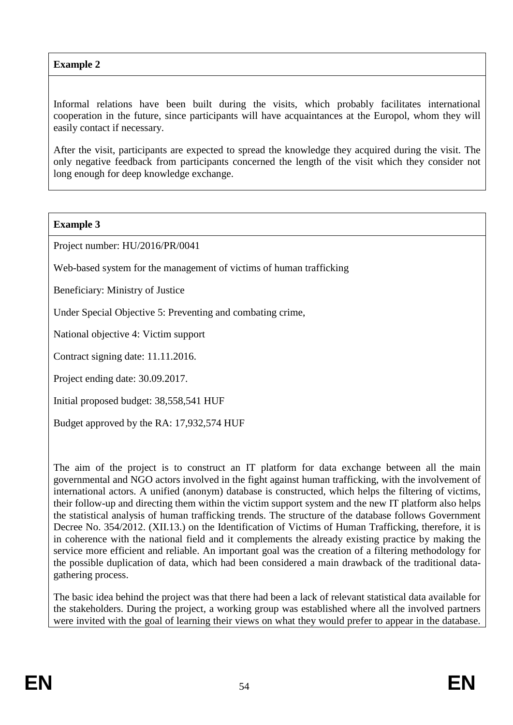Informal relations have been built during the visits, which probably facilitates international cooperation in the future, since participants will have acquaintances at the Europol, whom they will easily contact if necessary.

After the visit, participants are expected to spread the knowledge they acquired during the visit. The only negative feedback from participants concerned the length of the visit which they consider not long enough for deep knowledge exchange.

### **Example 3**

Project number: HU/2016/PR/0041

Web-based system for the management of victims of human trafficking

Beneficiary: Ministry of Justice

Under Special Objective 5: Preventing and combating crime,

National objective 4: Victim support

Contract signing date: 11.11.2016.

Project ending date: 30.09.2017.

Initial proposed budget: 38,558,541 HUF

Budget approved by the RA: 17,932,574 HUF

The aim of the project is to construct an IT platform for data exchange between all the main governmental and NGO actors involved in the fight against human trafficking, with the involvement of international actors. A unified (anonym) database is constructed, which helps the filtering of victims, their follow-up and directing them within the victim support system and the new IT platform also helps the statistical analysis of human trafficking trends. The structure of the database follows Government Decree No. 354/2012. (XII.13.) on the Identification of Victims of Human Trafficking, therefore, it is in coherence with the national field and it complements the already existing practice by making the service more efficient and reliable. An important goal was the creation of a filtering methodology for the possible duplication of data, which had been considered a main drawback of the traditional datagathering process.

The basic idea behind the project was that there had been a lack of relevant statistical data available for the stakeholders. During the project, a working group was established where all the involved partners were invited with the goal of learning their views on what they would prefer to appear in the database.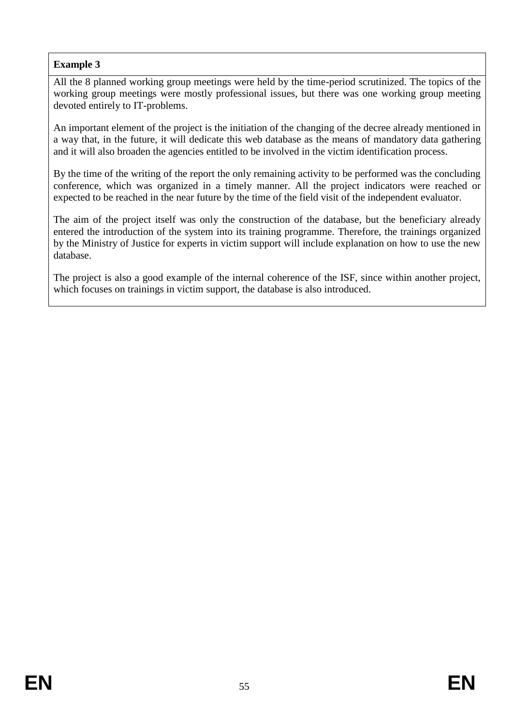All the 8 planned working group meetings were held by the time-period scrutinized. The topics of the working group meetings were mostly professional issues, but there was one working group meeting devoted entirely to IT-problems.

An important element of the project is the initiation of the changing of the decree already mentioned in a way that, in the future, it will dedicate this web database as the means of mandatory data gathering and it will also broaden the agencies entitled to be involved in the victim identification process.

By the time of the writing of the report the only remaining activity to be performed was the concluding conference, which was organized in a timely manner. All the project indicators were reached or expected to be reached in the near future by the time of the field visit of the independent evaluator.

The aim of the project itself was only the construction of the database, but the beneficiary already entered the introduction of the system into its training programme. Therefore, the trainings organized by the Ministry of Justice for experts in victim support will include explanation on how to use the new database.

The project is also a good example of the internal coherence of the ISF, since within another project, which focuses on trainings in victim support, the database is also introduced.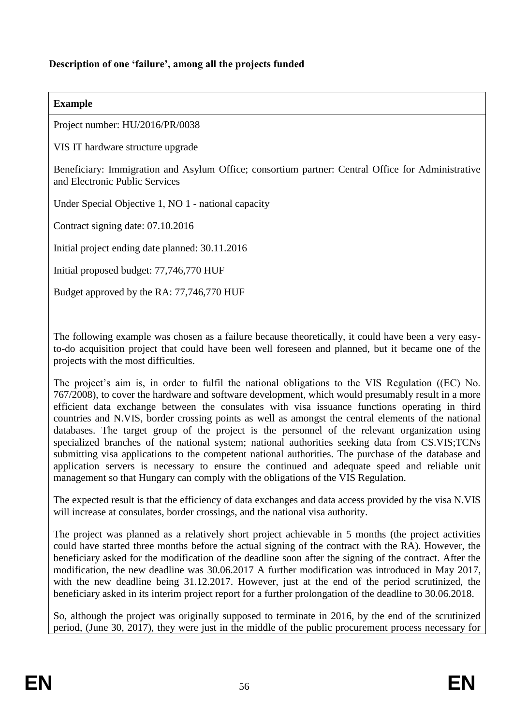### **Description of one 'failure', among all the projects funded**

#### **Example**

Project number: HU/2016/PR/0038

VIS IT hardware structure upgrade

Beneficiary: Immigration and Asylum Office; consortium partner: Central Office for Administrative and Electronic Public Services

Under Special Objective 1, NO 1 - national capacity

Contract signing date: 07.10.2016

Initial project ending date planned: 30.11.2016

Initial proposed budget: 77,746,770 HUF

Budget approved by the RA: 77,746,770 HUF

The following example was chosen as a failure because theoretically, it could have been a very easyto-do acquisition project that could have been well foreseen and planned, but it became one of the projects with the most difficulties.

The project's aim is, in order to fulfil the national obligations to the VIS Regulation ((EC) No. 767/2008), to cover the hardware and software development, which would presumably result in a more efficient data exchange between the consulates with visa issuance functions operating in third countries and N.VIS, border crossing points as well as amongst the central elements of the national databases. The target group of the project is the personnel of the relevant organization using specialized branches of the national system; national authorities seeking data from CS.VIS;TCNs submitting visa applications to the competent national authorities. The purchase of the database and application servers is necessary to ensure the continued and adequate speed and reliable unit management so that Hungary can comply with the obligations of the VIS Regulation.

The expected result is that the efficiency of data exchanges and data access provided by the visa N.VIS will increase at consulates, border crossings, and the national visa authority.

The project was planned as a relatively short project achievable in 5 months (the project activities could have started three months before the actual signing of the contract with the RA). However, the beneficiary asked for the modification of the deadline soon after the signing of the contract. After the modification, the new deadline was 30.06.2017 A further modification was introduced in May 2017, with the new deadline being 31.12.2017. However, just at the end of the period scrutinized, the beneficiary asked in its interim project report for a further prolongation of the deadline to 30.06.2018.

So, although the project was originally supposed to terminate in 2016, by the end of the scrutinized period, (June 30, 2017), they were just in the middle of the public procurement process necessary for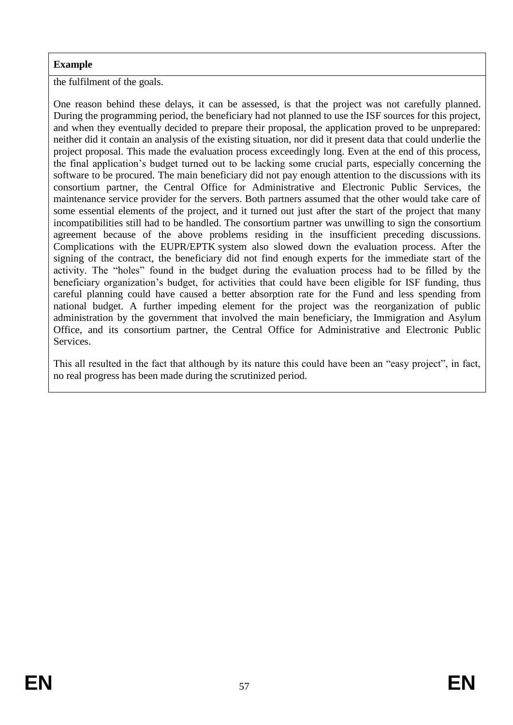the fulfilment of the goals.

One reason behind these delays, it can be assessed, is that the project was not carefully planned. During the programming period, the beneficiary had not planned to use the ISF sources for this project, and when they eventually decided to prepare their proposal, the application proved to be unprepared: neither did it contain an analysis of the existing situation, nor did it present data that could underlie the project proposal. This made the evaluation process exceedingly long. Even at the end of this process, the final application's budget turned out to be lacking some crucial parts, especially concerning the software to be procured. The main beneficiary did not pay enough attention to the discussions with its consortium partner, the Central Office for Administrative and Electronic Public Services, the maintenance service provider for the servers. Both partners assumed that the other would take care of some essential elements of the project, and it turned out just after the start of the project that many incompatibilities still had to be handled. The consortium partner was unwilling to sign the consortium agreement because of the above problems residing in the insufficient preceding discussions. Complications with the EUPR/EPTK system also slowed down the evaluation process. After the signing of the contract, the beneficiary did not find enough experts for the immediate start of the activity. The "holes" found in the budget during the evaluation process had to be filled by the beneficiary organization's budget, for activities that could have been eligible for ISF funding, thus careful planning could have caused a better absorption rate for the Fund and less spending from national budget. A further impeding element for the project was the reorganization of public administration by the government that involved the main beneficiary, the Immigration and Asylum Office, and its consortium partner, the Central Office for Administrative and Electronic Public Services.

This all resulted in the fact that although by its nature this could have been an "easy project", in fact, no real progress has been made during the scrutinized period.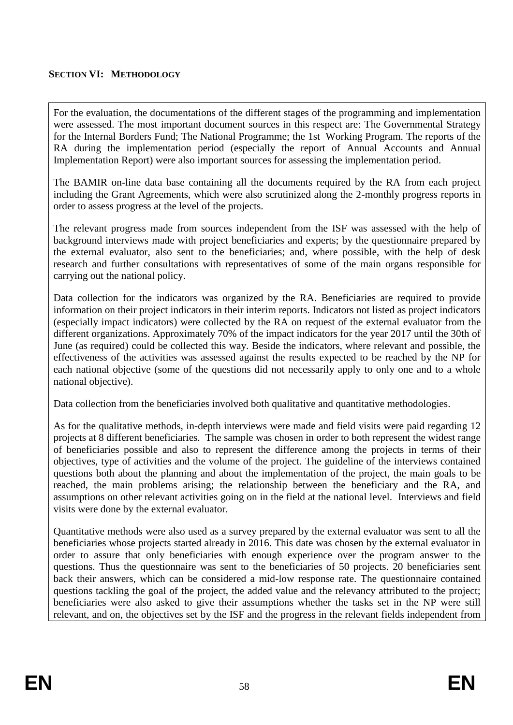### **SECTION VI: METHODOLOGY**

For the evaluation, the documentations of the different stages of the programming and implementation were assessed. The most important document sources in this respect are: The Governmental Strategy for the Internal Borders Fund; The National Programme; the 1st Working Program. The reports of the RA during the implementation period (especially the report of Annual Accounts and Annual Implementation Report) were also important sources for assessing the implementation period.

The BAMIR on-line data base containing all the documents required by the RA from each project including the Grant Agreements, which were also scrutinized along the 2-monthly progress reports in order to assess progress at the level of the projects.

The relevant progress made from sources independent from the ISF was assessed with the help of background interviews made with project beneficiaries and experts; by the questionnaire prepared by the external evaluator, also sent to the beneficiaries; and, where possible, with the help of desk research and further consultations with representatives of some of the main organs responsible for carrying out the national policy.

Data collection for the indicators was organized by the RA. Beneficiaries are required to provide information on their project indicators in their interim reports. Indicators not listed as project indicators (especially impact indicators) were collected by the RA on request of the external evaluator from the different organizations. Approximately 70% of the impact indicators for the year 2017 until the 30th of June (as required) could be collected this way. Beside the indicators, where relevant and possible, the effectiveness of the activities was assessed against the results expected to be reached by the NP for each national objective (some of the questions did not necessarily apply to only one and to a whole national objective).

Data collection from the beneficiaries involved both qualitative and quantitative methodologies.

As for the qualitative methods, in-depth interviews were made and field visits were paid regarding 12 projects at 8 different beneficiaries. The sample was chosen in order to both represent the widest range of beneficiaries possible and also to represent the difference among the projects in terms of their objectives, type of activities and the volume of the project. The guideline of the interviews contained questions both about the planning and about the implementation of the project, the main goals to be reached, the main problems arising; the relationship between the beneficiary and the RA, and assumptions on other relevant activities going on in the field at the national level. Interviews and field visits were done by the external evaluator.

Quantitative methods were also used as a survey prepared by the external evaluator was sent to all the beneficiaries whose projects started already in 2016. This date was chosen by the external evaluator in order to assure that only beneficiaries with enough experience over the program answer to the questions. Thus the questionnaire was sent to the beneficiaries of 50 projects. 20 beneficiaries sent back their answers, which can be considered a mid-low response rate. The questionnaire contained questions tackling the goal of the project, the added value and the relevancy attributed to the project; beneficiaries were also asked to give their assumptions whether the tasks set in the NP were still relevant, and on, the objectives set by the ISF and the progress in the relevant fields independent from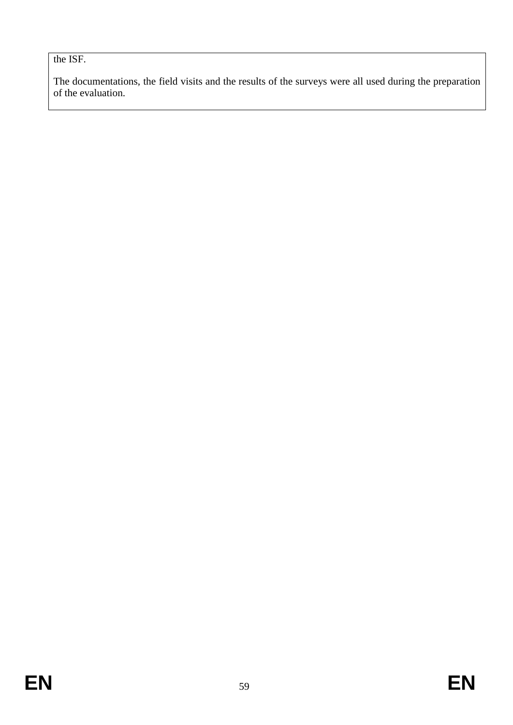the ISF.

The documentations, the field visits and the results of the surveys were all used during the preparation of the evaluation.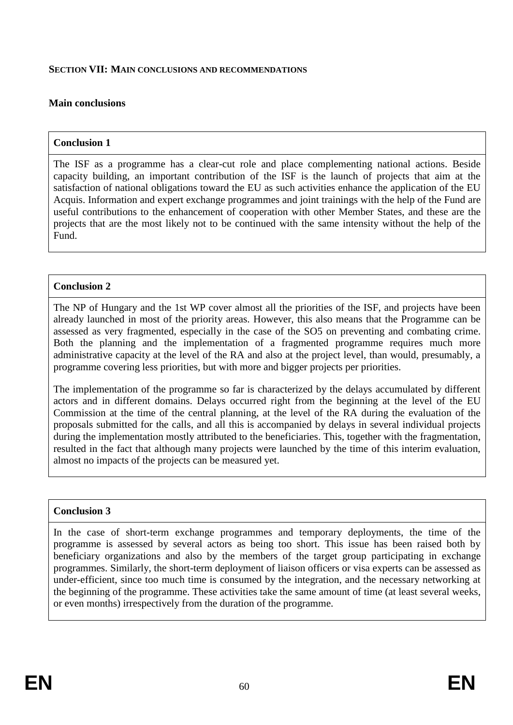#### **SECTION VII: MAIN CONCLUSIONS AND RECOMMENDATIONS**

### **Main conclusions**

#### **Conclusion 1**

The ISF as a programme has a clear-cut role and place complementing national actions. Beside capacity building, an important contribution of the ISF is the launch of projects that aim at the satisfaction of national obligations toward the EU as such activities enhance the application of the EU Acquis. Information and expert exchange programmes and joint trainings with the help of the Fund are useful contributions to the enhancement of cooperation with other Member States, and these are the projects that are the most likely not to be continued with the same intensity without the help of the Fund.

#### **Conclusion 2**

The NP of Hungary and the 1st WP cover almost all the priorities of the ISF, and projects have been already launched in most of the priority areas. However, this also means that the Programme can be assessed as very fragmented, especially in the case of the SO5 on preventing and combating crime. Both the planning and the implementation of a fragmented programme requires much more administrative capacity at the level of the RA and also at the project level, than would, presumably, a programme covering less priorities, but with more and bigger projects per priorities.

The implementation of the programme so far is characterized by the delays accumulated by different actors and in different domains. Delays occurred right from the beginning at the level of the EU Commission at the time of the central planning, at the level of the RA during the evaluation of the proposals submitted for the calls, and all this is accompanied by delays in several individual projects during the implementation mostly attributed to the beneficiaries. This, together with the fragmentation, resulted in the fact that although many projects were launched by the time of this interim evaluation, almost no impacts of the projects can be measured yet.

#### **Conclusion 3**

In the case of short-term exchange programmes and temporary deployments, the time of the programme is assessed by several actors as being too short. This issue has been raised both by beneficiary organizations and also by the members of the target group participating in exchange programmes. Similarly, the short-term deployment of liaison officers or visa experts can be assessed as under-efficient, since too much time is consumed by the integration, and the necessary networking at the beginning of the programme. These activities take the same amount of time (at least several weeks, or even months) irrespectively from the duration of the programme.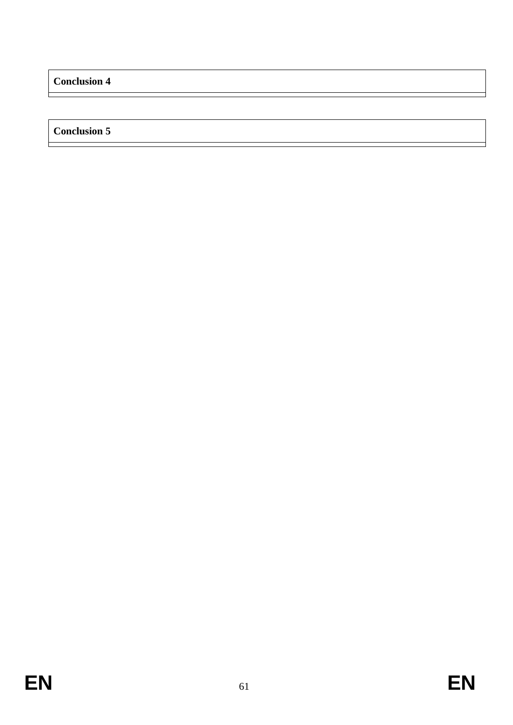**Conclusion 4**

**Conclusion 5**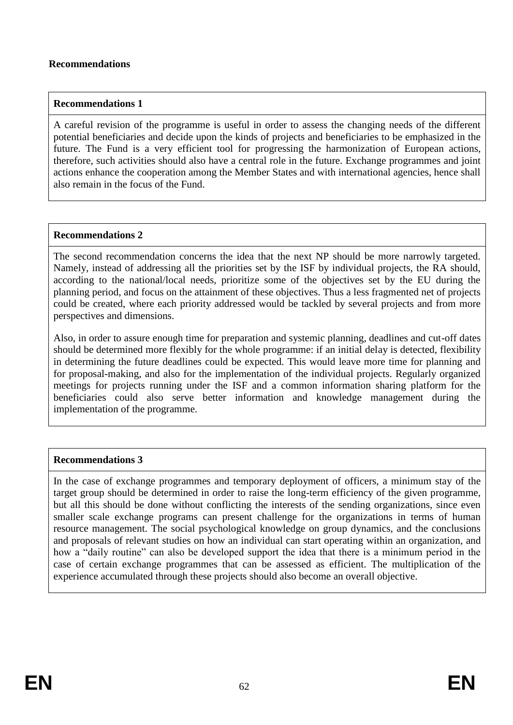#### **Recommendations**

#### **Recommendations 1**

A careful revision of the programme is useful in order to assess the changing needs of the different potential beneficiaries and decide upon the kinds of projects and beneficiaries to be emphasized in the future. The Fund is a very efficient tool for progressing the harmonization of European actions, therefore, such activities should also have a central role in the future. Exchange programmes and joint actions enhance the cooperation among the Member States and with international agencies, hence shall also remain in the focus of the Fund.

#### **Recommendations 2**

The second recommendation concerns the idea that the next NP should be more narrowly targeted. Namely, instead of addressing all the priorities set by the ISF by individual projects, the RA should, according to the national/local needs, prioritize some of the objectives set by the EU during the planning period, and focus on the attainment of these objectives. Thus a less fragmented net of projects could be created, where each priority addressed would be tackled by several projects and from more perspectives and dimensions.

Also, in order to assure enough time for preparation and systemic planning, deadlines and cut-off dates should be determined more flexibly for the whole programme: if an initial delay is detected, flexibility in determining the future deadlines could be expected. This would leave more time for planning and for proposal-making, and also for the implementation of the individual projects. Regularly organized meetings for projects running under the ISF and a common information sharing platform for the beneficiaries could also serve better information and knowledge management during the implementation of the programme.

### **Recommendations 3**

In the case of exchange programmes and temporary deployment of officers, a minimum stay of the target group should be determined in order to raise the long-term efficiency of the given programme, but all this should be done without conflicting the interests of the sending organizations, since even smaller scale exchange programs can present challenge for the organizations in terms of human resource management. The social psychological knowledge on group dynamics, and the conclusions and proposals of relevant studies on how an individual can start operating within an organization, and how a "daily routine" can also be developed support the idea that there is a minimum period in the case of certain exchange programmes that can be assessed as efficient. The multiplication of the experience accumulated through these projects should also become an overall objective.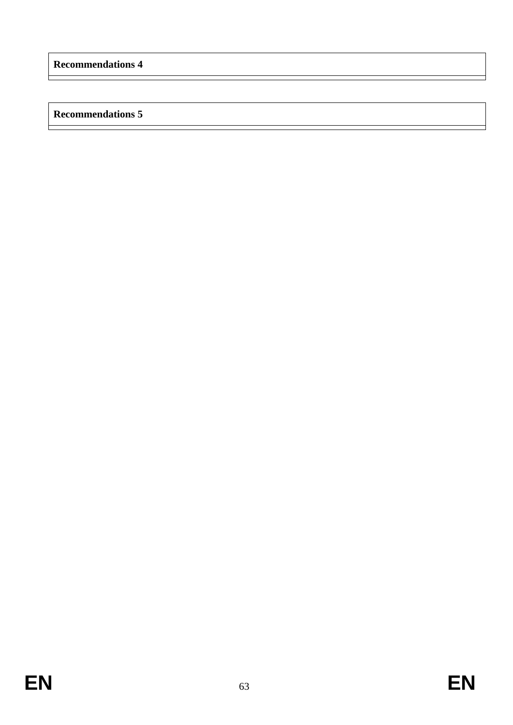## **Recommendations 5**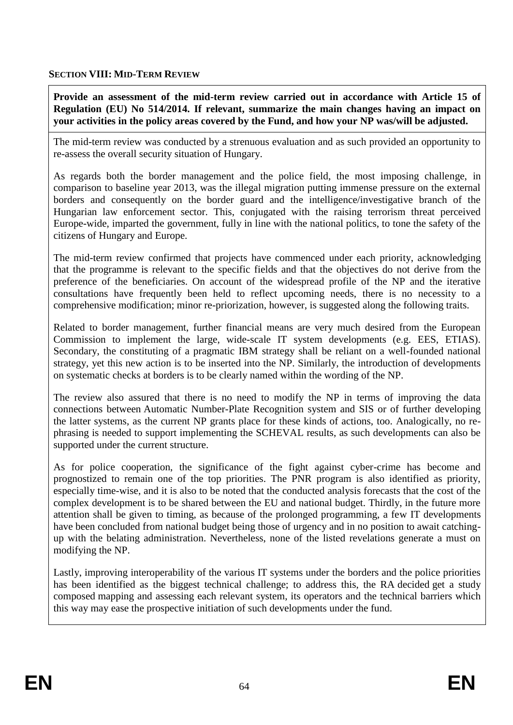### **SECTION VIII: MID-TERM REVIEW**

**Provide an assessment of the mid-term review carried out in accordance with Article 15 of Regulation (EU) No 514/2014. If relevant, summarize the main changes having an impact on your activities in the policy areas covered by the Fund, and how your NP was/will be adjusted.**

The mid-term review was conducted by a strenuous evaluation and as such provided an opportunity to re-assess the overall security situation of Hungary.

As regards both the border management and the police field, the most imposing challenge, in comparison to baseline year 2013, was the illegal migration putting immense pressure on the external borders and consequently on the border guard and the intelligence/investigative branch of the Hungarian law enforcement sector. This, conjugated with the raising terrorism threat perceived Europe-wide, imparted the government, fully in line with the national politics, to tone the safety of the citizens of Hungary and Europe.

The mid-term review confirmed that projects have commenced under each priority, acknowledging that the programme is relevant to the specific fields and that the objectives do not derive from the preference of the beneficiaries. On account of the widespread profile of the NP and the iterative consultations have frequently been held to reflect upcoming needs, there is no necessity to a comprehensive modification; minor re-priorization, however, is suggested along the following traits.

Related to border management, further financial means are very much desired from the European Commission to implement the large, wide-scale IT system developments (e.g. EES, ETIAS). Secondary, the constituting of a pragmatic IBM strategy shall be reliant on a well-founded national strategy, yet this new action is to be inserted into the NP. Similarly, the introduction of developments on systematic checks at borders is to be clearly named within the wording of the NP.

The review also assured that there is no need to modify the NP in terms of improving the data connections between Automatic Number-Plate Recognition system and SIS or of further developing the latter systems, as the current NP grants place for these kinds of actions, too. Analogically, no rephrasing is needed to support implementing the SCHEVAL results, as such developments can also be supported under the current structure.

As for police cooperation, the significance of the fight against cyber-crime has become and prognostized to remain one of the top priorities. The PNR program is also identified as priority, especially time-wise, and it is also to be noted that the conducted analysis forecasts that the cost of the complex development is to be shared between the EU and national budget. Thirdly, in the future more attention shall be given to timing, as because of the prolonged programming, a few IT developments have been concluded from national budget being those of urgency and in no position to await catchingup with the belating administration. Nevertheless, none of the listed revelations generate a must on modifying the NP.

Lastly, improving interoperability of the various IT systems under the borders and the police priorities has been identified as the biggest technical challenge; to address this, the RA decided get a study composed mapping and assessing each relevant system, its operators and the technical barriers which this way may ease the prospective initiation of such developments under the fund.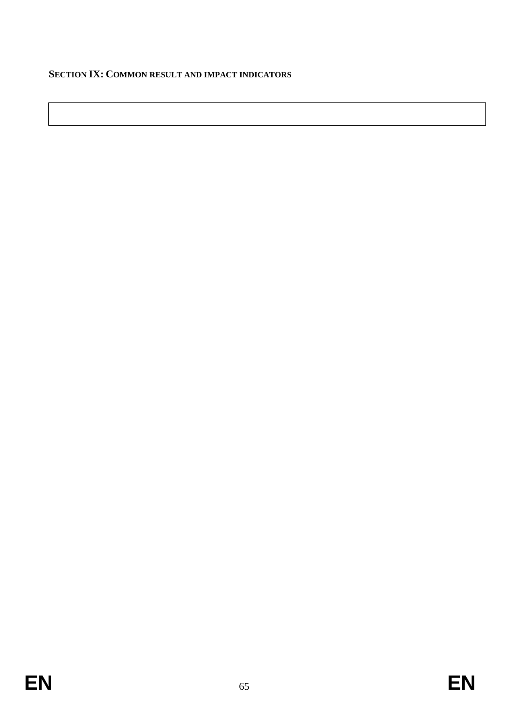### **SECTION IX: COMMON RESULT AND IMPACT INDICATORS**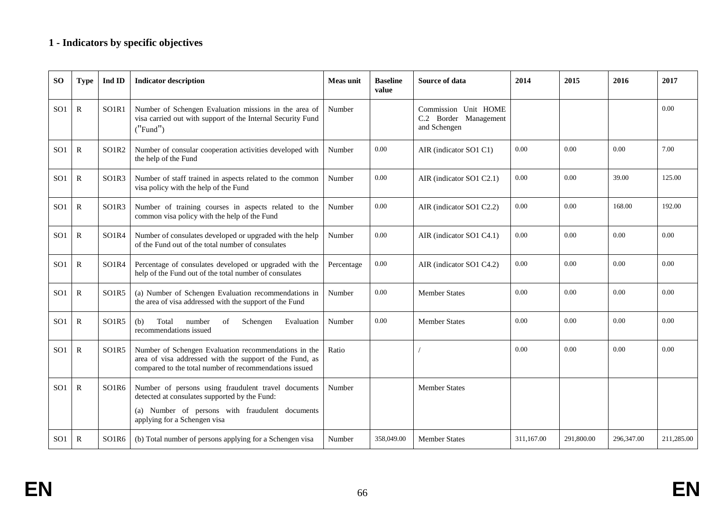## **1 - Indicators by specific objectives**

| SО              | <b>Type</b>  | Ind ID                         | <b>Indicator description</b>                                                                                                                                              | <b>Meas unit</b> | <b>Baseline</b><br>value | Source of data                                                | 2014       | 2015       | 2016       | 2017       |
|-----------------|--------------|--------------------------------|---------------------------------------------------------------------------------------------------------------------------------------------------------------------------|------------------|--------------------------|---------------------------------------------------------------|------------|------------|------------|------------|
| SO <sub>1</sub> | $\mathbf R$  | SO1R1                          | Number of Schengen Evaluation missions in the area of<br>visa carried out with support of the Internal Security Fund<br>('Fund")                                          | Number           |                          | Commission Unit HOME<br>C.2 Border Management<br>and Schengen |            |            |            | 0.00       |
| SO <sub>1</sub> | $\mathbb{R}$ | SO1R2                          | Number of consular cooperation activities developed with<br>the help of the Fund                                                                                          | Number           | 0.00                     | AIR (indicator SO1 C1)                                        | 0.00       | 0.00       | 0.00       | 7.00       |
| SO <sub>1</sub> | $\mathbf R$  | SO1R3                          | Number of staff trained in aspects related to the common<br>visa policy with the help of the Fund                                                                         | Number           | 0.00                     | AIR (indicator SO1 C2.1)                                      | 0.00       | 0.00       | 39.00      | 125.00     |
| SO <sub>1</sub> | $\mathbf R$  | SO1R3                          | Number of training courses in aspects related to the<br>common visa policy with the help of the Fund                                                                      | Number           | 0.00                     | AIR (indicator SO1 C2.2)                                      | 0.00       | 0.00       | 168.00     | 192.00     |
| SO <sub>1</sub> | $\mathbf R$  | SO1R4                          | Number of consulates developed or upgraded with the help<br>of the Fund out of the total number of consulates                                                             | Number           | $0.00\,$                 | AIR (indicator SO1 C4.1)                                      | 0.00       | 0.00       | 0.00       | 0.00       |
| SO <sub>1</sub> | $\mathbf R$  | SO <sub>1</sub> R <sub>4</sub> | Percentage of consulates developed or upgraded with the<br>help of the Fund out of the total number of consulates                                                         | Percentage       | 0.00                     | AIR (indicator SO1 C4.2)                                      | 0.00       | 0.00       | 0.00       | 0.00       |
| SO <sub>1</sub> | $\mathbb{R}$ | SO1R5                          | (a) Number of Schengen Evaluation recommendations in<br>the area of visa addressed with the support of the Fund                                                           | Number           | 0.00                     | <b>Member States</b>                                          | 0.00       | 0.00       | 0.00       | 0.00       |
| SO <sub>1</sub> | $\mathbf R$  | SO1R5                          | Total<br>(b)<br>number<br>Schengen<br>Evaluation<br>of<br>recommendations issued                                                                                          | Number           | $0.00\,$                 | Member States                                                 | 0.00       | 0.00       | 0.00       | 0.00       |
| SO <sub>1</sub> | $\mathbf R$  | SO <sub>1</sub> R <sub>5</sub> | Number of Schengen Evaluation recommendations in the<br>area of visa addressed with the support of the Fund, as<br>compared to the total number of recommendations issued | Ratio            |                          |                                                               | 0.00       | 0.00       | 0.00       | 0.00       |
| SO <sub>1</sub> | $\mathbf{R}$ | SO <sub>1</sub> R <sub>6</sub> | Number of persons using fraudulent travel documents<br>detected at consulates supported by the Fund:                                                                      | Number           |                          | <b>Member States</b>                                          |            |            |            |            |
|                 |              |                                | (a) Number of persons with fraudulent documents<br>applying for a Schengen visa                                                                                           |                  |                          |                                                               |            |            |            |            |
| SO <sub>1</sub> | $\mathbf R$  | SO <sub>1</sub> R <sub>6</sub> | (b) Total number of persons applying for a Schengen visa                                                                                                                  | Number           | 358,049.00               | <b>Member States</b>                                          | 311.167.00 | 291,800.00 | 296.347.00 | 211,285.00 |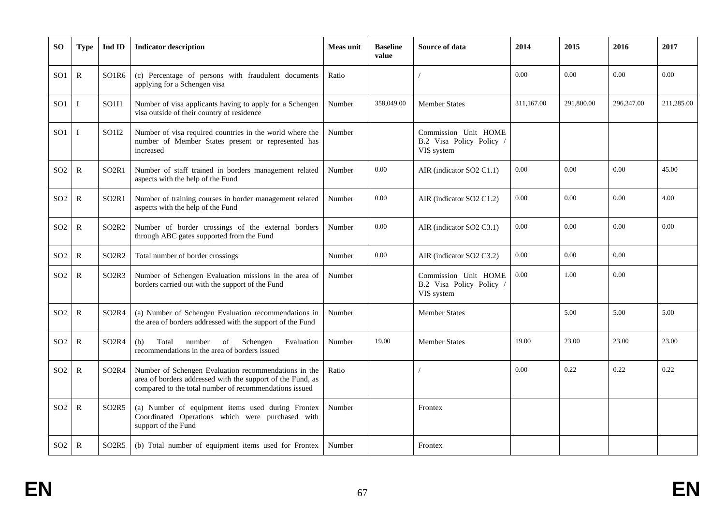| <b>SO</b>       | <b>Type</b>  | Ind ID                         | <b>Indicator description</b>                                                                                                                                                 | <b>Meas unit</b> | <b>Baseline</b><br>value | Source of data                                                 | 2014       | 2015       | 2016       | 2017       |
|-----------------|--------------|--------------------------------|------------------------------------------------------------------------------------------------------------------------------------------------------------------------------|------------------|--------------------------|----------------------------------------------------------------|------------|------------|------------|------------|
| SO <sub>1</sub> | $\mathbb{R}$ | SO <sub>1</sub> R <sub>6</sub> | (c) Percentage of persons with fraudulent documents<br>applying for a Schengen visa                                                                                          | Ratio            |                          |                                                                | 0.00       | 0.00       | 0.00       | 0.00       |
| SO <sub>1</sub> | Ι            | SO <sub>111</sub>              | Number of visa applicants having to apply for a Schengen<br>visa outside of their country of residence                                                                       | Number           | 358,049.00               | <b>Member States</b>                                           | 311,167.00 | 291,800.00 | 296,347.00 | 211,285.00 |
| SO <sub>1</sub> | T            | SO <sub>112</sub>              | Number of visa required countries in the world where the<br>number of Member States present or represented has<br>increased                                                  | Number           |                          | Commission Unit HOME<br>B.2 Visa Policy Policy /<br>VIS system |            |            |            |            |
| SO <sub>2</sub> | $\mathbb{R}$ | SO <sub>2</sub> R <sub>1</sub> | Number of staff trained in borders management related<br>aspects with the help of the Fund                                                                                   | Number           | 0.00                     | AIR (indicator SO2 C1.1)                                       | 0.00       | 0.00       | 0.00       | 45.00      |
| SO <sub>2</sub> | ${\bf R}$    | SO <sub>2</sub> R <sub>1</sub> | Number of training courses in border management related<br>aspects with the help of the Fund                                                                                 | Number           | 0.00                     | AIR (indicator SO2 C1.2)                                       | 0.00       | 0.00       | 0.00       | 4.00       |
| SO2             | $\mathbb{R}$ | SO <sub>2</sub> R <sub>2</sub> | Number of border crossings of the external borders<br>through ABC gates supported from the Fund                                                                              | Number           | 0.00                     | AIR (indicator SO2 C3.1)                                       | 0.00       | 0.00       | 0.00       | 0.00       |
| SO <sub>2</sub> | $\mathbb{R}$ | SO <sub>2</sub> R <sub>2</sub> | Total number of border crossings                                                                                                                                             | Number           | 0.00                     | AIR (indicator SO2 C3.2)                                       | 0.00       | 0.00       | 0.00       |            |
| SO <sub>2</sub> | ${\bf R}$    | SO <sub>2</sub> R <sub>3</sub> | Number of Schengen Evaluation missions in the area of<br>borders carried out with the support of the Fund                                                                    | Number           |                          | Commission Unit HOME<br>B.2 Visa Policy Policy<br>VIS system   | 0.00       | 1.00       | 0.00       |            |
| SO <sub>2</sub> | $\mathbb{R}$ | SO <sub>2</sub> R <sub>4</sub> | (a) Number of Schengen Evaluation recommendations in<br>the area of borders addressed with the support of the Fund                                                           | Number           |                          | <b>Member States</b>                                           |            | 5.00       | 5.00       | 5.00       |
| SO <sub>2</sub> | ${\bf R}$    | SO <sub>2</sub> R <sub>4</sub> | (b)<br>Total<br>number<br>Schengen<br>Evaluation<br>of<br>recommendations in the area of borders issued                                                                      | Number           | 19.00                    | <b>Member States</b>                                           | 19.00      | 23.00      | 23.00      | 23.00      |
| SO <sub>2</sub> | $\mathbb{R}$ | SO <sub>2</sub> R <sub>4</sub> | Number of Schengen Evaluation recommendations in the<br>area of borders addressed with the support of the Fund, as<br>compared to the total number of recommendations issued | Ratio            |                          |                                                                | 0.00       | 0.22       | 0.22       | 0.22       |
| SO <sub>2</sub> | ${\bf R}$    | SO <sub>2</sub> R <sub>5</sub> | (a) Number of equipment items used during Frontex<br>Coordinated Operations which were purchased with<br>support of the Fund                                                 | Number           |                          | Frontex                                                        |            |            |            |            |
| SO <sub>2</sub> | $\mathbb{R}$ | SO <sub>2</sub> R <sub>5</sub> | (b) Total number of equipment items used for Frontex                                                                                                                         | Number           |                          | Frontex                                                        |            |            |            |            |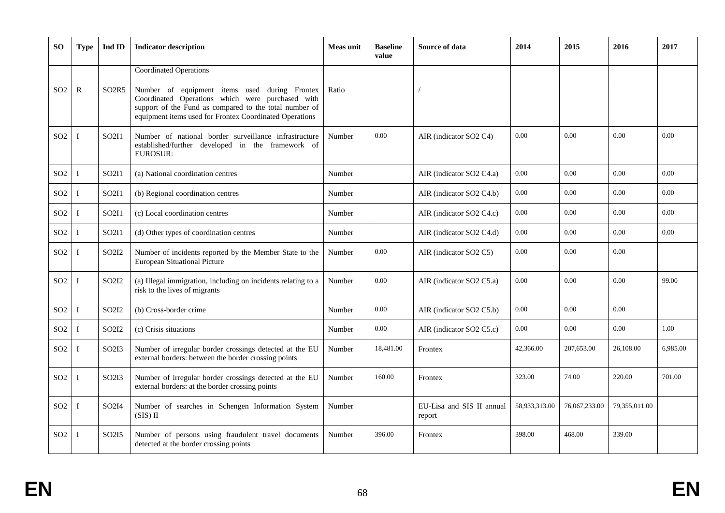| <b>SO</b>       | <b>Type</b>  | Ind ID                         | <b>Indicator description</b>                                                                                                                                                                                           | Meas unit | <b>Baseline</b><br>value | Source of data                      | 2014          | 2015          | 2016          | 2017     |
|-----------------|--------------|--------------------------------|------------------------------------------------------------------------------------------------------------------------------------------------------------------------------------------------------------------------|-----------|--------------------------|-------------------------------------|---------------|---------------|---------------|----------|
|                 |              |                                | <b>Coordinated Operations</b>                                                                                                                                                                                          |           |                          |                                     |               |               |               |          |
| SO <sub>2</sub> | $\mathbb{R}$ | SO <sub>2</sub> R <sub>5</sub> | Number of equipment items used during Frontex<br>Coordinated Operations which were purchased with<br>support of the Fund as compared to the total number of<br>equipment items used for Frontex Coordinated Operations | Ratio     |                          |                                     |               |               |               |          |
| SO <sub>2</sub> | T            | SO2I1                          | Number of national border surveillance infrastructure<br>established/further developed in the framework of<br><b>EUROSUR:</b>                                                                                          | Number    | 0.00                     | AIR (indicator SO2 C4)              | 0.00          | 0.00          | 0.00          | 0.00     |
| SO <sub>2</sub> |              | SO2I1                          | (a) National coordination centres                                                                                                                                                                                      | Number    |                          | AIR (indicator SO2 C4.a)            | 0.00          | 0.00          | 0.00          | 0.00     |
| SO <sub>2</sub> | I            | SO2I1                          | (b) Regional coordination centres                                                                                                                                                                                      | Number    |                          | AIR (indicator SO2 C4.b)            | 0.00          | 0.00          | 0.00          | 0.00     |
| SO <sub>2</sub> | I            | SO2I1                          | (c) Local coordination centres                                                                                                                                                                                         | Number    |                          | AIR (indicator SO2 C4.c)            | 0.00          | 0.00          | 0.00          | 0.00     |
| SO <sub>2</sub> | T            | SO2I1                          | (d) Other types of coordination centres                                                                                                                                                                                | Number    |                          | AIR (indicator SO2 C4.d)            | 0.00          | 0.00          | 0.00          | 0.00     |
| SO <sub>2</sub> | I            | SO2I2                          | Number of incidents reported by the Member State to the<br><b>European Situational Picture</b>                                                                                                                         | Number    | 0.00                     | AIR (indicator SO2 C5)              | 0.00          | 0.00          | 0.00          |          |
| SO <sub>2</sub> |              | SO2I2                          | (a) Illegal immigration, including on incidents relating to a<br>risk to the lives of migrants                                                                                                                         | Number    | 0.00                     | AIR (indicator SO2 C5.a)            | 0.00          | 0.00          | 0.00          | 99.00    |
| SO <sub>2</sub> | T            | SO <sub>212</sub>              | (b) Cross-border crime                                                                                                                                                                                                 | Number    | 0.00                     | AIR (indicator SO2 C5.b)            | 0.00          | 0.00          | 0.00          |          |
| SO <sub>2</sub> |              | SO2I2                          | (c) Crisis situations                                                                                                                                                                                                  | Number    | $0.00\,$                 | AIR (indicator SO2 C5.c)            | 0.00          | 0.00          | 0.00          | 1.00     |
| SO <sub>2</sub> |              | SO2I3                          | Number of irregular border crossings detected at the EU<br>external borders: between the border crossing points                                                                                                        | Number    | 18,481.00                | Frontex                             | 42,366.00     | 207,653.00    | 26,108.00     | 6.985.00 |
| SO <sub>2</sub> |              | SO2I3                          | Number of irregular border crossings detected at the EU<br>external borders: at the border crossing points                                                                                                             | Number    | 160.00                   | Frontex                             | 323.00        | 74.00         | 220.00        | 701.00   |
| SO <sub>2</sub> |              | SO <sub>2</sub> I <sub>4</sub> | Number of searches in Schengen Information System<br>$(SIS)$ II                                                                                                                                                        | Number    |                          | EU-Lisa and SIS II annual<br>report | 58,933,313.00 | 76,067,233.00 | 79,355,011.00 |          |
| SO <sub>2</sub> |              | SO <sub>2</sub> I <sub>5</sub> | Number of persons using fraudulent travel documents<br>detected at the border crossing points                                                                                                                          | Number    | 396.00                   | Frontex                             | 398.00        | 468.00        | 339.00        |          |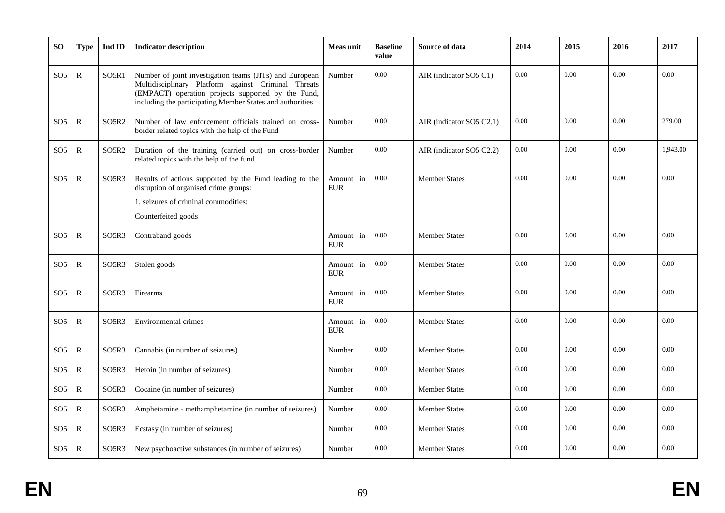| <b>SO</b>       | <b>Type</b>  | Ind ID                         | <b>Indicator description</b>                                                                                                                                                                                                      | <b>Meas unit</b>        | <b>Baseline</b><br>value | Source of data           | 2014 | 2015 | 2016 | 2017     |
|-----------------|--------------|--------------------------------|-----------------------------------------------------------------------------------------------------------------------------------------------------------------------------------------------------------------------------------|-------------------------|--------------------------|--------------------------|------|------|------|----------|
| SO <sub>5</sub> | ${\bf R}$    | SO <sub>5R1</sub>              | Number of joint investigation teams (JITs) and European<br>Multidisciplinary Platform against Criminal Threats<br>(EMPACT) operation projects supported by the Fund,<br>including the participating Member States and authorities | Number                  | 0.00                     | AIR (indicator SO5 C1)   | 0.00 | 0.00 | 0.00 | 0.00     |
| SO <sub>5</sub> | ${\bf R}$    | SO <sub>5</sub> R <sub>2</sub> | Number of law enforcement officials trained on cross-<br>border related topics with the help of the Fund                                                                                                                          | Number                  | 0.00                     | AIR (indicator SO5 C2.1) | 0.00 | 0.00 | 0.00 | 279.00   |
| SO <sub>5</sub> | ${\bf R}$    | SO5R2                          | Duration of the training (carried out) on cross-border<br>related topics with the help of the fund                                                                                                                                | Number                  | 0.00                     | AIR (indicator SO5 C2.2) | 0.00 | 0.00 | 0.00 | 1,943.00 |
| SO <sub>5</sub> | ${\bf R}$    | SO5R3                          | Results of actions supported by the Fund leading to the<br>disruption of organised crime groups:<br>1. seizures of criminal commodities:<br>Counterfeited goods                                                                   | Amount in<br><b>EUR</b> | 0.00                     | <b>Member States</b>     | 0.00 | 0.00 | 0.00 | 0.00     |
| SO <sub>5</sub> | ${\bf R}$    | SO5R3                          | Contraband goods                                                                                                                                                                                                                  | Amount in<br><b>EUR</b> | 0.00                     | <b>Member States</b>     | 0.00 | 0.00 | 0.00 | 0.00     |
| SO <sub>5</sub> | ${\bf R}$    | SO5R3                          | Stolen goods                                                                                                                                                                                                                      | Amount in<br><b>EUR</b> | 0.00                     | <b>Member States</b>     | 0.00 | 0.00 | 0.00 | 0.00     |
| SO <sub>5</sub> | ${\bf R}$    | SO5R3                          | Firearms                                                                                                                                                                                                                          | Amount in<br><b>EUR</b> | 0.00                     | <b>Member States</b>     | 0.00 | 0.00 | 0.00 | 0.00     |
| SO <sub>5</sub> | ${\bf R}$    | SO5R3                          | Environmental crimes                                                                                                                                                                                                              | Amount in<br><b>EUR</b> | 0.00                     | <b>Member States</b>     | 0.00 | 0.00 | 0.00 | 0.00     |
| SO <sub>5</sub> | ${\bf R}$    | SO5R3                          | Cannabis (in number of seizures)                                                                                                                                                                                                  | Number                  | 0.00                     | <b>Member States</b>     | 0.00 | 0.00 | 0.00 | 0.00     |
| SO <sub>5</sub> | $\mathbb{R}$ | SO5R3                          | Heroin (in number of seizures)                                                                                                                                                                                                    | Number                  | 0.00                     | Member States            | 0.00 | 0.00 | 0.00 | 0.00     |
| SO <sub>5</sub> | $\mathbb{R}$ | SO <sub>5</sub> R <sub>3</sub> | Cocaine (in number of seizures)                                                                                                                                                                                                   | Number                  | 0.00                     | <b>Member States</b>     | 0.00 | 0.00 | 0.00 | 0.00     |
| SO <sub>5</sub> | $\mathbb{R}$ | SO <sub>5</sub> R <sub>3</sub> | Amphetamine - methamphetamine (in number of seizures)                                                                                                                                                                             | Number                  | 0.00                     | <b>Member States</b>     | 0.00 | 0.00 | 0.00 | 0.00     |
| SO <sub>5</sub> | ${\bf R}$    | SO5R3                          | Ecstasy (in number of seizures)                                                                                                                                                                                                   | Number                  | 0.00                     | <b>Member States</b>     | 0.00 | 0.00 | 0.00 | 0.00     |
| SO <sub>5</sub> | $\mathbb{R}$ | SO5R3                          | New psychoactive substances (in number of seizures)                                                                                                                                                                               | Number                  | 0.00                     | <b>Member States</b>     | 0.00 | 0.00 | 0.00 | 0.00     |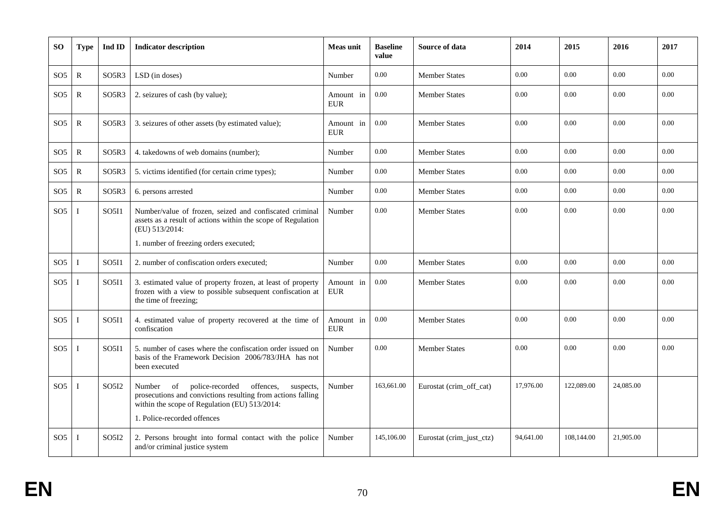| SO.             | <b>Type</b>  | Ind ID                         | <b>Indicator description</b>                                                                                                                                                                             | <b>Meas unit</b>        | <b>Baseline</b><br>value | Source of data           | 2014      | 2015       | 2016      | 2017 |
|-----------------|--------------|--------------------------------|----------------------------------------------------------------------------------------------------------------------------------------------------------------------------------------------------------|-------------------------|--------------------------|--------------------------|-----------|------------|-----------|------|
| SO <sub>5</sub> | $\mathbb{R}$ | SO <sub>5</sub> R <sub>3</sub> | LSD (in doses)                                                                                                                                                                                           | Number                  | 0.00                     | <b>Member States</b>     | 0.00      | 0.00       | 0.00      | 0.00 |
| SO <sub>5</sub> | $\mathbb{R}$ | SO <sub>5</sub> R <sub>3</sub> | 2. seizures of cash (by value);                                                                                                                                                                          | Amount in<br><b>EUR</b> | 0.00                     | <b>Member States</b>     | 0.00      | 0.00       | 0.00      | 0.00 |
| SO <sub>5</sub> | $\mathbb{R}$ | SO <sub>5</sub> R <sub>3</sub> | 3. seizures of other assets (by estimated value);                                                                                                                                                        | Amount in<br><b>EUR</b> | 0.00                     | <b>Member States</b>     | 0.00      | 0.00       | 0.00      | 0.00 |
| SO <sub>5</sub> | $\mathbb{R}$ | SO <sub>5</sub> R <sub>3</sub> | 4. takedowns of web domains (number);                                                                                                                                                                    | Number                  | 0.00                     | <b>Member States</b>     | 0.00      | 0.00       | 0.00      | 0.00 |
| SO <sub>5</sub> | $\mathbb{R}$ | SO <sub>5</sub> R <sub>3</sub> | 5. victims identified (for certain crime types);                                                                                                                                                         | Number                  | 0.00                     | <b>Member States</b>     | 0.00      | 0.00       | 0.00      | 0.00 |
| SO <sub>5</sub> | $\mathbb{R}$ | SO5R3                          | 6. persons arrested                                                                                                                                                                                      | Number                  | 0.00                     | <b>Member States</b>     | 0.00      | 0.00       | 0.00      | 0.00 |
| SO <sub>5</sub> | T            | SO5I1                          | Number/value of frozen, seized and confiscated criminal<br>assets as a result of actions within the scope of Regulation<br>(EU) 513/2014:<br>1. number of freezing orders executed;                      | Number                  | 0.00                     | <b>Member States</b>     | 0.00      | 0.00       | 0.00      | 0.00 |
| SO <sub>5</sub> | T            | SO5I1                          | 2. number of confiscation orders executed;                                                                                                                                                               | Number                  | 0.00                     | <b>Member States</b>     | 0.00      | 0.00       | 0.00      | 0.00 |
| SO <sub>5</sub> | I            | SO5I1                          | 3. estimated value of property frozen, at least of property<br>frozen with a view to possible subsequent confiscation at<br>the time of freezing;                                                        | Amount in<br><b>EUR</b> | 0.00                     | Member States            | 0.00      | 0.00       | 0.00      | 0.00 |
| SO <sub>5</sub> |              | SO5I1                          | 4. estimated value of property recovered at the time of<br>confiscation                                                                                                                                  | Amount in<br><b>EUR</b> | 0.00                     | <b>Member States</b>     | 0.00      | 0.00       | 0.00      | 0.00 |
| SO <sub>5</sub> | I            | SO <sub>5</sub> I <sub>1</sub> | 5. number of cases where the confiscation order issued on<br>basis of the Framework Decision 2006/783/JHA has not<br>been executed                                                                       | Number                  | 0.00                     | <b>Member States</b>     | 0.00      | 0.00       | 0.00      | 0.00 |
| SO <sub>5</sub> | I            | SO <sub>5</sub> I <sub>2</sub> | police-recorded<br>offences,<br>Number<br>of<br>suspects,<br>prosecutions and convictions resulting from actions falling<br>within the scope of Regulation (EU) 513/2014:<br>1. Police-recorded offences | Number                  | 163,661.00               | Eurostat (crim_off_cat)  | 17,976.00 | 122,089.00 | 24,085.00 |      |
| SO <sub>5</sub> | T            | SO <sub>5</sub> I <sub>2</sub> | 2. Persons brought into formal contact with the police<br>and/or criminal justice system                                                                                                                 | Number                  | 145,106.00               | Eurostat (crim_just_ctz) | 94,641.00 | 108,144.00 | 21,905.00 |      |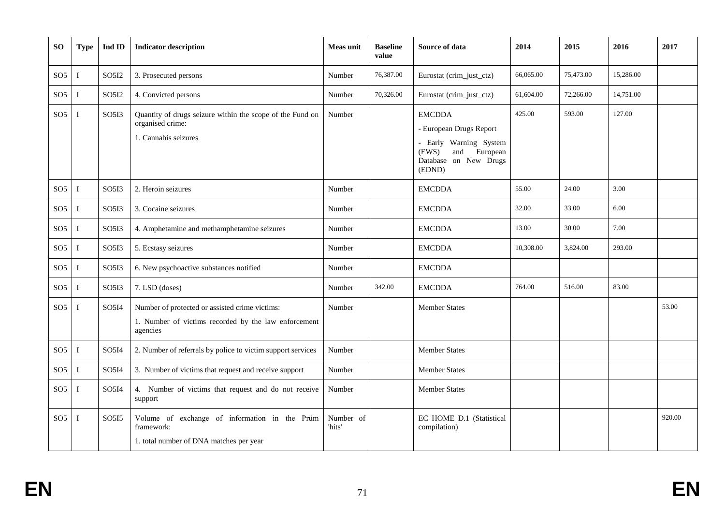| <b>SO</b>       | <b>Type</b>  | Ind ID                         | <b>Indicator description</b>                                                                                       | <b>Meas unit</b>    | <b>Baseline</b><br>value | Source of data                                                                                                                    | 2014      | 2015      | 2016      | 2017   |
|-----------------|--------------|--------------------------------|--------------------------------------------------------------------------------------------------------------------|---------------------|--------------------------|-----------------------------------------------------------------------------------------------------------------------------------|-----------|-----------|-----------|--------|
| SO <sub>5</sub> | $\bf{I}$     | SO5I2                          | 3. Prosecuted persons                                                                                              | Number              | 76,387.00                | Eurostat (crim_just_ctz)                                                                                                          | 66,065.00 | 75,473.00 | 15,286.00 |        |
| SO <sub>5</sub> | $\bf{I}$     | SO <sub>5</sub> I <sub>2</sub> | 4. Convicted persons                                                                                               | Number              | 70,326.00                | Eurostat (crim_just_ctz)                                                                                                          | 61,604.00 | 72,266.00 | 14,751.00 |        |
| SO <sub>5</sub> |              | SO5I3                          | Quantity of drugs seizure within the scope of the Fund on<br>organised crime:<br>1. Cannabis seizures              | Number              |                          | <b>EMCDDA</b><br>- European Drugs Report<br>- Early Warning System<br>(EWS)<br>European<br>and<br>Database on New Drugs<br>(EDND) | 425.00    | 593.00    | 127.00    |        |
| SO <sub>5</sub> | $\bf I$      | SO5I3                          | 2. Heroin seizures                                                                                                 | Number              |                          | <b>EMCDDA</b>                                                                                                                     | 55.00     | 24.00     | 3.00      |        |
| SO <sub>5</sub> | <sup>1</sup> | SO5I3                          | 3. Cocaine seizures                                                                                                | Number              |                          | <b>EMCDDA</b>                                                                                                                     | 32.00     | 33.00     | 6.00      |        |
| SO <sub>5</sub> | $\mathbf{I}$ | SO5I3                          | 4. Amphetamine and methamphetamine seizures                                                                        | Number              |                          | <b>EMCDDA</b>                                                                                                                     | 13.00     | 30.00     | 7.00      |        |
| SO <sub>5</sub> |              | SO5I3                          | 5. Ecstasy seizures                                                                                                | Number              |                          | <b>EMCDDA</b>                                                                                                                     | 10,308.00 | 3,824.00  | 293.00    |        |
| SO <sub>5</sub> | - 1          | SO5I3                          | 6. New psychoactive substances notified                                                                            | Number              |                          | <b>EMCDDA</b>                                                                                                                     |           |           |           |        |
| SO <sub>5</sub> |              | SO5I3                          | 7. LSD (doses)                                                                                                     | Number              | 342.00                   | <b>EMCDDA</b>                                                                                                                     | 764.00    | 516.00    | 83.00     |        |
| SO <sub>5</sub> | <sup>1</sup> | SO5I4                          | Number of protected or assisted crime victims:<br>1. Number of victims recorded by the law enforcement<br>agencies | Number              |                          | <b>Member States</b>                                                                                                              |           |           |           | 53.00  |
| SO <sub>5</sub> | $\bf I$      | SO5I4                          | 2. Number of referrals by police to victim support services                                                        | Number              |                          | <b>Member States</b>                                                                                                              |           |           |           |        |
| SO <sub>5</sub> | $\mathbf I$  | SO5I4                          | 3. Number of victims that request and receive support                                                              | Number              |                          | <b>Member States</b>                                                                                                              |           |           |           |        |
| SO <sub>5</sub> |              | SO5I4                          | 4. Number of victims that request and do not receive<br>support                                                    | Number              |                          | <b>Member States</b>                                                                                                              |           |           |           |        |
| SO <sub>5</sub> | $\bf{I}$     | SO <sub>5</sub> I <sub>5</sub> | Volume of exchange of information in the Prüm<br>framework:<br>1. total number of DNA matches per year             | Number of<br>'hits' |                          | EC HOME D.1 (Statistical<br>compilation)                                                                                          |           |           |           | 920.00 |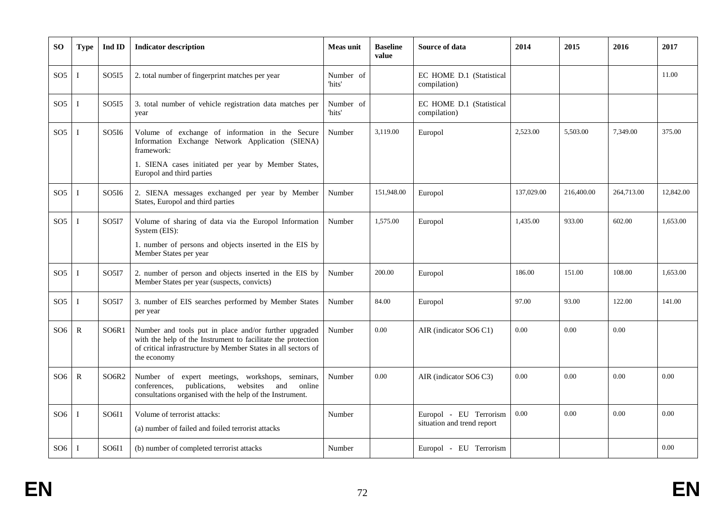| <b>SO</b>       | <b>Type</b>  | $\mathbf{Ind}~\mathbf{ID}$     | <b>Indicator description</b>                                                                                                                                                                          | <b>Meas unit</b>    | <b>Baseline</b><br>value | Source of data                                       | 2014       | 2015       | 2016       | 2017      |
|-----------------|--------------|--------------------------------|-------------------------------------------------------------------------------------------------------------------------------------------------------------------------------------------------------|---------------------|--------------------------|------------------------------------------------------|------------|------------|------------|-----------|
| SO <sub>5</sub> | T            | SO <sub>5</sub> 15             | 2. total number of fingerprint matches per year                                                                                                                                                       | Number of<br>'hits' |                          | EC HOME D.1 (Statistical<br>compilation)             |            |            |            | 11.00     |
| SO <sub>5</sub> | I            | SO <sub>5</sub> I <sub>5</sub> | 3. total number of vehicle registration data matches per<br>year                                                                                                                                      | Number of<br>'hits' |                          | EC HOME D.1 (Statistical<br>compilation)             |            |            |            |           |
| SO <sub>5</sub> | I            | SO5I6                          | Volume of exchange of information in the Secure<br>Information Exchange Network Application (SIENA)<br>framework:                                                                                     | Number              | 3,119.00                 | Europol                                              | 2,523.00   | 5.503.00   | 7.349.00   | 375.00    |
|                 |              |                                | 1. SIENA cases initiated per year by Member States,<br>Europol and third parties                                                                                                                      |                     |                          |                                                      |            |            |            |           |
| SO <sub>5</sub> | I            | SO5I6                          | 2. SIENA messages exchanged per year by Member<br>States, Europol and third parties                                                                                                                   | Number              | 151,948.00               | Europol                                              | 137,029.00 | 216,400.00 | 264,713.00 | 12,842.00 |
| SO <sub>5</sub> | Ι            | SO <sub>5</sub> I7             | Volume of sharing of data via the Europol Information<br>System (EIS):                                                                                                                                | Number              | 1,575.00                 | Europol                                              | 1,435.00   | 933.00     | 602.00     | 1.653.00  |
|                 |              |                                | 1. number of persons and objects inserted in the EIS by<br>Member States per year                                                                                                                     |                     |                          |                                                      |            |            |            |           |
| SO <sub>5</sub> | Ι            | SO <sub>517</sub>              | 2. number of person and objects inserted in the EIS by<br>Member States per year (suspects, convicts)                                                                                                 | Number              | 200.00                   | Europol                                              | 186.00     | 151.00     | 108.00     | 1.653.00  |
| SO <sub>5</sub> | I            | SO <sub>5</sub> I7             | 3. number of EIS searches performed by Member States<br>per year                                                                                                                                      | Number              | 84.00                    | Europol                                              | 97.00      | 93.00      | 122.00     | 141.00    |
| SO <sub>6</sub> | $\mathbb{R}$ | SO <sub>6R1</sub>              | Number and tools put in place and/or further upgraded<br>with the help of the Instrument to facilitate the protection<br>of critical infrastructure by Member States in all sectors of<br>the economy | Number              | 0.00                     | AIR (indicator SO6 C1)                               | 0.00       | 0.00       | 0.00       |           |
| SO <sub>6</sub> | $\mathbb{R}$ | SO <sub>6</sub> R <sub>2</sub> | Number of expert meetings, workshops, seminars,<br>publications,<br>websites and<br>conferences,<br>online<br>consultations organised with the help of the Instrument.                                | Number              | 0.00                     | AIR (indicator SO6 C3)                               | 0.00       | 0.00       | 0.00       | 0.00      |
| SO <sub>6</sub> | Т            | SO6I1                          | Volume of terrorist attacks:<br>(a) number of failed and foiled terrorist attacks                                                                                                                     | Number              |                          | Europol - EU Terrorism<br>situation and trend report | 0.00       | 0.00       | 0.00       | 0.00      |
| SO <sub>6</sub> | T            | SO6I1                          | (b) number of completed terrorist attacks                                                                                                                                                             | Number              |                          | Europol - EU Terrorism                               |            |            |            | 0.00      |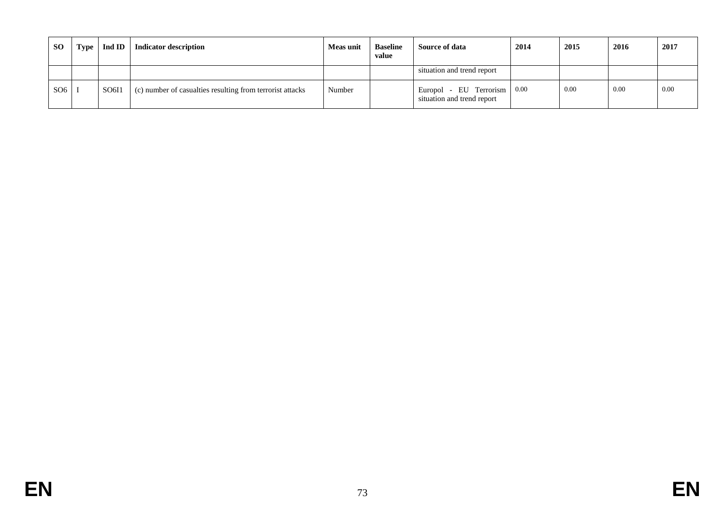| <b>SO</b> | Type | Ind ID $\vert$ | Indicator description                                     | Meas unit | <b>Baseline</b><br>value | Source of data                                               | 2014 | 2015 | 2016 | 2017 |
|-----------|------|----------------|-----------------------------------------------------------|-----------|--------------------------|--------------------------------------------------------------|------|------|------|------|
|           |      |                |                                                           |           |                          | situation and trend report                                   |      |      |      |      |
| SO6       |      | SO6I1          | (c) number of casualties resulting from terrorist attacks | Number    |                          | - EU Terrorism 0.00<br>Europol<br>situation and trend report |      | 0.00 | 0.00 | 0.00 |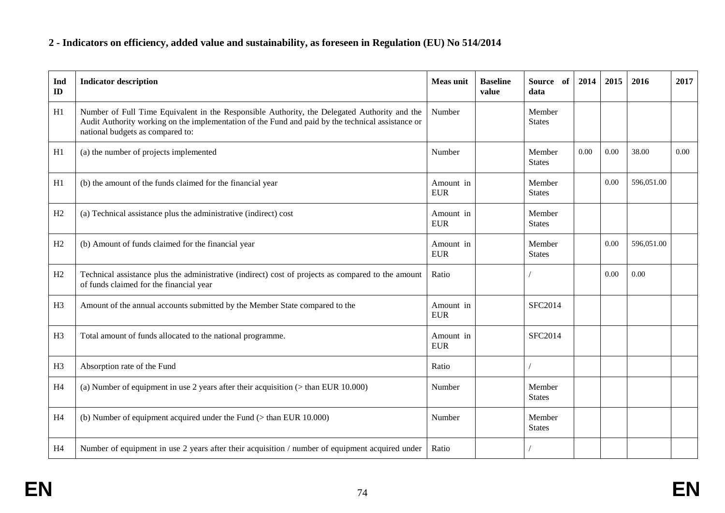# **2 - Indicators on efficiency, added value and sustainability, as foreseen in Regulation (EU) No 514/2014**

| Ind<br>ID      | <b>Indicator description</b>                                                                                                                                                                                                          | <b>Meas unit</b>         | <b>Baseline</b><br>value | Source of<br>data       | 2014 | 2015 | 2016       | 2017 |
|----------------|---------------------------------------------------------------------------------------------------------------------------------------------------------------------------------------------------------------------------------------|--------------------------|--------------------------|-------------------------|------|------|------------|------|
| H1             | Number of Full Time Equivalent in the Responsible Authority, the Delegated Authority and the<br>Audit Authority working on the implementation of the Fund and paid by the technical assistance or<br>national budgets as compared to: | Number                   |                          | Member<br><b>States</b> |      |      |            |      |
| H1             | (a) the number of projects implemented                                                                                                                                                                                                | Number                   |                          | Member<br><b>States</b> | 0.00 | 0.00 | 38.00      | 0.00 |
| H1             | (b) the amount of the funds claimed for the financial year                                                                                                                                                                            | Amount in<br><b>EUR</b>  |                          | Member<br><b>States</b> |      | 0.00 | 596,051.00 |      |
| H2             | (a) Technical assistance plus the administrative (indirect) cost                                                                                                                                                                      | Amount in<br><b>EUR</b>  |                          | Member<br><b>States</b> |      |      |            |      |
| H2             | (b) Amount of funds claimed for the financial year                                                                                                                                                                                    | Amount in<br><b>EUR</b>  |                          | Member<br><b>States</b> |      | 0.00 | 596.051.00 |      |
| H2             | Technical assistance plus the administrative (indirect) cost of projects as compared to the amount<br>of funds claimed for the financial year                                                                                         | Ratio                    |                          |                         |      | 0.00 | 0.00       |      |
| H <sub>3</sub> | Amount of the annual accounts submitted by the Member State compared to the                                                                                                                                                           | Amount in<br><b>EUR</b>  |                          | SFC2014                 |      |      |            |      |
| H <sub>3</sub> | Total amount of funds allocated to the national programme.                                                                                                                                                                            | Amount in<br>${\rm EUR}$ |                          | <b>SFC2014</b>          |      |      |            |      |
| H <sub>3</sub> | Absorption rate of the Fund                                                                                                                                                                                                           | Ratio                    |                          |                         |      |      |            |      |
| H <sub>4</sub> | (a) Number of equipment in use 2 years after their acquisition $($ than EUR 10.000)                                                                                                                                                   | Number                   |                          | Member<br><b>States</b> |      |      |            |      |
| H <sub>4</sub> | (b) Number of equipment acquired under the Fund $($ than EUR 10.000 $)$                                                                                                                                                               | Number                   |                          | Member<br><b>States</b> |      |      |            |      |
| H <sub>4</sub> | Number of equipment in use 2 years after their acquisition / number of equipment acquired under                                                                                                                                       | Ratio                    |                          |                         |      |      |            |      |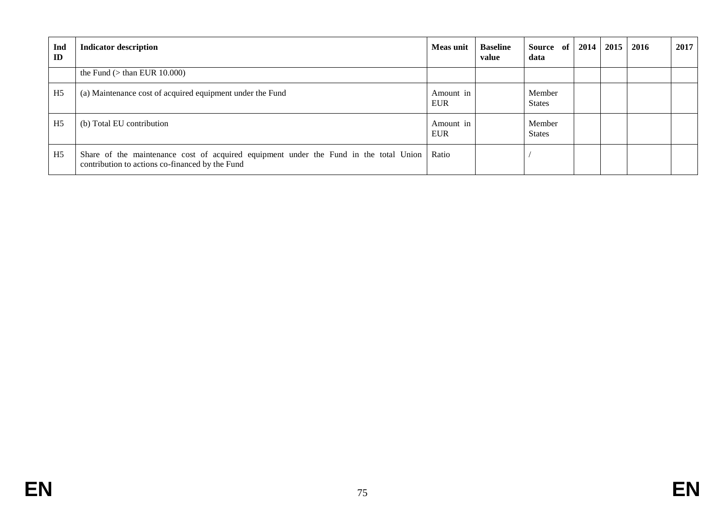| Ind<br>ID      | <b>Indicator description</b>                                                                                                                   | <b>Meas unit</b>        | <b>Baseline</b><br>value | Source of<br>data       | 2014 | 2015 | 2016 | 2017 |
|----------------|------------------------------------------------------------------------------------------------------------------------------------------------|-------------------------|--------------------------|-------------------------|------|------|------|------|
|                | the Fund $($ than EUR 10.000 $)$                                                                                                               |                         |                          |                         |      |      |      |      |
| H <sub>5</sub> | (a) Maintenance cost of acquired equipment under the Fund                                                                                      | Amount in<br><b>EUR</b> |                          | Member<br><b>States</b> |      |      |      |      |
| H <sub>5</sub> | (b) Total EU contribution                                                                                                                      | Amount in<br><b>EUR</b> |                          | Member<br><b>States</b> |      |      |      |      |
| H <sub>5</sub> | Share of the maintenance cost of acquired equipment under the Fund in the total Union Ratio<br>contribution to actions co-financed by the Fund |                         |                          |                         |      |      |      |      |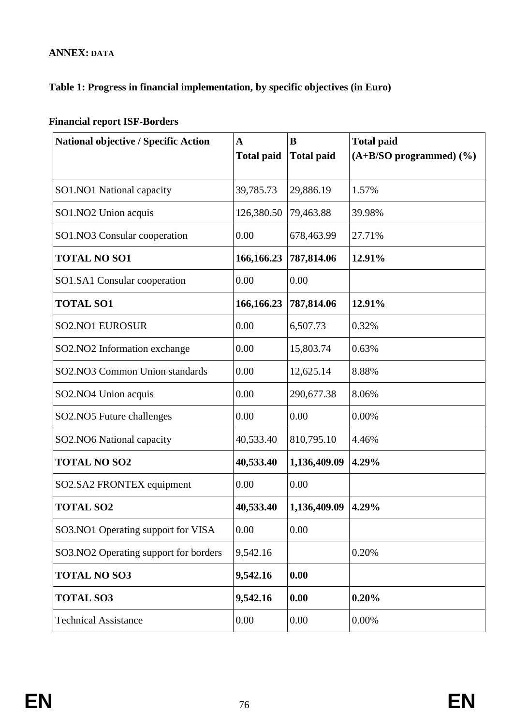### **ANNEX: DATA**

### **Table 1: Progress in financial implementation, by specific objectives (in Euro)**

| <b>National objective / Specific Action</b> | A<br><b>Total paid</b> | B<br><b>Total paid</b> | <b>Total paid</b><br>$(A+B/SO$ programmed) $(\frac{9}{6})$ |
|---------------------------------------------|------------------------|------------------------|------------------------------------------------------------|
| SO1.NO1 National capacity                   | 39,785.73              | 29,886.19              | 1.57%                                                      |
| SO1.NO2 Union acquis                        | 126,380.50             | 79,463.88              | 39.98%                                                     |
| SO1.NO3 Consular cooperation                | 0.00                   | 678,463.99             | 27.71%                                                     |
| <b>TOTAL NO SO1</b>                         | 166,166.23             | 787,814.06             | 12.91%                                                     |
| SO1.SA1 Consular cooperation                | 0.00                   | 0.00                   |                                                            |
| <b>TOTAL SO1</b>                            | 166,166.23             | 787,814.06             | 12.91%                                                     |
| <b>SO2.NO1 EUROSUR</b>                      | 0.00                   | 6,507.73               | 0.32%                                                      |
| SO2.NO2 Information exchange                | 0.00                   | 15,803.74              | 0.63%                                                      |
| SO2.NO3 Common Union standards              | 0.00                   | 12,625.14              | 8.88%                                                      |
| SO2.NO4 Union acquis                        | 0.00                   | 290,677.38             | 8.06%                                                      |
| SO2.NO5 Future challenges                   | 0.00                   | 0.00                   | 0.00%                                                      |
| SO2.NO6 National capacity                   | 40,533.40              | 810,795.10             | 4.46%                                                      |
| <b>TOTAL NO SO2</b>                         | 40,533.40              | 1,136,409.09           | 4.29%                                                      |
| SO2.SA2 FRONTEX equipment                   | 0.00                   | 0.00                   |                                                            |
| <b>TOTAL SO2</b>                            | 40,533.40              | 1,136,409.09           | 4.29%                                                      |
| SO3.NO1 Operating support for VISA          | 0.00                   | 0.00                   |                                                            |
| SO3.NO2 Operating support for borders       | 9,542.16               |                        | 0.20%                                                      |
| <b>TOTAL NO SO3</b>                         | 9,542.16               | 0.00                   |                                                            |
| <b>TOTAL SO3</b>                            | 9,542.16               | 0.00                   | 0.20%                                                      |
| <b>Technical Assistance</b>                 | 0.00                   | 0.00                   | 0.00%                                                      |

# **Financial report ISF-Borders**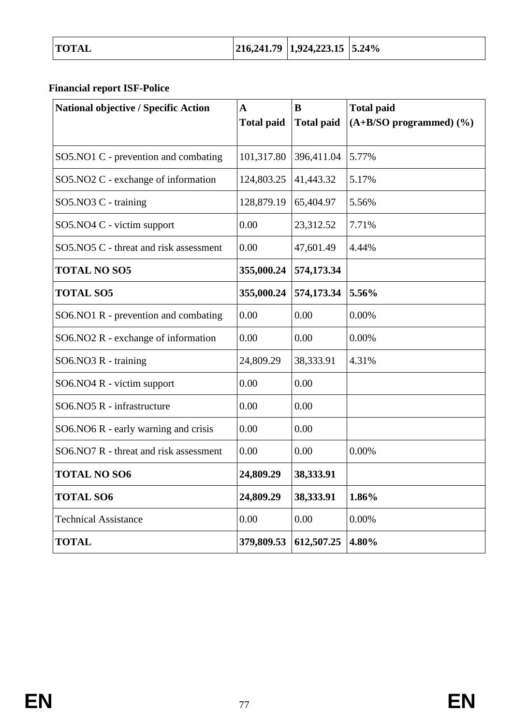# **Financial report ISF-Police**

| <b>National objective / Specific Action</b> | $\mathbf{A}$<br><b>Total paid</b> | B<br><b>Total paid</b> | <b>Total paid</b><br>(A+B/SO programmed) (%) |
|---------------------------------------------|-----------------------------------|------------------------|----------------------------------------------|
|                                             |                                   |                        |                                              |
| SO5.NO1 C - prevention and combating        | 101,317.80                        | 396,411.04             | 5.77%                                        |
| SO5.NO2 C - exchange of information         | 124,803.25                        | 41,443.32              | 5.17%                                        |
| SO5.NO3 C - training                        | 128,879.19                        | 65,404.97              | 5.56%                                        |
| SO5.NO4 C - victim support                  | 0.00                              | 23,312.52              | 7.71%                                        |
| SO5.NO5 C - threat and risk assessment      | 0.00                              | 47,601.49              | 4.44%                                        |
| <b>TOTAL NO SO5</b>                         | 355,000.24                        | 574,173.34             |                                              |
| <b>TOTAL SO5</b>                            | 355,000.24                        | 574,173.34             | 5.56%                                        |
| SO6.NO1 R - prevention and combating        | 0.00                              | 0.00                   | 0.00%                                        |
| $SO6.NO2 R - exchange of information$       | 0.00                              | 0.00                   | 0.00%                                        |
| $SO6.NO3 R - training$                      | 24,809.29                         | 38,333.91              | 4.31%                                        |
| SO6.NO4 R - victim support                  | 0.00                              | 0.00                   |                                              |
| SO6.NO5 R - infrastructure                  | 0.00                              | 0.00                   |                                              |
| SO6.NO6 R - early warning and crisis        | 0.00                              | 0.00                   |                                              |
| SO6.NO7 R - threat and risk assessment      | 0.00                              | 0.00                   | 0.00%                                        |
| <b>TOTAL NO SO6</b>                         | 24,809.29                         | 38,333.91              |                                              |
| <b>TOTAL SO6</b>                            | 24,809.29                         | 38,333.91              | 1.86%                                        |
| <b>Technical Assistance</b>                 | 0.00                              | 0.00                   | 0.00%                                        |
| <b>TOTAL</b>                                | 379,809.53                        | 612,507.25             | 4.80%                                        |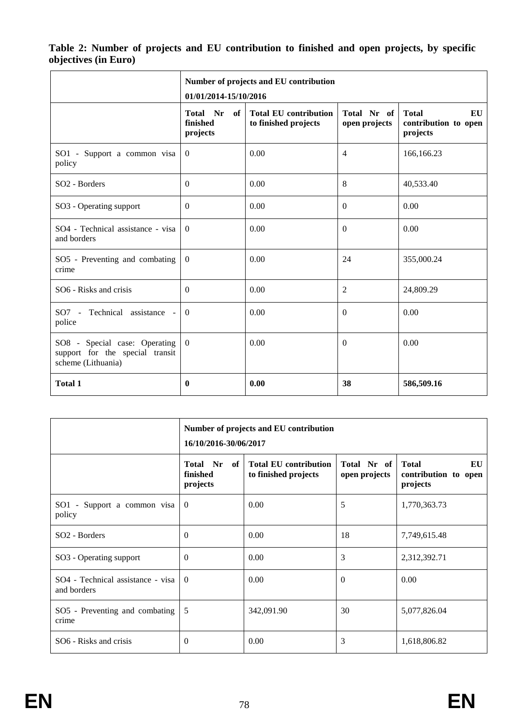#### **Table 2: Number of projects and EU contribution to finished and open projects, by specific objectives (in Euro)**

|                                                                                        | 01/01/2014-15/10/2016                  | Number of projects and EU contribution               |                              |                                                        |
|----------------------------------------------------------------------------------------|----------------------------------------|------------------------------------------------------|------------------------------|--------------------------------------------------------|
|                                                                                        | Total Nr<br>of<br>finished<br>projects | <b>Total EU contribution</b><br>to finished projects | Total Nr of<br>open projects | <b>Total</b><br>EU<br>contribution to open<br>projects |
| SO1 - Support a common visa<br>policy                                                  | $\overline{0}$                         | 0.00                                                 | $\overline{4}$               | 166,166.23                                             |
| SO <sub>2</sub> - Borders                                                              | $\Omega$                               | 0.00                                                 | 8                            | 40,533.40                                              |
| SO3 - Operating support                                                                | $\Omega$                               | 0.00                                                 | $\Omega$                     | 0.00                                                   |
| SO4 - Technical assistance - visa<br>and borders                                       | $\theta$                               | 0.00                                                 | $\Omega$                     | 0.00                                                   |
| SO5 - Preventing and combating<br>crime                                                | $\theta$                               | 0.00                                                 | 24                           | 355,000.24                                             |
| SO6 - Risks and crisis                                                                 | $\Omega$                               | 0.00                                                 | $\overline{2}$               | 24,809.29                                              |
| SO7 - Technical assistance -<br>police                                                 | $\theta$                               | 0.00                                                 | $\Omega$                     | 0.00                                                   |
| SO8 - Special case: Operating<br>support for the special transit<br>scheme (Lithuania) | $\theta$                               | 0.00                                                 | $\overline{0}$               | 0.00                                                   |
| <b>Total 1</b>                                                                         | $\bf{0}$                               | 0.00                                                 | 38                           | 586,509.16                                             |

|                                                  | 16/10/2016-30/06/2017                  | Number of projects and EU contribution               |                              |                                                        |
|--------------------------------------------------|----------------------------------------|------------------------------------------------------|------------------------------|--------------------------------------------------------|
|                                                  | Total Nr<br>of<br>finished<br>projects | <b>Total EU contribution</b><br>to finished projects | Total Nr of<br>open projects | <b>Total</b><br>EU<br>contribution to open<br>projects |
| SO1 - Support a common visa<br>policy            | $\overline{0}$                         | 0.00                                                 | 5                            | 1,770,363.73                                           |
| SO <sub>2</sub> - Borders                        | $\Omega$                               | 0.00                                                 | 18                           | 7,749,615.48                                           |
| SO3 - Operating support                          | $\Omega$                               | 0.00                                                 | 3                            | 2,312,392.71                                           |
| SO4 - Technical assistance - visa<br>and borders | $\theta$                               | 0.00                                                 | $\Omega$                     | 0.00                                                   |
| SO5 - Preventing and combating<br>crime          | 5                                      | 342,091.90                                           | 30                           | 5,077,826.04                                           |
| SO6 - Risks and crisis                           | $\theta$                               | 0.00                                                 | 3                            | 1,618,806.82                                           |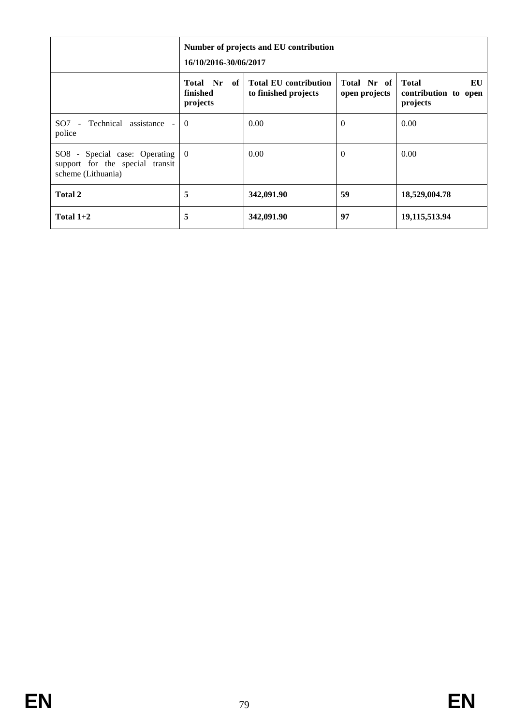|                                                                                        | 16/10/2016-30/06/2017               | Number of projects and EU contribution               |                              |                                                        |
|----------------------------------------------------------------------------------------|-------------------------------------|------------------------------------------------------|------------------------------|--------------------------------------------------------|
|                                                                                        | Total Nr of<br>finished<br>projects | <b>Total EU contribution</b><br>to finished projects | Total Nr of<br>open projects | EU<br><b>Total</b><br>contribution to open<br>projects |
| SO7 - Technical assistance -<br>police                                                 | $\theta$                            | 0.00                                                 | $\Omega$                     | 0.00                                                   |
| SO8 - Special case: Operating<br>support for the special transit<br>scheme (Lithuania) | $\theta$                            | 0.00                                                 | $\Omega$                     | 0.00                                                   |
| Total 2                                                                                | 5                                   | 342,091.90                                           | 59                           | 18,529,004.78                                          |
| Total $1+2$                                                                            | 5                                   | 342,091.90                                           | 97                           | 19,115,513.94                                          |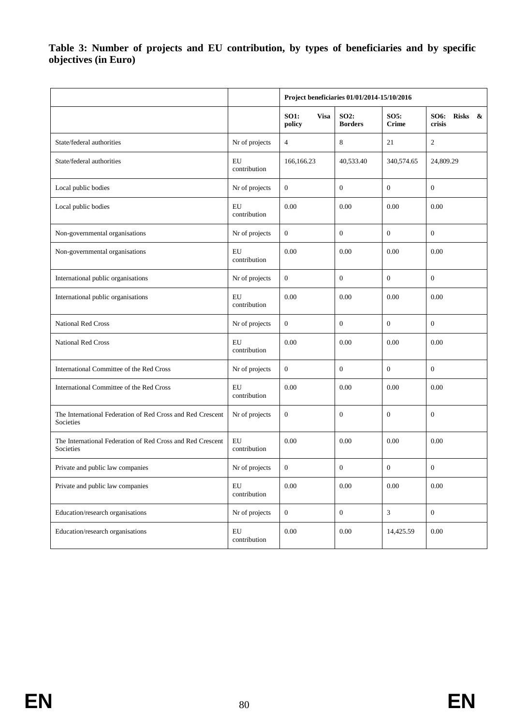**Table 3: Number of projects and EU contribution, by types of beneficiaries and by specific objectives (in Euro)**

|                                                                         |                            | Project beneficiaries 01/01/2014-15/10/2016 |                               |                      |                                              |
|-------------------------------------------------------------------------|----------------------------|---------------------------------------------|-------------------------------|----------------------|----------------------------------------------|
|                                                                         |                            | <b>SO1:</b><br><b>Visa</b><br>policy        | <b>SO2:</b><br><b>Borders</b> | SO5:<br><b>Crime</b> | <b>SO6:</b><br><b>Risks</b><br>- &<br>crisis |
| State/federal authorities                                               | Nr of projects             | $\overline{4}$                              | 8                             | 21                   | $\mathfrak{2}$                               |
| State/federal authorities                                               | EU<br>contribution         | 166,166.23                                  | 40,533.40                     | 340,574.65           | 24,809.29                                    |
| Local public bodies                                                     | Nr of projects             | $\mathbf{0}$                                | $\mathbf{0}$                  | $\overline{0}$       | $\mathbf{0}$                                 |
| Local public bodies                                                     | EU<br>contribution         | 0.00                                        | 0.00                          | 0.00                 | 0.00                                         |
| Non-governmental organisations                                          | Nr of projects             | $\boldsymbol{0}$                            | $\boldsymbol{0}$              | $\mathbf{0}$         | $\mathbf{0}$                                 |
| Non-governmental organisations                                          | EU<br>contribution         | 0.00                                        | 0.00                          | 0.00                 | 0.00                                         |
| International public organisations                                      | Nr of projects             | $\boldsymbol{0}$                            | $\boldsymbol{0}$              | $\mathbf{0}$         | $\mathbf{0}$                                 |
| International public organisations                                      | EU<br>contribution         | 0.00                                        | 0.00                          | 0.00                 | 0.00                                         |
| National Red Cross                                                      | Nr of projects             | $\boldsymbol{0}$                            | $\boldsymbol{0}$              | $\boldsymbol{0}$     | $\boldsymbol{0}$                             |
| <b>National Red Cross</b>                                               | EU<br>contribution         | 0.00                                        | 0.00                          | 0.00                 | 0.00                                         |
| International Committee of the Red Cross                                | Nr of projects             | $\boldsymbol{0}$                            | $\boldsymbol{0}$              | $\mathbf{0}$         | $\boldsymbol{0}$                             |
| International Committee of the Red Cross                                | EU<br>contribution         | 0.00                                        | 0.00                          | 0.00                 | 0.00                                         |
| The International Federation of Red Cross and Red Crescent<br>Societies | Nr of projects             | $\boldsymbol{0}$                            | $\boldsymbol{0}$              | $\overline{0}$       | $\boldsymbol{0}$                             |
| The International Federation of Red Cross and Red Crescent<br>Societies | EU<br>contribution         | 0.00                                        | 0.00                          | 0.00                 | 0.00                                         |
| Private and public law companies                                        | Nr of projects             | $\boldsymbol{0}$                            | $\boldsymbol{0}$              | $\mathbf{0}$         | $\boldsymbol{0}$                             |
| Private and public law companies                                        | ${\rm EU}$<br>contribution | $0.00\,$                                    | $0.00\,$                      | 0.00                 | 0.00                                         |
| Education/research organisations                                        | Nr of projects             | $\boldsymbol{0}$                            | $\boldsymbol{0}$              | $\mathfrak{Z}$       | $\overline{0}$                               |
| Education/research organisations                                        | EU<br>contribution         | $0.00\,$                                    | $0.00\,$                      | 14,425.59            | $0.00\,$                                     |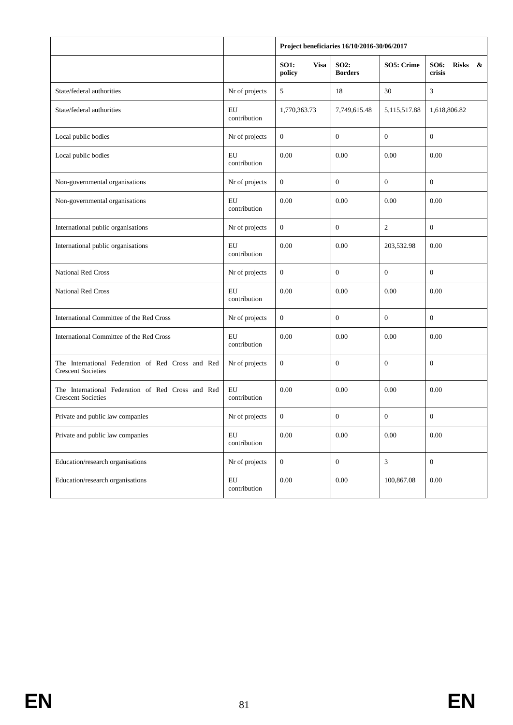|                                                                                |                            | Project beneficiaries 16/10/2016-30/06/2017 |                               |                  |                                                                     |  |
|--------------------------------------------------------------------------------|----------------------------|---------------------------------------------|-------------------------------|------------------|---------------------------------------------------------------------|--|
|                                                                                |                            | <b>SO1:</b><br><b>Visa</b><br>policy        | <b>SO2:</b><br><b>Borders</b> | SO5: Crime       | <b>SO6:</b><br><b>Risks</b><br>$\boldsymbol{\mathcal{S}}$<br>crisis |  |
| State/federal authorities                                                      | Nr of projects             | 5                                           | 18                            | 30               | 3                                                                   |  |
| State/federal authorities                                                      | EU<br>contribution         | 1,770,363.73                                | 7,749,615.48                  | 5,115,517.88     | 1,618,806.82                                                        |  |
| Local public bodies                                                            | Nr of projects             | $\mathbf{0}$                                | $\mathbf{0}$                  | $\theta$         | $\boldsymbol{0}$                                                    |  |
| Local public bodies                                                            | EU<br>contribution         | 0.00                                        | 0.00                          | 0.00             | 0.00                                                                |  |
| Non-governmental organisations                                                 | Nr of projects             | $\mathbf{0}$                                | $\mathbf{0}$                  | $\theta$         | $\boldsymbol{0}$                                                    |  |
| Non-governmental organisations                                                 | EU<br>contribution         | 0.00                                        | 0.00                          | 0.00             | 0.00                                                                |  |
| International public organisations                                             | Nr of projects             | $\mathbf{0}$                                | $\boldsymbol{0}$              | $\boldsymbol{2}$ | $\boldsymbol{0}$                                                    |  |
| International public organisations                                             | EU<br>contribution         | 0.00                                        | 0.00                          | 203,532.98       | 0.00                                                                |  |
| <b>National Red Cross</b>                                                      | Nr of projects             | $\mathbf{0}$                                | $\boldsymbol{0}$              | $\theta$         | $\boldsymbol{0}$                                                    |  |
| <b>National Red Cross</b>                                                      | EU<br>contribution         | 0.00                                        | 0.00                          | 0.00             | 0.00                                                                |  |
| International Committee of the Red Cross                                       | Nr of projects             | $\mathbf{0}$                                | $\boldsymbol{0}$              | $\mathbf{0}$     | $\boldsymbol{0}$                                                    |  |
| International Committee of the Red Cross                                       | EU<br>contribution         | 0.00                                        | 0.00                          | 0.00             | 0.00                                                                |  |
| The International Federation of Red Cross and Red<br><b>Crescent Societies</b> | Nr of projects             | $\mathbf{0}$                                | $\boldsymbol{0}$              | $\mathbf{0}$     | $\boldsymbol{0}$                                                    |  |
| The International Federation of Red Cross and Red<br><b>Crescent Societies</b> | EU<br>contribution         | 0.00                                        | 0.00                          | 0.00             | 0.00                                                                |  |
| Private and public law companies                                               | Nr of projects             | $\boldsymbol{0}$                            | $\boldsymbol{0}$              | $\boldsymbol{0}$ | $\boldsymbol{0}$                                                    |  |
| Private and public law companies                                               | ${\rm EU}$<br>contribution | $0.00\,$                                    | 0.00                          | 0.00             | 0.00                                                                |  |
| Education/research organisations                                               | Nr of projects             | $\boldsymbol{0}$                            | $\boldsymbol{0}$              | $\mathfrak{Z}$   | $\mathbf{0}$                                                        |  |
| Education/research organisations                                               | ${\rm EU}$<br>contribution | $0.00\,$                                    | $0.00\,$                      | 100,867.08       | 0.00                                                                |  |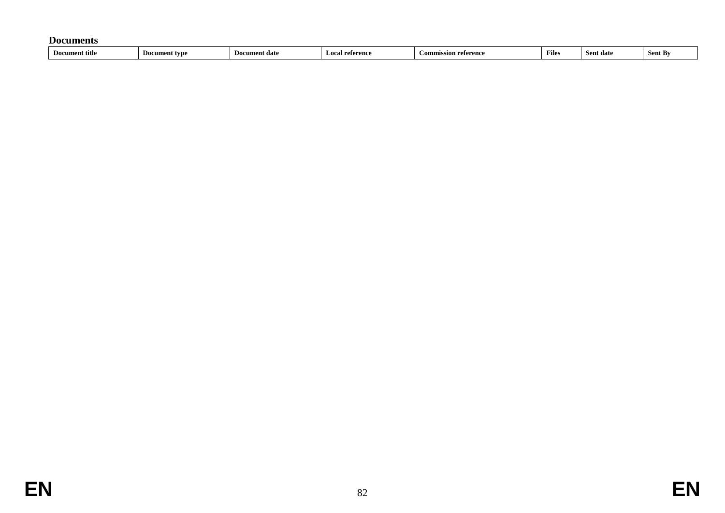#### **Documents**

| Documer<br>nt title.<br>I۱n<br>Sent By<br>iccion reference<br>Files<br>reference<br>------<br>ent date<br>ument tvo<br>' date |
|-------------------------------------------------------------------------------------------------------------------------------|
|-------------------------------------------------------------------------------------------------------------------------------|